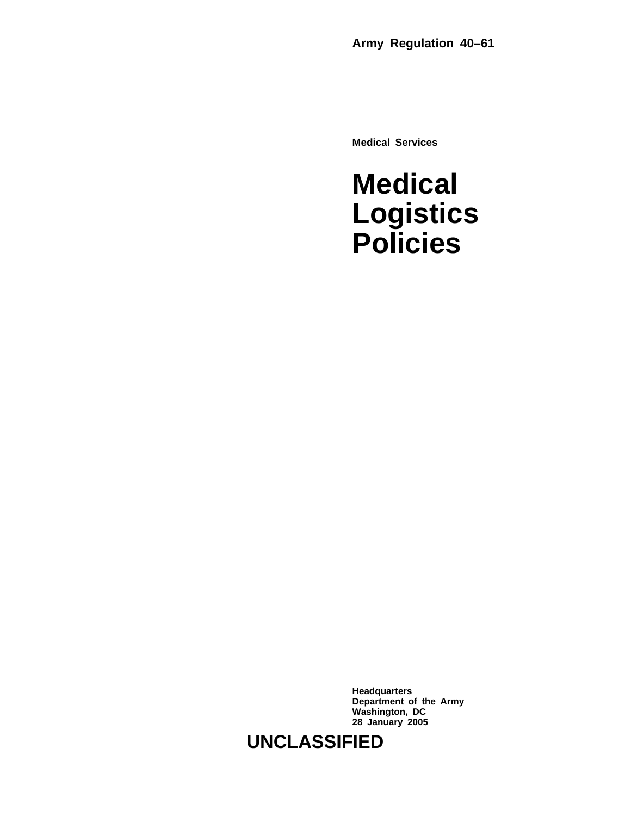**Medical Services**

# **Medical Logistics Policies**

**Headquarters Department of the Army Washington, DC 28 January 2005**

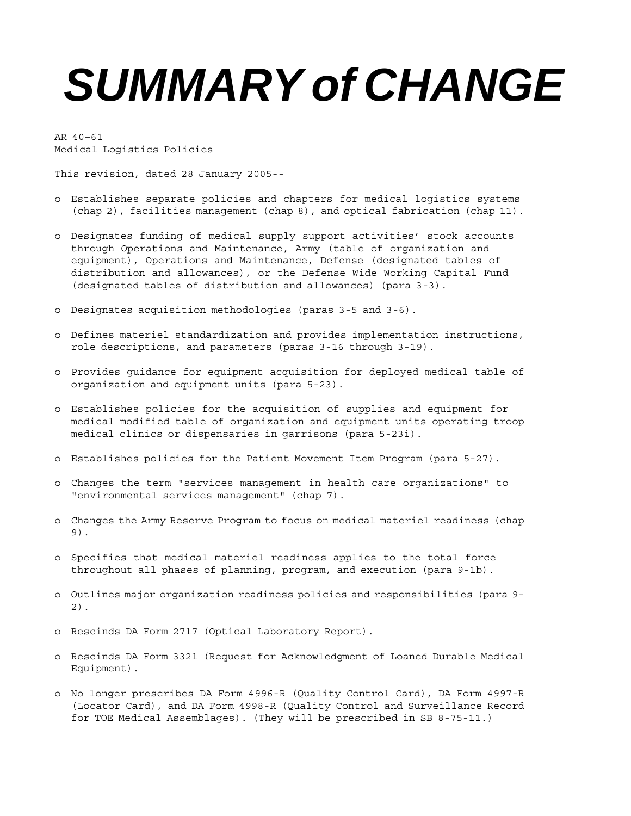# **SUMMARY of CHANGE**

AR 40–61 Medical Logistics Policies

This revision, dated 28 January 2005--

- o Establishes separate policies and chapters for medical logistics systems (chap 2), facilities management (chap 8), and optical fabrication (chap 11).
- o Designates funding of medical supply support activities' stock accounts through Operations and Maintenance, Army (table of organization and equipment), Operations and Maintenance, Defense (designated tables of distribution and allowances), or the Defense Wide Working Capital Fund (designated tables of distribution and allowances) (para 3-3).
- o Designates acquisition methodologies (paras 3-5 and 3-6).
- o Defines materiel standardization and provides implementation instructions, role descriptions, and parameters (paras 3-16 through 3-19).
- o Provides guidance for equipment acquisition for deployed medical table of organization and equipment units (para 5-23).
- o Establishes policies for the acquisition of supplies and equipment for medical modified table of organization and equipment units operating troop medical clinics or dispensaries in garrisons (para 5-23i).
- o Establishes policies for the Patient Movement Item Program (para 5-27).
- o Changes the term "services management in health care organizations" to "environmental services management" (chap 7).
- o Changes the Army Reserve Program to focus on medical materiel readiness (chap 9).
- o Specifies that medical materiel readiness applies to the total force throughout all phases of planning, program, and execution (para 9-1b).
- o Outlines major organization readiness policies and responsibilities (para 9- 2).
- o Rescinds DA Form 2717 (Optical Laboratory Report).
- o Rescinds DA Form 3321 (Request for Acknowledgment of Loaned Durable Medical Equipment).
- o No longer prescribes DA Form 4996-R (Quality Control Card), DA Form 4997-R (Locator Card), and DA Form 4998-R (Quality Control and Surveillance Record for TOE Medical Assemblages). (They will be prescribed in SB 8-75-11.)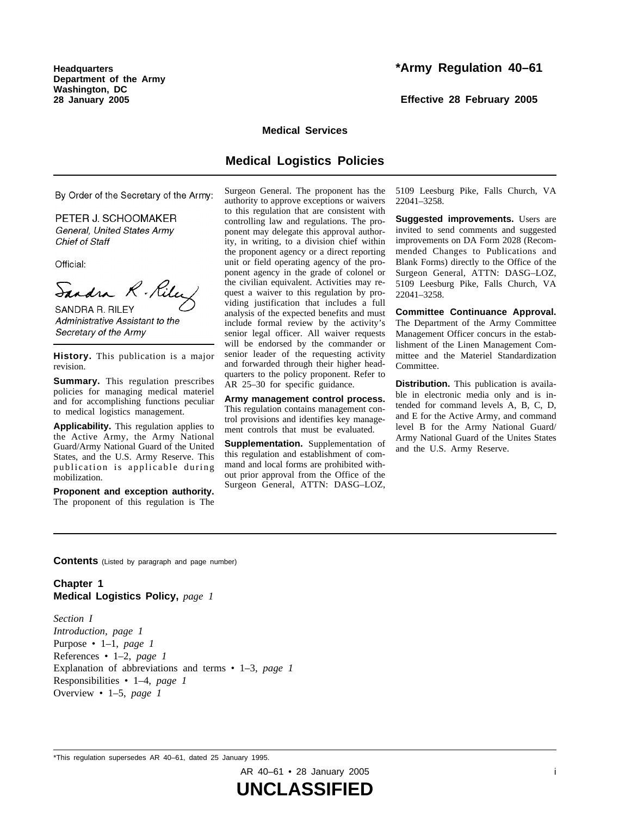**Headquarters Department of the Army Washington, DC 28 January 2005**

# **\*Army Regulation 40–61**

**Effective 28 February 2005**

#### **Medical Services**

# **Medical Logistics Policies**

By Order of the Secretary of the Army:

PETER J. SCHOOMAKER General, United States Army **Chief of Staff** 

Official:

Sandra R. Rile

SANDRA R. RILEY Administrative Assistant to the Secretary of the Army

**History.** This publication is a major revision.

**Summary.** This regulation prescribes policies for managing medical materiel and for accomplishing functions peculiar to medical logistics management.

**Applicability.** This regulation applies to the Active Army, the Army National Guard/Army National Guard of the United States, and the U.S. Army Reserve. This publication is applicable during mobilization.

**Proponent and exception authority.** The proponent of this regulation is The Surgeon General. The proponent has the authority to approve exceptions or waivers to this regulation that are consistent with controlling law and regulations. The proponent may delegate this approval authority, in writing, to a division chief within the proponent agency or a direct reporting unit or field operating agency of the proponent agency in the grade of colonel or the civilian equivalent. Activities may request a waiver to this regulation by providing justification that includes a full analysis of the expected benefits and must include formal review by the activity's senior legal officer. All waiver requests will be endorsed by the commander or senior leader of the requesting activity and forwarded through their higher headquarters to the policy proponent. Refer to AR 25–30 for specific guidance.

**Army management control process.** This regulation contains management control provisions and identifies key management controls that must be evaluated.

**Supplementation.** Supplementation of this regulation and establishment of command and local forms are prohibited without prior approval from the Office of the Surgeon General, ATTN: DASG-LOZ, 5109 Leesburg Pike, Falls Church, VA 22041–3258.

**Suggested improvements.** Users are invited to send comments and suggested improvements on DA Form 2028 (Recommended Changes to Publications and Blank Forms) directly to the Office of the Surgeon General, ATTN: DASG-LOZ, 5109 Leesburg Pike, Falls Church, VA 22041–3258.

**Committee Continuance Approval.** The Department of the Army Committee Management Officer concurs in the establishment of the Linen Management Committee and the Materiel Standardization Committee.

**Distribution.** This publication is available in electronic media only and is intended for command levels A, B, C, D, and E for the Active Army, and command level B for the Army National Guard/ Army National Guard of the Unites States and the U.S. Army Reserve.

**Contents** (Listed by paragraph and page number)

# **Chapter 1 Medical Logistics Policy,** *page 1*

*Section I Introduction, page 1* Purpose • 1–1, *page 1* References • 1–2, *page 1* Explanation of abbreviations and terms • 1–3, *page 1* Responsibilities • 1–4, *page 1* Overview • 1–5, *page 1*

AR 40–61 • 28 January 2005 i

<sup>\*</sup>This regulation supersedes AR 40–61, dated 25 January 1995.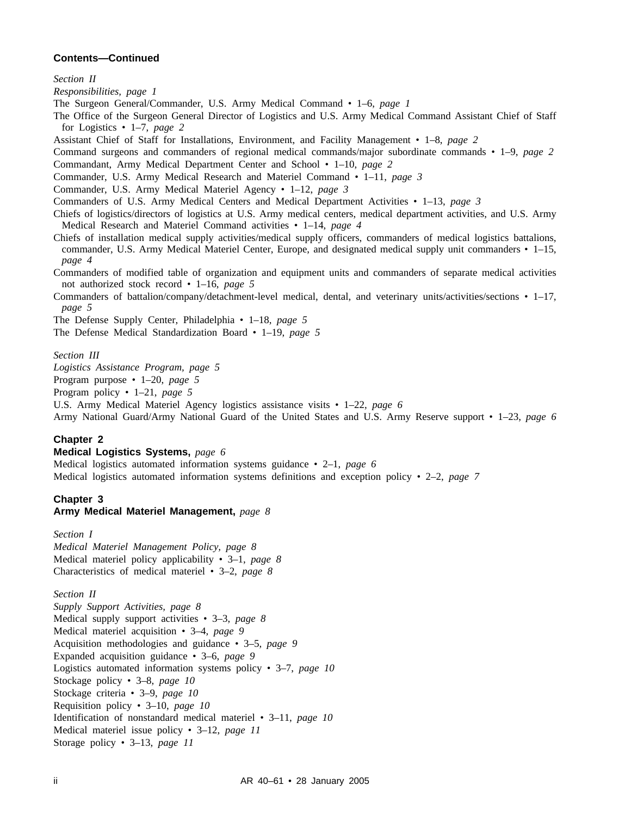*Section II*

*Responsibilities, page 1*

The Surgeon General/Commander, U.S. Army Medical Command • 1–6, *page 1*

The Office of the Surgeon General Director of Logistics and U.S. Army Medical Command Assistant Chief of Staff for Logistics • 1–7, *page 2*

Assistant Chief of Staff for Installations, Environment, and Facility Management • 1–8, *page 2*

Command surgeons and commanders of regional medical commands/major subordinate commands • 1–9, *page 2*

Commandant, Army Medical Department Center and School • 1–10, *page 2*

Commander, U.S. Army Medical Research and Materiel Command • 1–11, *page 3*

Commander, U.S. Army Medical Materiel Agency • 1–12, *page 3*

Commanders of U.S. Army Medical Centers and Medical Department Activities • 1–13, *page 3*

Chiefs of logistics/directors of logistics at U.S. Army medical centers, medical department activities, and U.S. Army Medical Research and Materiel Command activities • 1–14, *page 4*

Chiefs of installation medical supply activities/medical supply officers, commanders of medical logistics battalions, commander, U.S. Army Medical Materiel Center, Europe, and designated medical supply unit commanders • 1–15, *page 4*

Commanders of modified table of organization and equipment units and commanders of separate medical activities not authorized stock record • 1–16, *page 5*

Commanders of battalion/company/detachment-level medical, dental, and veterinary units/activities/sections • 1–17, *page 5*

The Defense Supply Center, Philadelphia • 1–18, *page 5*

The Defense Medical Standardization Board • 1–19, *page 5*

*Section III*

*Logistics Assistance Program, page 5*

Program purpose • 1–20, *page 5*

Program policy • 1–21, *page 5*

U.S. Army Medical Materiel Agency logistics assistance visits • 1–22, *page 6*

Army National Guard/Army National Guard of the United States and U.S. Army Reserve support • 1–23, *page 6*

#### **Chapter 2**

#### **Medical Logistics Systems,** *page 6*

Medical logistics automated information systems guidance • 2–1, *page 6* Medical logistics automated information systems definitions and exception policy • 2–2, *page 7*

# **Chapter 3**

#### **Army Medical Materiel Management,** *page 8*

*Section I Medical Materiel Management Policy, page 8* Medical materiel policy applicability • 3–1, *page 8* Characteristics of medical materiel • 3–2, *page 8*

*Section II*

*Supply Support Activities, page 8* Medical supply support activities • 3–3, *page 8* Medical materiel acquisition • 3–4, *page 9* Acquisition methodologies and guidance • 3–5, *page 9* Expanded acquisition guidance • 3–6, *page 9* Logistics automated information systems policy • 3–7, *page 10* Stockage policy • 3–8, *page 10* Stockage criteria • 3–9, *page 10* Requisition policy • 3–10, *page 10* Identification of nonstandard medical materiel • 3–11, *page 10* Medical materiel issue policy • 3–12, *page 11* Storage policy • 3–13, *page 11*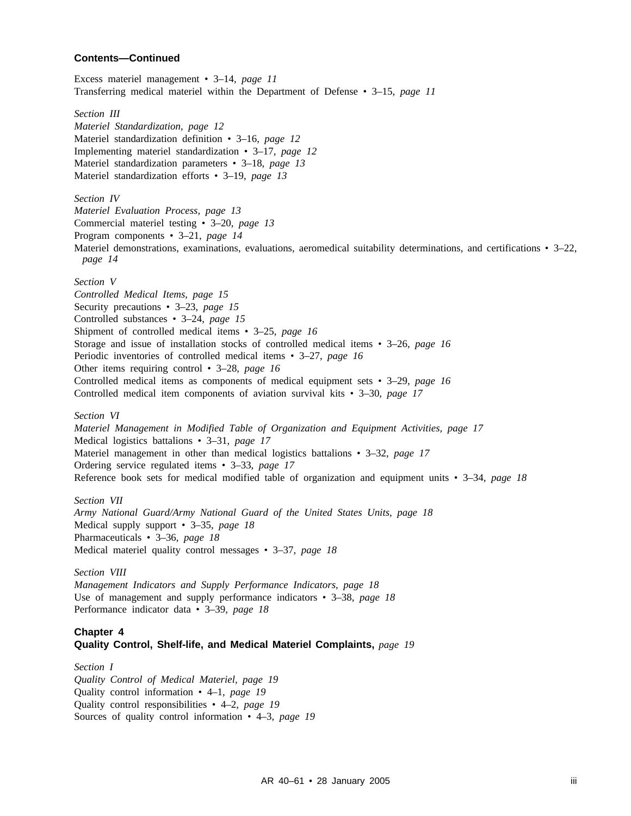Excess materiel management • 3–14, *page 11* Transferring medical materiel within the Department of Defense • 3–15, *page 11*

*Section III*

*Materiel Standardization, page 12* Materiel standardization definition • 3–16, *page 12* Implementing materiel standardization • 3–17, *page 12* Materiel standardization parameters • 3–18, *page 13* Materiel standardization efforts • 3–19, *page 13*

*Section IV Materiel Evaluation Process, page 13* Commercial materiel testing • 3–20, *page 13*

Program components • 3–21, *page 14*

Materiel demonstrations, examinations, evaluations, aeromedical suitability determinations, and certifications • 3–22, *page 14*

*Section V*

*Controlled Medical Items, page 15* Security precautions • 3–23, *page 15* Controlled substances • 3–24, *page 15* Shipment of controlled medical items • 3–25, *page 16* Storage and issue of installation stocks of controlled medical items • 3–26, *page 16* Periodic inventories of controlled medical items • 3–27, *page 16* Other items requiring control • 3–28, *page 16* Controlled medical items as components of medical equipment sets • 3–29, *page 16* Controlled medical item components of aviation survival kits • 3–30, *page 17*

*Section VI*

*Materiel Management in Modified Table of Organization and Equipment Activities, page 17* Medical logistics battalions • 3–31, *page 17* Materiel management in other than medical logistics battalions • 3–32, *page 17* Ordering service regulated items • 3–33, *page 17* Reference book sets for medical modified table of organization and equipment units • 3–34, *page 18*

*Section VII Army National Guard/Army National Guard of the United States Units, page 18* Medical supply support • 3–35, *page 18* Pharmaceuticals • 3–36, *page 18* Medical materiel quality control messages • 3–37, *page 18*

*Section VIII Management Indicators and Supply Performance Indicators, page 18* Use of management and supply performance indicators • 3–38, *page 18* Performance indicator data • 3–39, *page 18*

#### **Chapter 4 Quality Control, Shelf-life, and Medical Materiel Complaints,** *page 19*

### *Section I Quality Control of Medical Materiel, page 19* Quality control information • 4–1, *page 19* Quality control responsibilities • 4–2, *page 19* Sources of quality control information • 4–3, *page 19*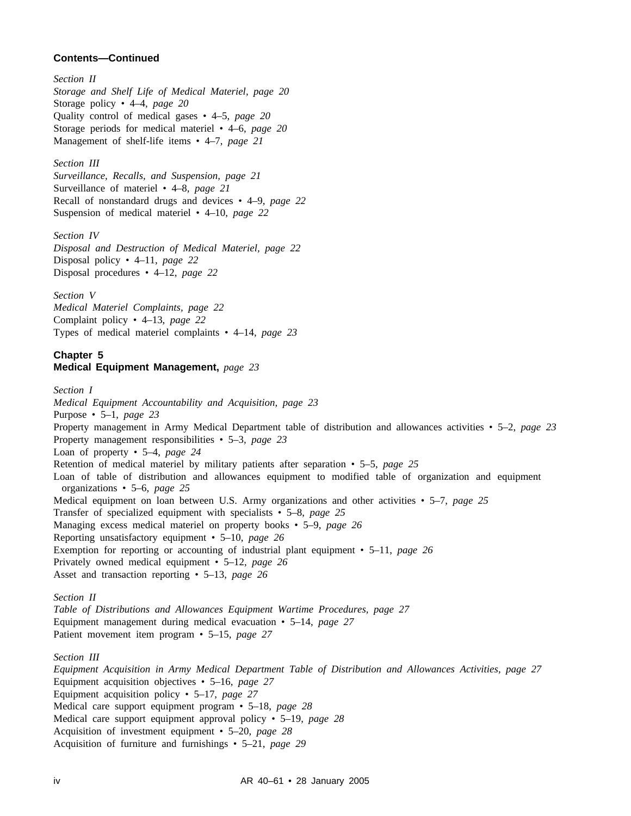*Section II Storage and Shelf Life of Medical Materiel, page 20* Storage policy • 4–4, *page 20* Quality control of medical gases • 4–5, *page 20* Storage periods for medical materiel • 4–6, *page 20* Management of shelf-life items • 4–7, *page 21*

*Section III Surveillance, Recalls, and Suspension, page 21* Surveillance of materiel • 4–8, *page 21* Recall of nonstandard drugs and devices • 4–9, *page 22* Suspension of medical materiel • 4–10, *page 22*

*Section IV Disposal and Destruction of Medical Materiel, page 22* Disposal policy • 4–11, *page 22* Disposal procedures • 4–12, *page 22*

*Section V Medical Materiel Complaints, page 22* Complaint policy • 4–13, *page 22* Types of medical materiel complaints • 4–14, *page 23*

# **Chapter 5 Medical Equipment Management,** *page 23*

*Section I Medical Equipment Accountability and Acquisition, page 23* Purpose • 5–1, *page 23* Property management in Army Medical Department table of distribution and allowances activities • 5–2, *page 23* Property management responsibilities • 5–3, *page 23* Loan of property • 5–4, *page 24* Retention of medical materiel by military patients after separation • 5–5, *page 25* Loan of table of distribution and allowances equipment to modified table of organization and equipment organizations • 5–6, *page 25* Medical equipment on loan between U.S. Army organizations and other activities • 5–7, *page 25* Transfer of specialized equipment with specialists • 5–8, *page 25* Managing excess medical materiel on property books • 5–9, *page 26* Reporting unsatisfactory equipment • 5–10, *page 26* Exemption for reporting or accounting of industrial plant equipment • 5–11, *page 26* Privately owned medical equipment • 5–12, *page 26* Asset and transaction reporting • 5–13, *page 26 Section II Table of Distributions and Allowances Equipment Wartime Procedures, page 27* Equipment management during medical evacuation • 5–14, *page 27* Patient movement item program • 5–15, *page 27 Section III*

*Equipment Acquisition in Army Medical Department Table of Distribution and Allowances Activities, page 27* Equipment acquisition objectives • 5–16, *page 27* Equipment acquisition policy • 5–17, *page 27* Medical care support equipment program • 5–18, *page 28* Medical care support equipment approval policy • 5–19, *page 28* Acquisition of investment equipment • 5–20, *page 28* Acquisition of furniture and furnishings • 5–21, *page 29*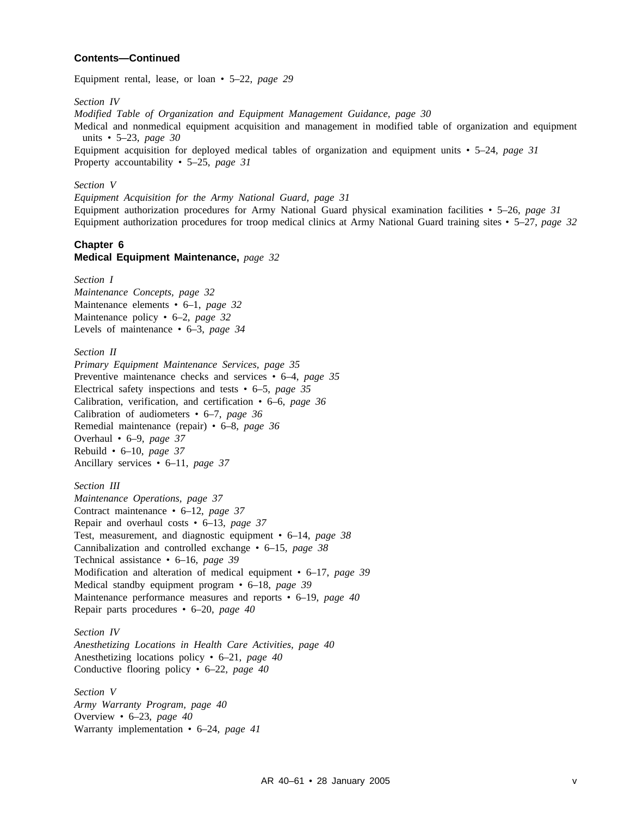Equipment rental, lease, or loan • 5–22, *page 29*

*Section IV*

*Modified Table of Organization and Equipment Management Guidance, page 30*

Medical and nonmedical equipment acquisition and management in modified table of organization and equipment units • 5–23, *page 30*

Equipment acquisition for deployed medical tables of organization and equipment units • 5–24, *page 31* Property accountability • 5–25, *page 31*

#### *Section V*

*Equipment Acquisition for the Army National Guard, page 31*

Equipment authorization procedures for Army National Guard physical examination facilities • 5–26, *page 31* Equipment authorization procedures for troop medical clinics at Army National Guard training sites • 5–27, *page 32*

#### **Chapter 6 Medical Equipment Maintenance,** *page 32*

*Section I Maintenance Concepts, page 32* Maintenance elements • 6–1, *page 32* Maintenance policy • 6–2, *page 32* Levels of maintenance • 6–3, *page 34*

*Section II Primary Equipment Maintenance Services, page 35* Preventive maintenance checks and services • 6–4, *page 35* Electrical safety inspections and tests • 6–5, *page 35* Calibration, verification, and certification • 6–6, *page 36* Calibration of audiometers • 6–7, *page 36* Remedial maintenance (repair) • 6–8, *page 36* Overhaul • 6–9, *page 37* Rebuild • 6–10, *page 37* Ancillary services • 6–11, *page 37*

*Section III Maintenance Operations, page 37* Contract maintenance • 6–12, *page 37* Repair and overhaul costs • 6–13, *page 37* Test, measurement, and diagnostic equipment • 6–14, *page 38* Cannibalization and controlled exchange • 6–15, *page 38* Technical assistance • 6–16, *page 39* Modification and alteration of medical equipment • 6–17, *page 39* Medical standby equipment program • 6–18, *page 39* Maintenance performance measures and reports • 6–19, *page 40* Repair parts procedures • 6–20, *page 40*

*Section IV Anesthetizing Locations in Health Care Activities, page 40* Anesthetizing locations policy • 6–21, *page 40* Conductive flooring policy • 6–22, *page 40*

*Section V Army Warranty Program, page 40* Overview • 6–23, *page 40* Warranty implementation • 6–24, *page 41*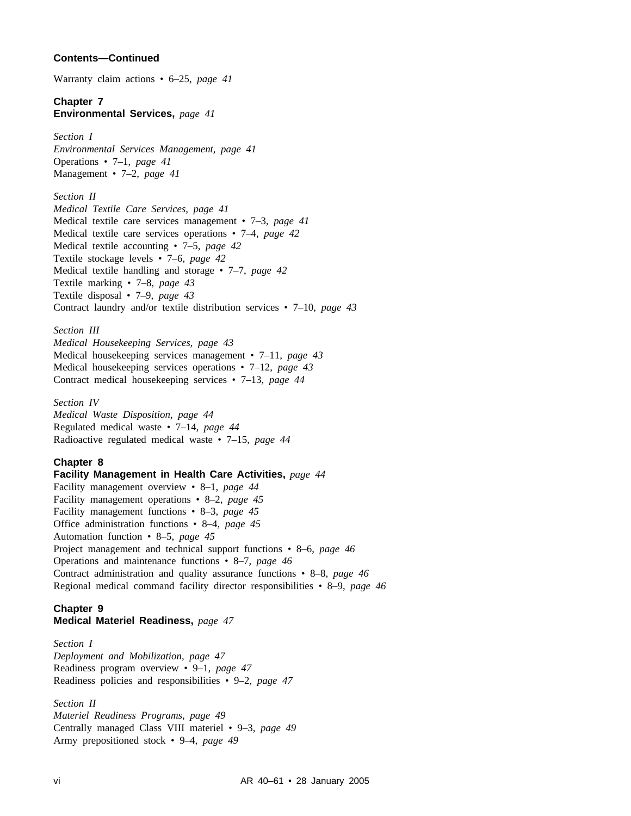Warranty claim actions • 6–25, *page 41*

# **Chapter 7**

**Environmental Services,** *page 41*

# *Section I*

*Environmental Services Management, page 41* Operations • 7–1, *page 41* Management • 7–2, *page 41*

#### *Section II*

*Medical Textile Care Services, page 41* Medical textile care services management • 7–3, *page 41* Medical textile care services operations • 7–4, *page 42* Medical textile accounting • 7–5, *page 42* Textile stockage levels • 7–6, *page 42* Medical textile handling and storage • 7–7, *page 42* Textile marking • 7–8, *page 43* Textile disposal • 7–9, *page 43* Contract laundry and/or textile distribution services • 7–10, *page 43*

# *Section III*

*Medical Housekeeping Services, page 43* Medical housekeeping services management • 7–11, *page 43* Medical housekeeping services operations • 7–12, *page 43* Contract medical housekeeping services • 7–13, *page 44*

#### *Section IV*

*Medical Waste Disposition, page 44* Regulated medical waste • 7–14, *page 44* Radioactive regulated medical waste • 7–15, *page 44*

#### **Chapter 8**

**Facility Management in Health Care Activities,** *page 44* Facility management overview • 8–1, *page 44* Facility management operations • 8–2, *page 45* Facility management functions • 8–3, *page 45* Office administration functions • 8–4, *page 45* Automation function • 8–5, *page 45* Project management and technical support functions • 8–6, *page 46* Operations and maintenance functions • 8–7, *page 46* Contract administration and quality assurance functions • 8–8, *page 46* Regional medical command facility director responsibilities • 8–9, *page 46*

#### **Chapter 9 Medical Materiel Readiness,** *page 47*

*Section I Deployment and Mobilization, page 47* Readiness program overview • 9–1, *page 47* Readiness policies and responsibilities • 9–2, *page 47*

# *Section II*

*Materiel Readiness Programs, page 49* Centrally managed Class VIII materiel • 9–3, *page 49* Army prepositioned stock • 9–4, *page 49*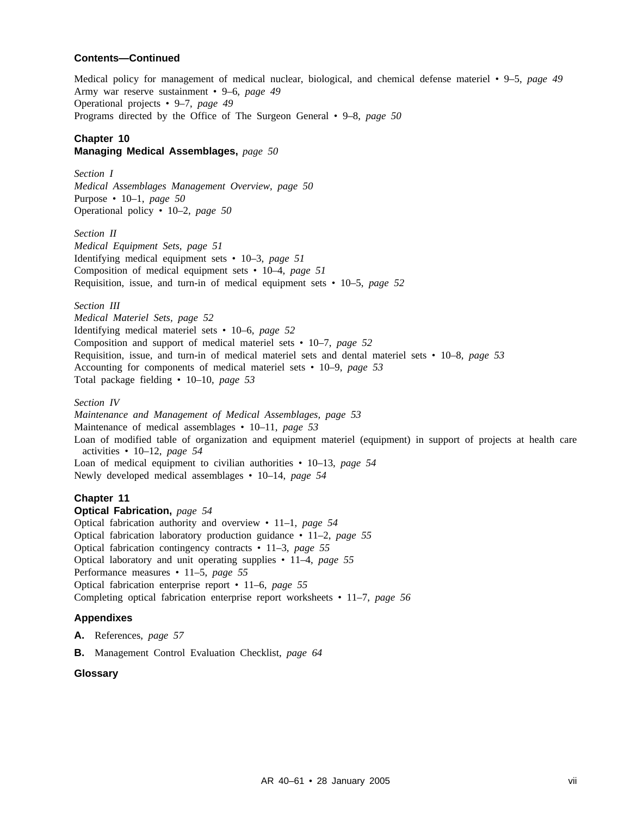Medical policy for management of medical nuclear, biological, and chemical defense materiel • 9–5, *page 49* Army war reserve sustainment • 9–6, *page 49* Operational projects • 9–7, *page 49* Programs directed by the Office of The Surgeon General • 9–8, *page 50*

# **Chapter 10**

# **Managing Medical Assemblages,** *page 50*

*Section I Medical Assemblages Management Overview, page 50* Purpose • 10–1, *page 50* Operational policy • 10–2, *page 50*

*Section II Medical Equipment Sets, page 51* Identifying medical equipment sets • 10–3, *page 51* Composition of medical equipment sets • 10–4, *page 51* Requisition, issue, and turn-in of medical equipment sets • 10–5, *page 52*

*Section III*

*Medical Materiel Sets, page 52* Identifying medical materiel sets • 10–6, *page 52* Composition and support of medical materiel sets • 10–7, *page 52* Requisition, issue, and turn-in of medical materiel sets and dental materiel sets • 10–8, *page 53* Accounting for components of medical materiel sets • 10–9, *page 53* Total package fielding • 10–10, *page 53*

*Section IV*

*Maintenance and Management of Medical Assemblages, page 53* Maintenance of medical assemblages • 10–11, *page 53* Loan of modified table of organization and equipment materiel (equipment) in support of projects at health care activities • 10–12, *page 54* Loan of medical equipment to civilian authorities • 10–13, *page 54* Newly developed medical assemblages • 10–14, *page 54*

# **Chapter 11**

**Optical Fabrication,** *page 54*

Optical fabrication authority and overview • 11–1, *page 54* Optical fabrication laboratory production guidance • 11–2, *page 55* Optical fabrication contingency contracts • 11–3, *page 55* Optical laboratory and unit operating supplies • 11–4, *page 55* Performance measures • 11–5, *page 55* Optical fabrication enterprise report • 11–6, *page 55* Completing optical fabrication enterprise report worksheets • 11–7, *page 56*

#### **Appendixes**

**A.** References, *page 57*

**B.** Management Control Evaluation Checklist, *page 64*

### **Glossary**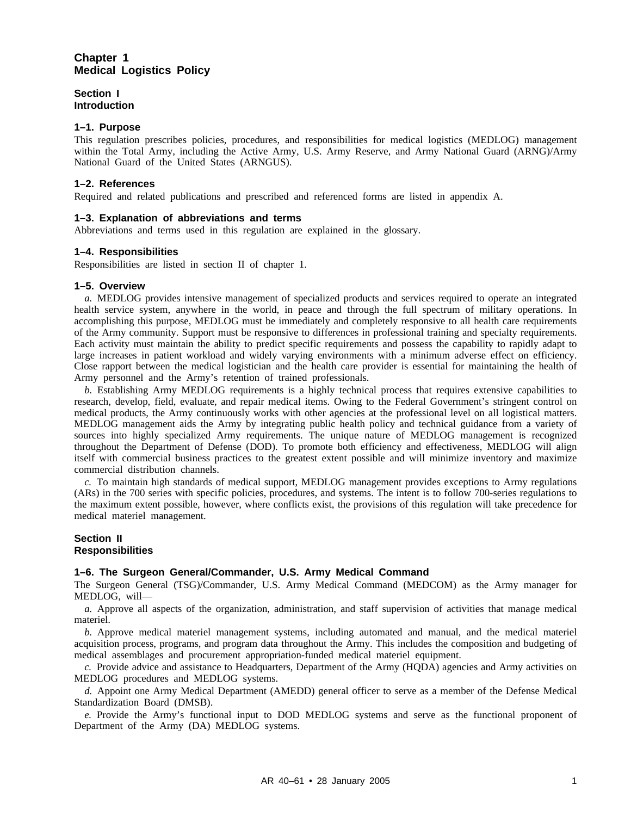# **Chapter 1 Medical Logistics Policy**

**Section I Introduction**

#### **1–1. Purpose**

This regulation prescribes policies, procedures, and responsibilities for medical logistics (MEDLOG) management within the Total Army, including the Active Army, U.S. Army Reserve, and Army National Guard (ARNG)/Army National Guard of the United States (ARNGUS).

#### **1–2. References**

Required and related publications and prescribed and referenced forms are listed in appendix A.

#### **1–3. Explanation of abbreviations and terms**

Abbreviations and terms used in this regulation are explained in the glossary.

#### **1–4. Responsibilities**

Responsibilities are listed in section II of chapter 1.

#### **1–5. Overview**

*a.* MEDLOG provides intensive management of specialized products and services required to operate an integrated health service system, anywhere in the world, in peace and through the full spectrum of military operations. In accomplishing this purpose, MEDLOG must be immediately and completely responsive to all health care requirements of the Army community. Support must be responsive to differences in professional training and specialty requirements. Each activity must maintain the ability to predict specific requirements and possess the capability to rapidly adapt to large increases in patient workload and widely varying environments with a minimum adverse effect on efficiency. Close rapport between the medical logistician and the health care provider is essential for maintaining the health of Army personnel and the Army's retention of trained professionals.

*b.* Establishing Army MEDLOG requirements is a highly technical process that requires extensive capabilities to research, develop, field, evaluate, and repair medical items. Owing to the Federal Government's stringent control on medical products, the Army continuously works with other agencies at the professional level on all logistical matters. MEDLOG management aids the Army by integrating public health policy and technical guidance from a variety of sources into highly specialized Army requirements. The unique nature of MEDLOG management is recognized throughout the Department of Defense (DOD). To promote both efficiency and effectiveness, MEDLOG will align itself with commercial business practices to the greatest extent possible and will minimize inventory and maximize commercial distribution channels.

*c.* To maintain high standards of medical support, MEDLOG management provides exceptions to Army regulations (ARs) in the 700 series with specific policies, procedures, and systems. The intent is to follow 700-series regulations to the maximum extent possible, however, where conflicts exist, the provisions of this regulation will take precedence for medical materiel management.

#### **Section II Responsibilities**

#### **1–6. The Surgeon General/Commander, U.S. Army Medical Command**

The Surgeon General (TSG)/Commander, U.S. Army Medical Command (MEDCOM) as the Army manager for MEDLOG, will—

*a.* Approve all aspects of the organization, administration, and staff supervision of activities that manage medical materiel.

*b.* Approve medical materiel management systems, including automated and manual, and the medical materiel acquisition process, programs, and program data throughout the Army. This includes the composition and budgeting of medical assemblages and procurement appropriation-funded medical materiel equipment.

*c.* Provide advice and assistance to Headquarters, Department of the Army (HQDA) agencies and Army activities on MEDLOG procedures and MEDLOG systems.

*d.* Appoint one Army Medical Department (AMEDD) general officer to serve as a member of the Defense Medical Standardization Board (DMSB).

*e.* Provide the Army's functional input to DOD MEDLOG systems and serve as the functional proponent of Department of the Army (DA) MEDLOG systems.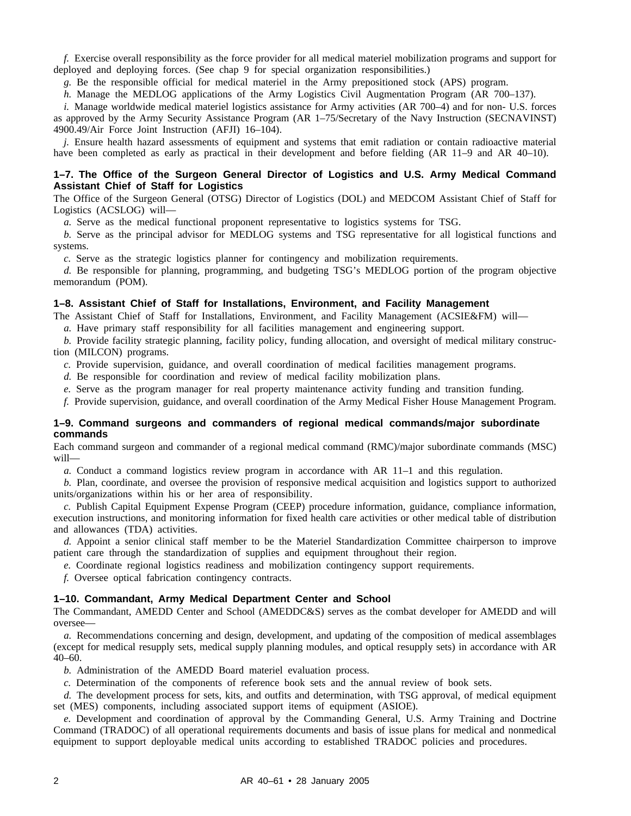*f.* Exercise overall responsibility as the force provider for all medical materiel mobilization programs and support for deployed and deploying forces. (See chap 9 for special organization responsibilities.)

*g.* Be the responsible official for medical materiel in the Army prepositioned stock (APS) program.

*h.* Manage the MEDLOG applications of the Army Logistics Civil Augmentation Program (AR 700–137).

*i.* Manage worldwide medical materiel logistics assistance for Army activities (AR 700–4) and for non- U.S. forces as approved by the Army Security Assistance Program (AR 1–75/Secretary of the Navy Instruction (SECNAVINST) 4900.49/Air Force Joint Instruction (AFJI) 16–104).

*j.* Ensure health hazard assessments of equipment and systems that emit radiation or contain radioactive material have been completed as early as practical in their development and before fielding (AR 11–9 and AR 40–10).

#### **1–7. The Office of the Surgeon General Director of Logistics and U.S. Army Medical Command Assistant Chief of Staff for Logistics**

The Office of the Surgeon General (OTSG) Director of Logistics (DOL) and MEDCOM Assistant Chief of Staff for Logistics (ACSLOG) will—

*a.* Serve as the medical functional proponent representative to logistics systems for TSG.

*b.* Serve as the principal advisor for MEDLOG systems and TSG representative for all logistical functions and systems.

*c.* Serve as the strategic logistics planner for contingency and mobilization requirements.

*d.* Be responsible for planning, programming, and budgeting TSG's MEDLOG portion of the program objective memorandum (POM).

#### **1–8. Assistant Chief of Staff for Installations, Environment, and Facility Management**

The Assistant Chief of Staff for Installations, Environment, and Facility Management (ACSIE&FM) will—

*a.* Have primary staff responsibility for all facilities management and engineering support.

*b.* Provide facility strategic planning, facility policy, funding allocation, and oversight of medical military construction (MILCON) programs.

*c.* Provide supervision, guidance, and overall coordination of medical facilities management programs.

*d.* Be responsible for coordination and review of medical facility mobilization plans.

*e.* Serve as the program manager for real property maintenance activity funding and transition funding.

*f.* Provide supervision, guidance, and overall coordination of the Army Medical Fisher House Management Program.

#### **1–9. Command surgeons and commanders of regional medical commands/major subordinate commands**

Each command surgeon and commander of a regional medical command (RMC)/major subordinate commands (MSC) will—

*a.* Conduct a command logistics review program in accordance with AR 11–1 and this regulation.

*b.* Plan, coordinate, and oversee the provision of responsive medical acquisition and logistics support to authorized units/organizations within his or her area of responsibility.

*c.* Publish Capital Equipment Expense Program (CEEP) procedure information, guidance, compliance information, execution instructions, and monitoring information for fixed health care activities or other medical table of distribution and allowances (TDA) activities.

*d.* Appoint a senior clinical staff member to be the Materiel Standardization Committee chairperson to improve patient care through the standardization of supplies and equipment throughout their region.

*e.* Coordinate regional logistics readiness and mobilization contingency support requirements.

*f.* Oversee optical fabrication contingency contracts.

#### **1–10. Commandant, Army Medical Department Center and School**

The Commandant, AMEDD Center and School (AMEDDC&S) serves as the combat developer for AMEDD and will oversee—

*a.* Recommendations concerning and design, development, and updating of the composition of medical assemblages (except for medical resupply sets, medical supply planning modules, and optical resupply sets) in accordance with AR 40–60.

*b.* Administration of the AMEDD Board materiel evaluation process.

*c.* Determination of the components of reference book sets and the annual review of book sets.

*d.* The development process for sets, kits, and outfits and determination, with TSG approval, of medical equipment set (MES) components, including associated support items of equipment (ASIOE).

*e.* Development and coordination of approval by the Commanding General, U.S. Army Training and Doctrine Command (TRADOC) of all operational requirements documents and basis of issue plans for medical and nonmedical equipment to support deployable medical units according to established TRADOC policies and procedures.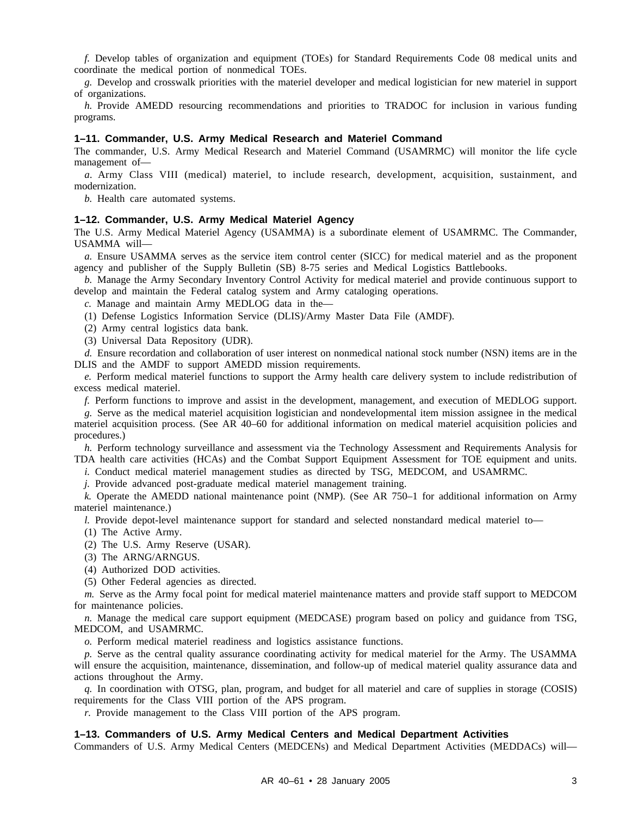*f.* Develop tables of organization and equipment (TOEs) for Standard Requirements Code 08 medical units and coordinate the medical portion of nonmedical TOEs.

*g.* Develop and crosswalk priorities with the materiel developer and medical logistician for new materiel in support of organizations.

*h.* Provide AMEDD resourcing recommendations and priorities to TRADOC for inclusion in various funding programs.

#### **1–11. Commander, U.S. Army Medical Research and Materiel Command**

The commander, U.S. Army Medical Research and Materiel Command (USAMRMC) will monitor the life cycle management of—

*a.* Army Class VIII (medical) materiel, to include research, development, acquisition, sustainment, and modernization.

*b.* Health care automated systems.

#### **1–12. Commander, U.S. Army Medical Materiel Agency**

The U.S. Army Medical Materiel Agency (USAMMA) is a subordinate element of USAMRMC. The Commander, USAMMA will—

*a.* Ensure USAMMA serves as the service item control center (SICC) for medical materiel and as the proponent agency and publisher of the Supply Bulletin (SB) 8-75 series and Medical Logistics Battlebooks.

*b.* Manage the Army Secondary Inventory Control Activity for medical materiel and provide continuous support to develop and maintain the Federal catalog system and Army cataloging operations.

*c.* Manage and maintain Army MEDLOG data in the—

(1) Defense Logistics Information Service (DLIS)/Army Master Data File (AMDF).

(2) Army central logistics data bank.

(3) Universal Data Repository (UDR).

*d.* Ensure recordation and collaboration of user interest on nonmedical national stock number (NSN) items are in the DLIS and the AMDF to support AMEDD mission requirements.

*e.* Perform medical materiel functions to support the Army health care delivery system to include redistribution of excess medical materiel.

*f.* Perform functions to improve and assist in the development, management, and execution of MEDLOG support.

*g.* Serve as the medical materiel acquisition logistician and nondevelopmental item mission assignee in the medical materiel acquisition process. (See AR 40–60 for additional information on medical materiel acquisition policies and procedures.)

*h.* Perform technology surveillance and assessment via the Technology Assessment and Requirements Analysis for TDA health care activities (HCAs) and the Combat Support Equipment Assessment for TOE equipment and units.

*i.* Conduct medical materiel management studies as directed by TSG, MEDCOM, and USAMRMC.

*j.* Provide advanced post-graduate medical materiel management training.

*k.* Operate the AMEDD national maintenance point (NMP). (See AR 750–1 for additional information on Army materiel maintenance.)

*l.* Provide depot-level maintenance support for standard and selected nonstandard medical materiel to—

(1) The Active Army.

(2) The U.S. Army Reserve (USAR).

(3) The ARNG/ARNGUS.

(4) Authorized DOD activities.

(5) Other Federal agencies as directed.

*m.* Serve as the Army focal point for medical materiel maintenance matters and provide staff support to MEDCOM for maintenance policies.

*n.* Manage the medical care support equipment (MEDCASE) program based on policy and guidance from TSG, MEDCOM, and USAMRMC.

*o.* Perform medical materiel readiness and logistics assistance functions.

*p.* Serve as the central quality assurance coordinating activity for medical materiel for the Army. The USAMMA will ensure the acquisition, maintenance, dissemination, and follow-up of medical materiel quality assurance data and actions throughout the Army.

*q.* In coordination with OTSG, plan, program, and budget for all materiel and care of supplies in storage (COSIS) requirements for the Class VIII portion of the APS program.

*r.* Provide management to the Class VIII portion of the APS program.

#### **1–13. Commanders of U.S. Army Medical Centers and Medical Department Activities**

Commanders of U.S. Army Medical Centers (MEDCENs) and Medical Department Activities (MEDDACs) will—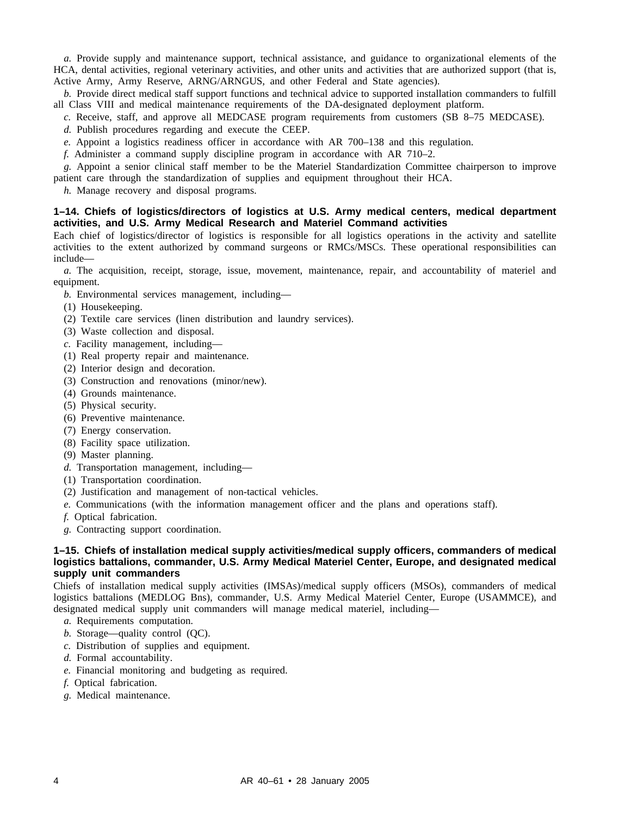*a.* Provide supply and maintenance support, technical assistance, and guidance to organizational elements of the HCA, dental activities, regional veterinary activities, and other units and activities that are authorized support (that is, Active Army, Army Reserve, ARNG/ARNGUS, and other Federal and State agencies).

*b.* Provide direct medical staff support functions and technical advice to supported installation commanders to fulfill all Class VIII and medical maintenance requirements of the DA-designated deployment platform.

- *c.* Receive, staff, and approve all MEDCASE program requirements from customers (SB 8–75 MEDCASE).
- *d.* Publish procedures regarding and execute the CEEP.
- *e.* Appoint a logistics readiness officer in accordance with AR 700–138 and this regulation.
- *f.* Administer a command supply discipline program in accordance with AR 710–2.

*g.* Appoint a senior clinical staff member to be the Materiel Standardization Committee chairperson to improve patient care through the standardization of supplies and equipment throughout their HCA.

*h.* Manage recovery and disposal programs.

#### **1–14. Chiefs of logistics/directors of logistics at U.S. Army medical centers, medical department activities, and U.S. Army Medical Research and Materiel Command activities**

Each chief of logistics/director of logistics is responsible for all logistics operations in the activity and satellite activities to the extent authorized by command surgeons or RMCs/MSCs. These operational responsibilities can include—

*a.* The acquisition, receipt, storage, issue, movement, maintenance, repair, and accountability of materiel and equipment.

*b.* Environmental services management, including—

- (1) Housekeeping.
- (2) Textile care services (linen distribution and laundry services).
- (3) Waste collection and disposal.
- *c.* Facility management, including—
- (1) Real property repair and maintenance.
- (2) Interior design and decoration.
- (3) Construction and renovations (minor/new).
- (4) Grounds maintenance.
- (5) Physical security.
- (6) Preventive maintenance.
- (7) Energy conservation.
- (8) Facility space utilization.
- (9) Master planning.
- *d.* Transportation management, including—
- (1) Transportation coordination.
- (2) Justification and management of non-tactical vehicles.
- *e.* Communications (with the information management officer and the plans and operations staff).
- *f.* Optical fabrication.
- *g.* Contracting support coordination.

#### **1–15. Chiefs of installation medical supply activities/medical supply officers, commanders of medical logistics battalions, commander, U.S. Army Medical Materiel Center, Europe, and designated medical supply unit commanders**

Chiefs of installation medical supply activities (IMSAs)/medical supply officers (MSOs), commanders of medical logistics battalions (MEDLOG Bns), commander, U.S. Army Medical Materiel Center, Europe (USAMMCE), and designated medical supply unit commanders will manage medical materiel, including—

- *a.* Requirements computation.
- *b.* Storage—quality control (QC).
- *c.* Distribution of supplies and equipment.
- *d.* Formal accountability.
- *e.* Financial monitoring and budgeting as required.
- *f.* Optical fabrication.
- *g.* Medical maintenance.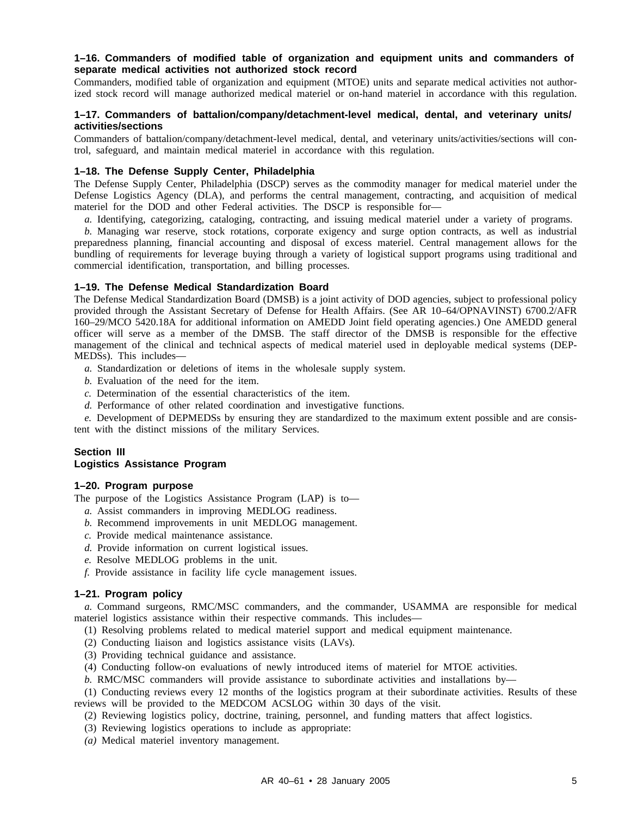#### **1–16. Commanders of modified table of organization and equipment units and commanders of separate medical activities not authorized stock record**

Commanders, modified table of organization and equipment (MTOE) units and separate medical activities not authorized stock record will manage authorized medical materiel or on-hand materiel in accordance with this regulation.

#### **1–17. Commanders of battalion/company/detachment-level medical, dental, and veterinary units/ activities/sections**

Commanders of battalion/company/detachment-level medical, dental, and veterinary units/activities/sections will control, safeguard, and maintain medical materiel in accordance with this regulation.

#### **1–18. The Defense Supply Center, Philadelphia**

The Defense Supply Center, Philadelphia (DSCP) serves as the commodity manager for medical materiel under the Defense Logistics Agency (DLA), and performs the central management, contracting, and acquisition of medical materiel for the DOD and other Federal activities. The DSCP is responsible for—

*a.* Identifying, categorizing, cataloging, contracting, and issuing medical materiel under a variety of programs.

*b.* Managing war reserve, stock rotations, corporate exigency and surge option contracts, as well as industrial preparedness planning, financial accounting and disposal of excess materiel. Central management allows for the bundling of requirements for leverage buying through a variety of logistical support programs using traditional and commercial identification, transportation, and billing processes.

#### **1–19. The Defense Medical Standardization Board**

The Defense Medical Standardization Board (DMSB) is a joint activity of DOD agencies, subject to professional policy provided through the Assistant Secretary of Defense for Health Affairs. (See AR 10–64/OPNAVINST) 6700.2/AFR 160–29/MCO 5420.18A for additional information on AMEDD Joint field operating agencies.) One AMEDD general officer will serve as a member of the DMSB. The staff director of the DMSB is responsible for the effective management of the clinical and technical aspects of medical materiel used in deployable medical systems (DEP-MEDSs). This includes—

- *a.* Standardization or deletions of items in the wholesale supply system.
- *b.* Evaluation of the need for the item.
- *c.* Determination of the essential characteristics of the item.
- *d.* Performance of other related coordination and investigative functions.

*e.* Development of DEPMEDSs by ensuring they are standardized to the maximum extent possible and are consistent with the distinct missions of the military Services.

#### **Section III Logistics Assistance Program**

#### **1–20. Program purpose**

The purpose of the Logistics Assistance Program (LAP) is to—

- *a.* Assist commanders in improving MEDLOG readiness.
- *b.* Recommend improvements in unit MEDLOG management.
- *c.* Provide medical maintenance assistance.
- *d.* Provide information on current logistical issues.
- *e.* Resolve MEDLOG problems in the unit.
- *f.* Provide assistance in facility life cycle management issues.

#### **1–21. Program policy**

*a.* Command surgeons, RMC/MSC commanders, and the commander, USAMMA are responsible for medical materiel logistics assistance within their respective commands. This includes—

(1) Resolving problems related to medical materiel support and medical equipment maintenance.

(2) Conducting liaison and logistics assistance visits (LAVs).

- (3) Providing technical guidance and assistance.
- (4) Conducting follow-on evaluations of newly introduced items of materiel for MTOE activities.
- *b.* RMC/MSC commanders will provide assistance to subordinate activities and installations by—

(1) Conducting reviews every 12 months of the logistics program at their subordinate activities. Results of these reviews will be provided to the MEDCOM ACSLOG within 30 days of the visit.

- (2) Reviewing logistics policy, doctrine, training, personnel, and funding matters that affect logistics.
- (3) Reviewing logistics operations to include as appropriate:
- *(a)* Medical materiel inventory management.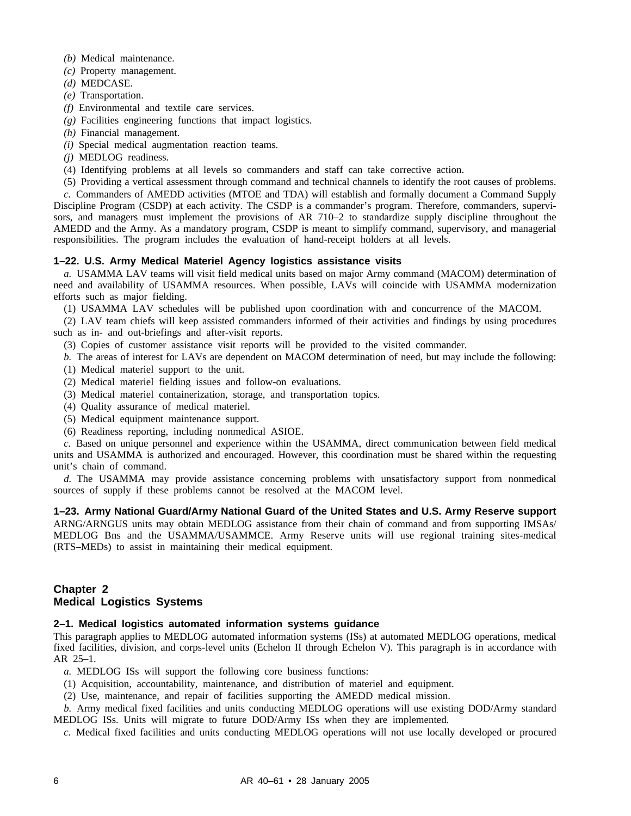- *(b)* Medical maintenance.
- *(c)* Property management.
- *(d)* MEDCASE.
- *(e)* Transportation.
- *(f)* Environmental and textile care services.
- *(g)* Facilities engineering functions that impact logistics.
- *(h)* Financial management.
- *(i)* Special medical augmentation reaction teams.
- *(j)* MEDLOG readiness.
- (4) Identifying problems at all levels so commanders and staff can take corrective action.

(5) Providing a vertical assessment through command and technical channels to identify the root causes of problems. *c.* Commanders of AMEDD activities (MTOE and TDA) will establish and formally document a Command Supply Discipline Program (CSDP) at each activity. The CSDP is a commander's program. Therefore, commanders, supervisors, and managers must implement the provisions of AR 710–2 to standardize supply discipline throughout the AMEDD and the Army. As a mandatory program, CSDP is meant to simplify command, supervisory, and managerial responsibilities. The program includes the evaluation of hand-receipt holders at all levels.

#### **1–22. U.S. Army Medical Materiel Agency logistics assistance visits**

*a.* USAMMA LAV teams will visit field medical units based on major Army command (MACOM) determination of need and availability of USAMMA resources. When possible, LAVs will coincide with USAMMA modernization efforts such as major fielding.

(1) USAMMA LAV schedules will be published upon coordination with and concurrence of the MACOM.

(2) LAV team chiefs will keep assisted commanders informed of their activities and findings by using procedures such as in- and out-briefings and after-visit reports.

(3) Copies of customer assistance visit reports will be provided to the visited commander.

*b.* The areas of interest for LAVs are dependent on MACOM determination of need, but may include the following:

- (1) Medical materiel support to the unit.
- (2) Medical materiel fielding issues and follow-on evaluations.
- (3) Medical materiel containerization, storage, and transportation topics.
- (4) Quality assurance of medical materiel.
- (5) Medical equipment maintenance support.
- (6) Readiness reporting, including nonmedical ASIOE.

*c.* Based on unique personnel and experience within the USAMMA, direct communication between field medical units and USAMMA is authorized and encouraged. However, this coordination must be shared within the requesting unit's chain of command.

*d.* The USAMMA may provide assistance concerning problems with unsatisfactory support from nonmedical sources of supply if these problems cannot be resolved at the MACOM level.

**1–23. Army National Guard/Army National Guard of the United States and U.S. Army Reserve support** ARNG/ARNGUS units may obtain MEDLOG assistance from their chain of command and from supporting IMSAs/ MEDLOG Bns and the USAMMA/USAMMCE. Army Reserve units will use regional training sites-medical (RTS–MEDs) to assist in maintaining their medical equipment.

# **Chapter 2 Medical Logistics Systems**

#### **2–1. Medical logistics automated information systems guidance**

This paragraph applies to MEDLOG automated information systems (ISs) at automated MEDLOG operations, medical fixed facilities, division, and corps-level units (Echelon II through Echelon V). This paragraph is in accordance with AR 25–1.

- *a.* MEDLOG ISs will support the following core business functions:
- (1) Acquisition, accountability, maintenance, and distribution of materiel and equipment.
- (2) Use, maintenance, and repair of facilities supporting the AMEDD medical mission.

*b.* Army medical fixed facilities and units conducting MEDLOG operations will use existing DOD/Army standard MEDLOG ISs. Units will migrate to future DOD/Army ISs when they are implemented.

*c.* Medical fixed facilities and units conducting MEDLOG operations will not use locally developed or procured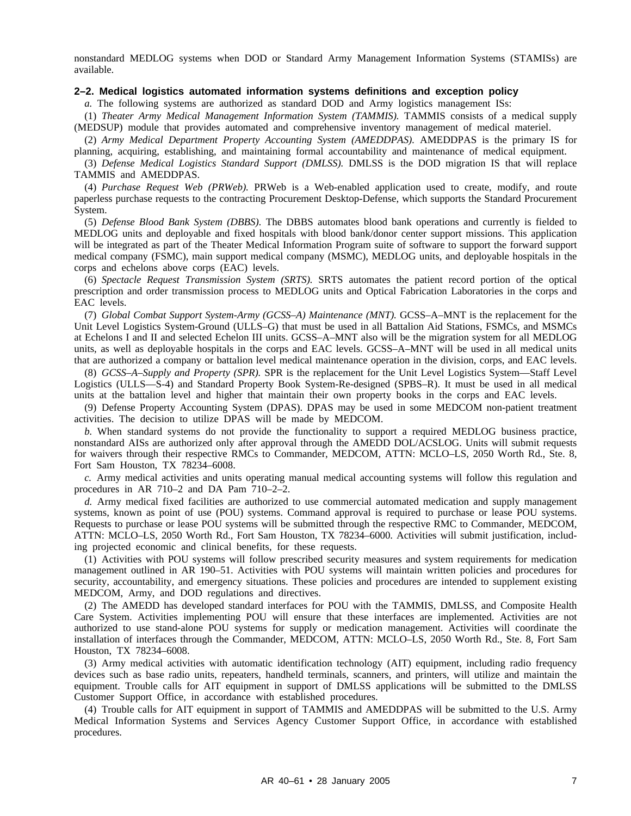nonstandard MEDLOG systems when DOD or Standard Army Management Information Systems (STAMISs) are available.

#### **2–2. Medical logistics automated information systems definitions and exception policy**

*a.* The following systems are authorized as standard DOD and Army logistics management ISs:

(1) *Theater Army Medical Management Information System (TAMMIS).* TAMMIS consists of a medical supply (MEDSUP) module that provides automated and comprehensive inventory management of medical materiel.

(2) *Army Medical Department Property Accounting System (AMEDDPAS).* AMEDDPAS is the primary IS for planning, acquiring, establishing, and maintaining formal accountability and maintenance of medical equipment.

(3) *Defense Medical Logistics Standard Support (DMLSS).* DMLSS is the DOD migration IS that will replace TAMMIS and AMEDDPAS.

(4) *Purchase Request Web (PRWeb).* PRWeb is a Web-enabled application used to create, modify, and route paperless purchase requests to the contracting Procurement Desktop-Defense, which supports the Standard Procurement System.

(5) *Defense Blood Bank System (DBBS).* The DBBS automates blood bank operations and currently is fielded to MEDLOG units and deployable and fixed hospitals with blood bank/donor center support missions. This application will be integrated as part of the Theater Medical Information Program suite of software to support the forward support medical company (FSMC), main support medical company (MSMC), MEDLOG units, and deployable hospitals in the corps and echelons above corps (EAC) levels.

(6) *Spectacle Request Transmission System (SRTS).* SRTS automates the patient record portion of the optical prescription and order transmission process to MEDLOG units and Optical Fabrication Laboratories in the corps and EAC levels.

(7) *Global Combat Support System-Army (GCSS–A) Maintenance (MNT).* GCSS–A–MNT is the replacement for the Unit Level Logistics System-Ground (ULLS–G) that must be used in all Battalion Aid Stations, FSMCs, and MSMCs at Echelons I and II and selected Echelon III units. GCSS–A–MNT also will be the migration system for all MEDLOG units, as well as deployable hospitals in the corps and EAC levels. GCSS–A–MNT will be used in all medical units that are authorized a company or battalion level medical maintenance operation in the division, corps, and EAC levels.

(8) *GCSS–A–Supply and Property (SPR).* SPR is the replacement for the Unit Level Logistics System—Staff Level Logistics (ULLS—S-4) and Standard Property Book System-Re-designed (SPBS–R). It must be used in all medical units at the battalion level and higher that maintain their own property books in the corps and EAC levels.

(9) Defense Property Accounting System (DPAS). DPAS may be used in some MEDCOM non-patient treatment activities. The decision to utilize DPAS will be made by MEDCOM.

*b.* When standard systems do not provide the functionality to support a required MEDLOG business practice, nonstandard AISs are authorized only after approval through the AMEDD DOL/ACSLOG. Units will submit requests for waivers through their respective RMCs to Commander, MEDCOM, ATTN: MCLO–LS, 2050 Worth Rd., Ste. 8, Fort Sam Houston, TX 78234–6008.

*c.* Army medical activities and units operating manual medical accounting systems will follow this regulation and procedures in AR 710–2 and DA Pam 710–2–2.

*d.* Army medical fixed facilities are authorized to use commercial automated medication and supply management systems, known as point of use (POU) systems. Command approval is required to purchase or lease POU systems. Requests to purchase or lease POU systems will be submitted through the respective RMC to Commander, MEDCOM, ATTN: MCLO–LS, 2050 Worth Rd., Fort Sam Houston, TX 78234–6000. Activities will submit justification, including projected economic and clinical benefits, for these requests.

(1) Activities with POU systems will follow prescribed security measures and system requirements for medication management outlined in AR 190–51. Activities with POU systems will maintain written policies and procedures for security, accountability, and emergency situations. These policies and procedures are intended to supplement existing MEDCOM, Army, and DOD regulations and directives.

(2) The AMEDD has developed standard interfaces for POU with the TAMMIS, DMLSS, and Composite Health Care System. Activities implementing POU will ensure that these interfaces are implemented. Activities are not authorized to use stand-alone POU systems for supply or medication management. Activities will coordinate the installation of interfaces through the Commander, MEDCOM, ATTN: MCLO–LS, 2050 Worth Rd., Ste. 8, Fort Sam Houston, TX 78234–6008.

(3) Army medical activities with automatic identification technology (AIT) equipment, including radio frequency devices such as base radio units, repeaters, handheld terminals, scanners, and printers, will utilize and maintain the equipment. Trouble calls for AIT equipment in support of DMLSS applications will be submitted to the DMLSS Customer Support Office, in accordance with established procedures.

(4) Trouble calls for AIT equipment in support of TAMMIS and AMEDDPAS will be submitted to the U.S. Army Medical Information Systems and Services Agency Customer Support Office, in accordance with established procedures.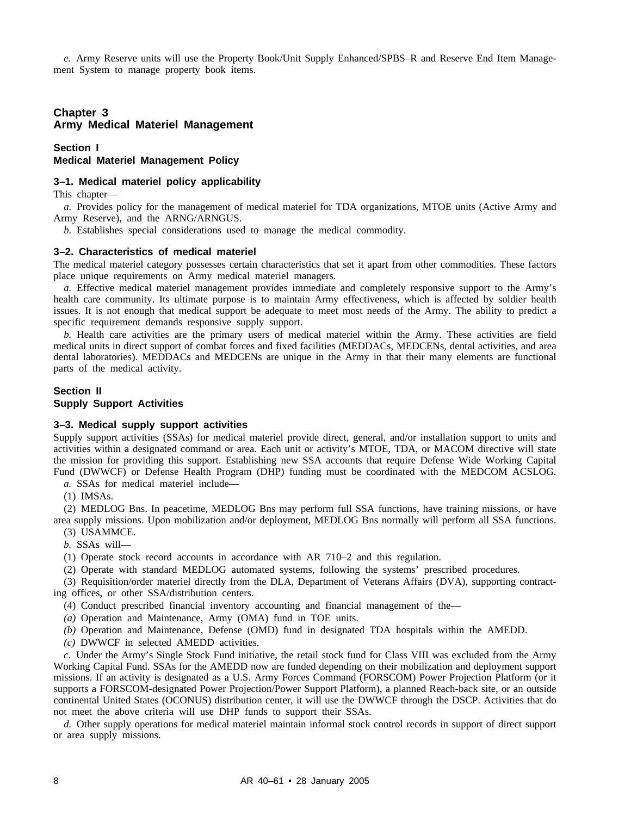*e.* Army Reserve units will use the Property Book/Unit Supply Enhanced/SPBS–R and Reserve End Item Management System to manage property book items.

# **Chapter 3 Army Medical Materiel Management**

#### **Section I Medical Materiel Management Policy**

#### **3–1. Medical materiel policy applicability**

This chapter—

*a.* Provides policy for the management of medical materiel for TDA organizations, MTOE units (Active Army and Army Reserve), and the ARNG/ARNGUS.

*b.* Establishes special considerations used to manage the medical commodity.

#### **3–2. Characteristics of medical materiel**

The medical materiel category possesses certain characteristics that set it apart from other commodities. These factors place unique requirements on Army medical materiel managers.

*a.* Effective medical materiel management provides immediate and completely responsive support to the Army's health care community. Its ultimate purpose is to maintain Army effectiveness, which is affected by soldier health issues. It is not enough that medical support be adequate to meet most needs of the Army. The ability to predict a specific requirement demands responsive supply support.

*b.* Health care activities are the primary users of medical materiel within the Army. These activities are field medical units in direct support of combat forces and fixed facilities (MEDDACs, MEDCENs, dental activities, and area dental laboratories). MEDDACs and MEDCENs are unique in the Army in that their many elements are functional parts of the medical activity.

#### **Section II Supply Support Activities**

#### **3–3. Medical supply support activities**

Supply support activities (SSAs) for medical materiel provide direct, general, and/or installation support to units and activities within a designated command or area. Each unit or activity's MTOE, TDA, or MACOM directive will state the mission for providing this support. Establishing new SSA accounts that require Defense Wide Working Capital Fund (DWWCF) or Defense Health Program (DHP) funding must be coordinated with the MEDCOM ACSLOG.

*a.* SSAs for medical materiel include—

(1) IMSAs.

(2) MEDLOG Bns. In peacetime, MEDLOG Bns may perform full SSA functions, have training missions, or have area supply missions. Upon mobilization and/or deployment, MEDLOG Bns normally will perform all SSA functions.

(3) USAMMCE.

*b.* SSAs will—

(1) Operate stock record accounts in accordance with AR 710–2 and this regulation.

(2) Operate with standard MEDLOG automated systems, following the systems' prescribed procedures.

(3) Requisition/order materiel directly from the DLA, Department of Veterans Affairs (DVA), supporting contracting offices, or other SSA/distribution centers.

(4) Conduct prescribed financial inventory accounting and financial management of the—

*(a)* Operation and Maintenance, Army (OMA) fund in TOE units.

*(b)* Operation and Maintenance, Defense (OMD) fund in designated TDA hospitals within the AMEDD.

*(c)* DWWCF in selected AMEDD activities.

*c.* Under the Army's Single Stock Fund initiative, the retail stock fund for Class VIII was excluded from the Army Working Capital Fund. SSAs for the AMEDD now are funded depending on their mobilization and deployment support missions. If an activity is designated as a U.S. Army Forces Command (FORSCOM) Power Projection Platform (or it supports a FORSCOM-designated Power Projection/Power Support Platform), a planned Reach-back site, or an outside continental United States (OCONUS) distribution center, it will use the DWWCF through the DSCP. Activities that do not meet the above criteria will use DHP funds to support their SSAs.

*d.* Other supply operations for medical materiel maintain informal stock control records in support of direct support or area supply missions.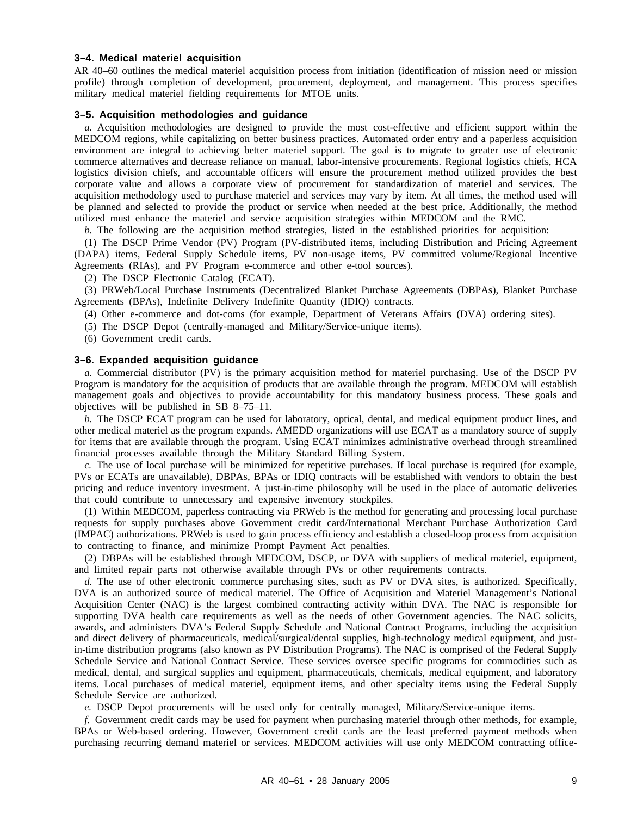#### **3–4. Medical materiel acquisition**

AR 40–60 outlines the medical materiel acquisition process from initiation (identification of mission need or mission profile) through completion of development, procurement, deployment, and management. This process specifies military medical materiel fielding requirements for MTOE units.

#### **3–5. Acquisition methodologies and guidance**

*a.* Acquisition methodologies are designed to provide the most cost-effective and efficient support within the MEDCOM regions, while capitalizing on better business practices. Automated order entry and a paperless acquisition environment are integral to achieving better materiel support. The goal is to migrate to greater use of electronic commerce alternatives and decrease reliance on manual, labor-intensive procurements. Regional logistics chiefs, HCA logistics division chiefs, and accountable officers will ensure the procurement method utilized provides the best corporate value and allows a corporate view of procurement for standardization of materiel and services. The acquisition methodology used to purchase materiel and services may vary by item. At all times, the method used will be planned and selected to provide the product or service when needed at the best price. Additionally, the method utilized must enhance the materiel and service acquisition strategies within MEDCOM and the RMC.

*b.* The following are the acquisition method strategies, listed in the established priorities for acquisition:

(1) The DSCP Prime Vendor (PV) Program (PV-distributed items, including Distribution and Pricing Agreement (DAPA) items, Federal Supply Schedule items, PV non-usage items, PV committed volume/Regional Incentive Agreements (RIAs), and PV Program e-commerce and other e-tool sources).

(2) The DSCP Electronic Catalog (ECAT).

(3) PRWeb/Local Purchase Instruments (Decentralized Blanket Purchase Agreements (DBPAs), Blanket Purchase Agreements (BPAs), Indefinite Delivery Indefinite Quantity (IDIQ) contracts.

(4) Other e-commerce and dot-coms (for example, Department of Veterans Affairs (DVA) ordering sites).

(5) The DSCP Depot (centrally-managed and Military/Service-unique items).

(6) Government credit cards.

#### **3–6. Expanded acquisition guidance**

*a.* Commercial distributor (PV) is the primary acquisition method for materiel purchasing. Use of the DSCP PV Program is mandatory for the acquisition of products that are available through the program. MEDCOM will establish management goals and objectives to provide accountability for this mandatory business process. These goals and objectives will be published in SB 8–75–11.

*b.* The DSCP ECAT program can be used for laboratory, optical, dental, and medical equipment product lines, and other medical materiel as the program expands. AMEDD organizations will use ECAT as a mandatory source of supply for items that are available through the program. Using ECAT minimizes administrative overhead through streamlined financial processes available through the Military Standard Billing System.

*c.* The use of local purchase will be minimized for repetitive purchases. If local purchase is required (for example, PVs or ECATs are unavailable), DBPAs, BPAs or IDIQ contracts will be established with vendors to obtain the best pricing and reduce inventory investment. A just-in-time philosophy will be used in the place of automatic deliveries that could contribute to unnecessary and expensive inventory stockpiles.

(1) Within MEDCOM, paperless contracting via PRWeb is the method for generating and processing local purchase requests for supply purchases above Government credit card/International Merchant Purchase Authorization Card (IMPAC) authorizations. PRWeb is used to gain process efficiency and establish a closed-loop process from acquisition to contracting to finance, and minimize Prompt Payment Act penalties.

(2) DBPAs will be established through MEDCOM, DSCP, or DVA with suppliers of medical materiel, equipment, and limited repair parts not otherwise available through PVs or other requirements contracts.

*d.* The use of other electronic commerce purchasing sites, such as PV or DVA sites, is authorized. Specifically, DVA is an authorized source of medical materiel. The Office of Acquisition and Materiel Management's National Acquisition Center (NAC) is the largest combined contracting activity within DVA. The NAC is responsible for supporting DVA health care requirements as well as the needs of other Government agencies. The NAC solicits, awards, and administers DVA's Federal Supply Schedule and National Contract Programs, including the acquisition and direct delivery of pharmaceuticals, medical/surgical/dental supplies, high-technology medical equipment, and justin-time distribution programs (also known as PV Distribution Programs). The NAC is comprised of the Federal Supply Schedule Service and National Contract Service. These services oversee specific programs for commodities such as medical, dental, and surgical supplies and equipment, pharmaceuticals, chemicals, medical equipment, and laboratory items. Local purchases of medical materiel, equipment items, and other specialty items using the Federal Supply Schedule Service are authorized.

*e.* DSCP Depot procurements will be used only for centrally managed, Military/Service-unique items.

*f.* Government credit cards may be used for payment when purchasing materiel through other methods, for example, BPAs or Web-based ordering. However, Government credit cards are the least preferred payment methods when purchasing recurring demand materiel or services. MEDCOM activities will use only MEDCOM contracting office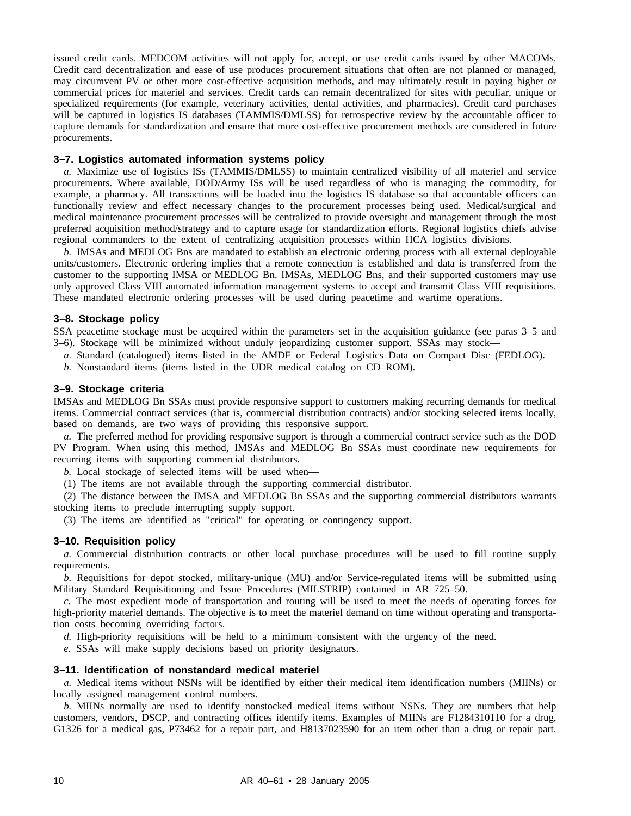issued credit cards. MEDCOM activities will not apply for, accept, or use credit cards issued by other MACOMs. Credit card decentralization and ease of use produces procurement situations that often are not planned or managed, may circumvent PV or other more cost-effective acquisition methods, and may ultimately result in paying higher or commercial prices for materiel and services. Credit cards can remain decentralized for sites with peculiar, unique or specialized requirements (for example, veterinary activities, dental activities, and pharmacies). Credit card purchases will be captured in logistics IS databases (TAMMIS/DMLSS) for retrospective review by the accountable officer to capture demands for standardization and ensure that more cost-effective procurement methods are considered in future procurements.

#### **3–7. Logistics automated information systems policy**

*a.* Maximize use of logistics ISs (TAMMIS/DMLSS) to maintain centralized visibility of all materiel and service procurements. Where available, DOD/Army ISs will be used regardless of who is managing the commodity, for example, a pharmacy. All transactions will be loaded into the logistics IS database so that accountable officers can functionally review and effect necessary changes to the procurement processes being used. Medical/surgical and medical maintenance procurement processes will be centralized to provide oversight and management through the most preferred acquisition method/strategy and to capture usage for standardization efforts. Regional logistics chiefs advise regional commanders to the extent of centralizing acquisition processes within HCA logistics divisions.

*b.* IMSAs and MEDLOG Bns are mandated to establish an electronic ordering process with all external deployable units/customers. Electronic ordering implies that a remote connection is established and data is transferred from the customer to the supporting IMSA or MEDLOG Bn. IMSAs, MEDLOG Bns, and their supported customers may use only approved Class VIII automated information management systems to accept and transmit Class VIII requisitions. These mandated electronic ordering processes will be used during peacetime and wartime operations.

#### **3–8. Stockage policy**

SSA peacetime stockage must be acquired within the parameters set in the acquisition guidance (see paras 3–5 and 3–6). Stockage will be minimized without unduly jeopardizing customer support. SSAs may stock—

- *a.* Standard (catalogued) items listed in the AMDF or Federal Logistics Data on Compact Disc (FEDLOG).
- *b.* Nonstandard items (items listed in the UDR medical catalog on CD–ROM).

#### **3–9. Stockage criteria**

IMSAs and MEDLOG Bn SSAs must provide responsive support to customers making recurring demands for medical items. Commercial contract services (that is, commercial distribution contracts) and/or stocking selected items locally, based on demands, are two ways of providing this responsive support.

*a.* The preferred method for providing responsive support is through a commercial contract service such as the DOD PV Program. When using this method, IMSAs and MEDLOG Bn SSAs must coordinate new requirements for recurring items with supporting commercial distributors.

*b.* Local stockage of selected items will be used when—

(1) The items are not available through the supporting commercial distributor.

(2) The distance between the IMSA and MEDLOG Bn SSAs and the supporting commercial distributors warrants stocking items to preclude interrupting supply support.

(3) The items are identified as "critical" for operating or contingency support.

#### **3–10. Requisition policy**

*a*. Commercial distribution contracts or other local purchase procedures will be used to fill routine supply requirements.

*b.* Requisitions for depot stocked, military-unique (MU) and/or Service-regulated items will be submitted using Military Standard Requisitioning and Issue Procedures (MILSTRIP) contained in AR 725–50.

*c.* The most expedient mode of transportation and routing will be used to meet the needs of operating forces for high-priority materiel demands. The objective is to meet the materiel demand on time without operating and transportation costs becoming overriding factors.

*d.* High-priority requisitions will be held to a minimum consistent with the urgency of the need.

*e.* SSAs will make supply decisions based on priority designators.

#### **3–11. Identification of nonstandard medical materiel**

*a.* Medical items without NSNs will be identified by either their medical item identification numbers (MIINs) or locally assigned management control numbers.

*b.* MIINs normally are used to identify nonstocked medical items without NSNs. They are numbers that help customers, vendors, DSCP, and contracting offices identify items. Examples of MIINs are F1284310110 for a drug, G1326 for a medical gas, P73462 for a repair part, and H8137023590 for an item other than a drug or repair part.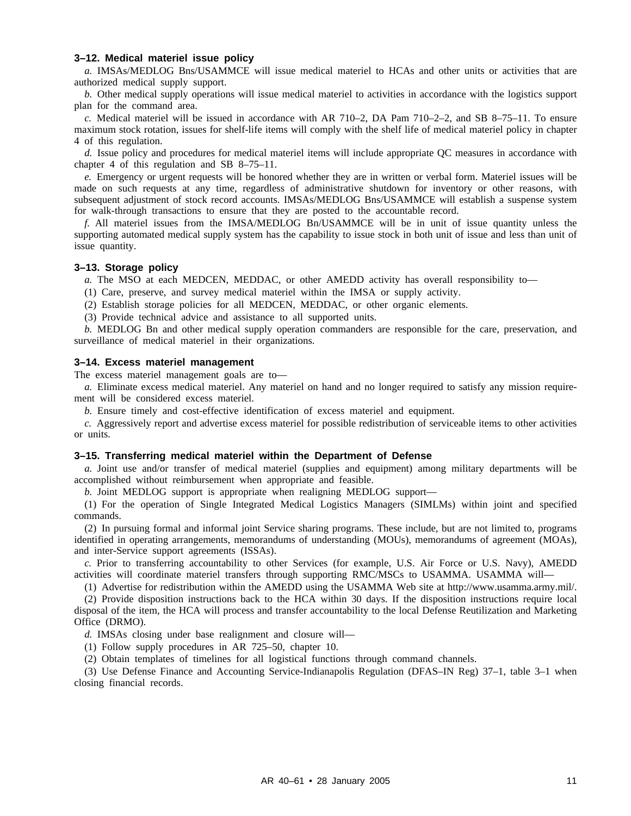#### **3–12. Medical materiel issue policy**

*a.* IMSAs/MEDLOG Bns/USAMMCE will issue medical materiel to HCAs and other units or activities that are authorized medical supply support.

*b.* Other medical supply operations will issue medical materiel to activities in accordance with the logistics support plan for the command area.

*c.* Medical materiel will be issued in accordance with AR 710–2, DA Pam 710–2–2, and SB 8–75–11. To ensure maximum stock rotation, issues for shelf-life items will comply with the shelf life of medical materiel policy in chapter 4 of this regulation.

*d.* Issue policy and procedures for medical materiel items will include appropriate QC measures in accordance with chapter 4 of this regulation and SB 8–75–11.

*e.* Emergency or urgent requests will be honored whether they are in written or verbal form. Materiel issues will be made on such requests at any time, regardless of administrative shutdown for inventory or other reasons, with subsequent adjustment of stock record accounts. IMSAs/MEDLOG Bns/USAMMCE will establish a suspense system for walk-through transactions to ensure that they are posted to the accountable record.

*f.* All materiel issues from the IMSA/MEDLOG Bn/USAMMCE will be in unit of issue quantity unless the supporting automated medical supply system has the capability to issue stock in both unit of issue and less than unit of issue quantity.

#### **3–13. Storage policy**

*a.* The MSO at each MEDCEN, MEDDAC, or other AMEDD activity has overall responsibility to—

- (1) Care, preserve, and survey medical materiel within the IMSA or supply activity.
- (2) Establish storage policies for all MEDCEN, MEDDAC, or other organic elements.
- (3) Provide technical advice and assistance to all supported units.

*b.* MEDLOG Bn and other medical supply operation commanders are responsible for the care, preservation, and surveillance of medical materiel in their organizations.

#### **3–14. Excess materiel management**

The excess materiel management goals are to—

*a.* Eliminate excess medical materiel. Any materiel on hand and no longer required to satisfy any mission requirement will be considered excess materiel.

*b.* Ensure timely and cost-effective identification of excess materiel and equipment.

*c.* Aggressively report and advertise excess materiel for possible redistribution of serviceable items to other activities or units.

#### **3–15. Transferring medical materiel within the Department of Defense**

*a.* Joint use and/or transfer of medical materiel (supplies and equipment) among military departments will be accomplished without reimbursement when appropriate and feasible.

*b.* Joint MEDLOG support is appropriate when realigning MEDLOG support—

(1) For the operation of Single Integrated Medical Logistics Managers (SIMLMs) within joint and specified commands.

(2) In pursuing formal and informal joint Service sharing programs. These include, but are not limited to, programs identified in operating arrangements, memorandums of understanding (MOUs), memorandums of agreement (MOAs), and inter-Service support agreements (ISSAs).

*c.* Prior to transferring accountability to other Services (for example, U.S. Air Force or U.S. Navy), AMEDD activities will coordinate materiel transfers through supporting RMC/MSCs to USAMMA. USAMMA will—

(1) Advertise for redistribution within the AMEDD using the USAMMA Web site at http://www.usamma.army.mil/.

(2) Provide disposition instructions back to the HCA within 30 days. If the disposition instructions require local disposal of the item, the HCA will process and transfer accountability to the local Defense Reutilization and Marketing Office (DRMO).

*d.* IMSAs closing under base realignment and closure will—

(1) Follow supply procedures in AR 725–50, chapter 10.

(2) Obtain templates of timelines for all logistical functions through command channels.

(3) Use Defense Finance and Accounting Service-Indianapolis Regulation (DFAS–IN Reg) 37–1, table 3–1 when closing financial records.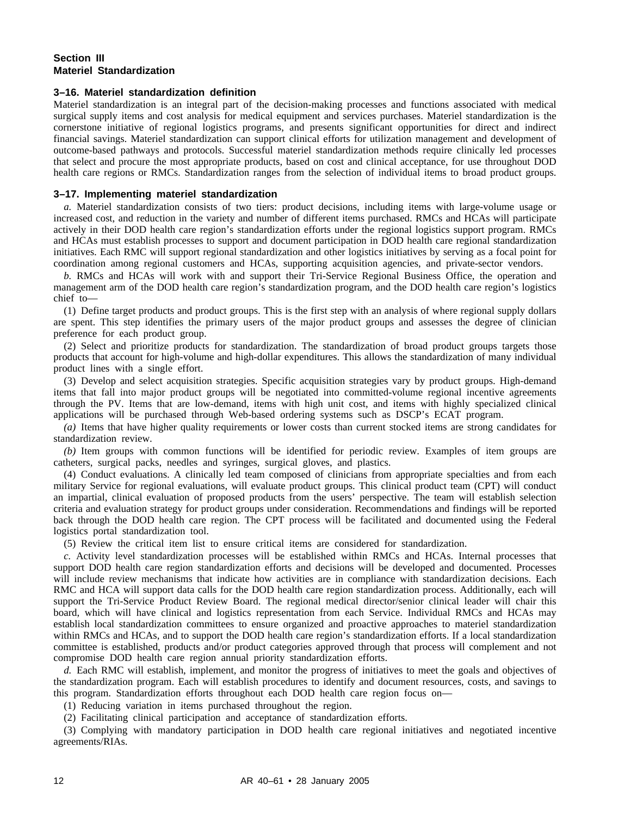#### **Section III Materiel Standardization**

#### **3–16. Materiel standardization definition**

Materiel standardization is an integral part of the decision-making processes and functions associated with medical surgical supply items and cost analysis for medical equipment and services purchases. Materiel standardization is the cornerstone initiative of regional logistics programs, and presents significant opportunities for direct and indirect financial savings. Materiel standardization can support clinical efforts for utilization management and development of outcome-based pathways and protocols. Successful materiel standardization methods require clinically led processes that select and procure the most appropriate products, based on cost and clinical acceptance, for use throughout DOD health care regions or RMCs. Standardization ranges from the selection of individual items to broad product groups.

#### **3–17. Implementing materiel standardization**

*a.* Materiel standardization consists of two tiers: product decisions, including items with large-volume usage or increased cost, and reduction in the variety and number of different items purchased. RMCs and HCAs will participate actively in their DOD health care region's standardization efforts under the regional logistics support program. RMCs and HCAs must establish processes to support and document participation in DOD health care regional standardization initiatives. Each RMC will support regional standardization and other logistics initiatives by serving as a focal point for coordination among regional customers and HCAs, supporting acquisition agencies, and private-sector vendors.

*b.* RMCs and HCAs will work with and support their Tri-Service Regional Business Office, the operation and management arm of the DOD health care region's standardization program, and the DOD health care region's logistics chief to—

(1) Define target products and product groups. This is the first step with an analysis of where regional supply dollars are spent. This step identifies the primary users of the major product groups and assesses the degree of clinician preference for each product group.

(2) Select and prioritize products for standardization. The standardization of broad product groups targets those products that account for high-volume and high-dollar expenditures. This allows the standardization of many individual product lines with a single effort.

(3) Develop and select acquisition strategies. Specific acquisition strategies vary by product groups. High-demand items that fall into major product groups will be negotiated into committed-volume regional incentive agreements through the PV. Items that are low-demand, items with high unit cost, and items with highly specialized clinical applications will be purchased through Web-based ordering systems such as DSCP's ECAT program.

*(a)* Items that have higher quality requirements or lower costs than current stocked items are strong candidates for standardization review.

*(b)* Item groups with common functions will be identified for periodic review. Examples of item groups are catheters, surgical packs, needles and syringes, surgical gloves, and plastics.

(4) Conduct evaluations. A clinically led team composed of clinicians from appropriate specialties and from each military Service for regional evaluations, will evaluate product groups. This clinical product team (CPT) will conduct an impartial, clinical evaluation of proposed products from the users' perspective. The team will establish selection criteria and evaluation strategy for product groups under consideration. Recommendations and findings will be reported back through the DOD health care region. The CPT process will be facilitated and documented using the Federal logistics portal standardization tool.

(5) Review the critical item list to ensure critical items are considered for standardization.

*c.* Activity level standardization processes will be established within RMCs and HCAs. Internal processes that support DOD health care region standardization efforts and decisions will be developed and documented. Processes will include review mechanisms that indicate how activities are in compliance with standardization decisions. Each RMC and HCA will support data calls for the DOD health care region standardization process. Additionally, each will support the Tri-Service Product Review Board. The regional medical director/senior clinical leader will chair this board, which will have clinical and logistics representation from each Service. Individual RMCs and HCAs may establish local standardization committees to ensure organized and proactive approaches to materiel standardization within RMCs and HCAs, and to support the DOD health care region's standardization efforts. If a local standardization committee is established, products and/or product categories approved through that process will complement and not compromise DOD health care region annual priority standardization efforts.

*d.* Each RMC will establish, implement, and monitor the progress of initiatives to meet the goals and objectives of the standardization program. Each will establish procedures to identify and document resources, costs, and savings to this program. Standardization efforts throughout each DOD health care region focus on—

(1) Reducing variation in items purchased throughout the region.

(2) Facilitating clinical participation and acceptance of standardization efforts.

(3) Complying with mandatory participation in DOD health care regional initiatives and negotiated incentive agreements/RIAs.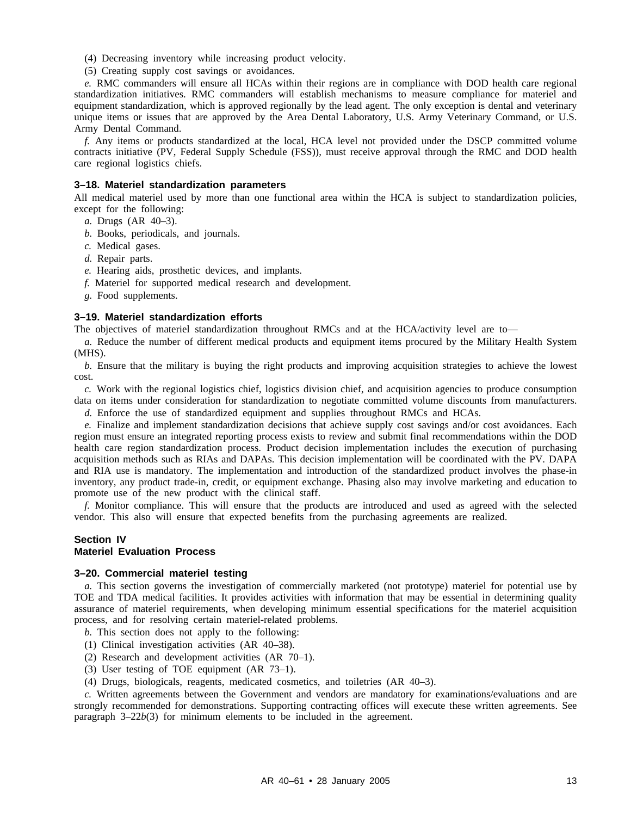(4) Decreasing inventory while increasing product velocity.

(5) Creating supply cost savings or avoidances.

*e.* RMC commanders will ensure all HCAs within their regions are in compliance with DOD health care regional standardization initiatives. RMC commanders will establish mechanisms to measure compliance for materiel and equipment standardization, which is approved regionally by the lead agent. The only exception is dental and veterinary unique items or issues that are approved by the Area Dental Laboratory, U.S. Army Veterinary Command, or U.S. Army Dental Command.

*f.* Any items or products standardized at the local, HCA level not provided under the DSCP committed volume contracts initiative (PV, Federal Supply Schedule (FSS)), must receive approval through the RMC and DOD health care regional logistics chiefs.

#### **3–18. Materiel standardization parameters**

All medical materiel used by more than one functional area within the HCA is subject to standardization policies, except for the following:

- *a.* Drugs (AR 40–3).
- *b.* Books, periodicals, and journals.
- *c.* Medical gases.
- *d.* Repair parts.
- *e.* Hearing aids, prosthetic devices, and implants.
- *f.* Materiel for supported medical research and development.
- *g.* Food supplements.

#### **3–19. Materiel standardization efforts**

The objectives of materiel standardization throughout RMCs and at the HCA/activity level are to—

*a.* Reduce the number of different medical products and equipment items procured by the Military Health System (MHS).

*b.* Ensure that the military is buying the right products and improving acquisition strategies to achieve the lowest cost.

*c.* Work with the regional logistics chief, logistics division chief, and acquisition agencies to produce consumption data on items under consideration for standardization to negotiate committed volume discounts from manufacturers.

*d.* Enforce the use of standardized equipment and supplies throughout RMCs and HCAs.

*e.* Finalize and implement standardization decisions that achieve supply cost savings and/or cost avoidances. Each region must ensure an integrated reporting process exists to review and submit final recommendations within the DOD health care region standardization process. Product decision implementation includes the execution of purchasing acquisition methods such as RIAs and DAPAs. This decision implementation will be coordinated with the PV. DAPA and RIA use is mandatory. The implementation and introduction of the standardized product involves the phase-in inventory, any product trade-in, credit, or equipment exchange. Phasing also may involve marketing and education to promote use of the new product with the clinical staff.

*f.* Monitor compliance. This will ensure that the products are introduced and used as agreed with the selected vendor. This also will ensure that expected benefits from the purchasing agreements are realized.

#### **Section IV Materiel Evaluation Process**

#### **3–20. Commercial materiel testing**

*a.* This section governs the investigation of commercially marketed (not prototype) materiel for potential use by TOE and TDA medical facilities. It provides activities with information that may be essential in determining quality assurance of materiel requirements, when developing minimum essential specifications for the materiel acquisition process, and for resolving certain materiel-related problems.

*b.* This section does not apply to the following:

- (1) Clinical investigation activities (AR 40–38).
- (2) Research and development activities (AR 70–1).
- (3) User testing of TOE equipment (AR 73–1).
- (4) Drugs, biologicals, reagents, medicated cosmetics, and toiletries (AR 40–3).

*c.* Written agreements between the Government and vendors are mandatory for examinations/evaluations and are strongly recommended for demonstrations. Supporting contracting offices will execute these written agreements. See paragraph 3–22*b*(3) for minimum elements to be included in the agreement.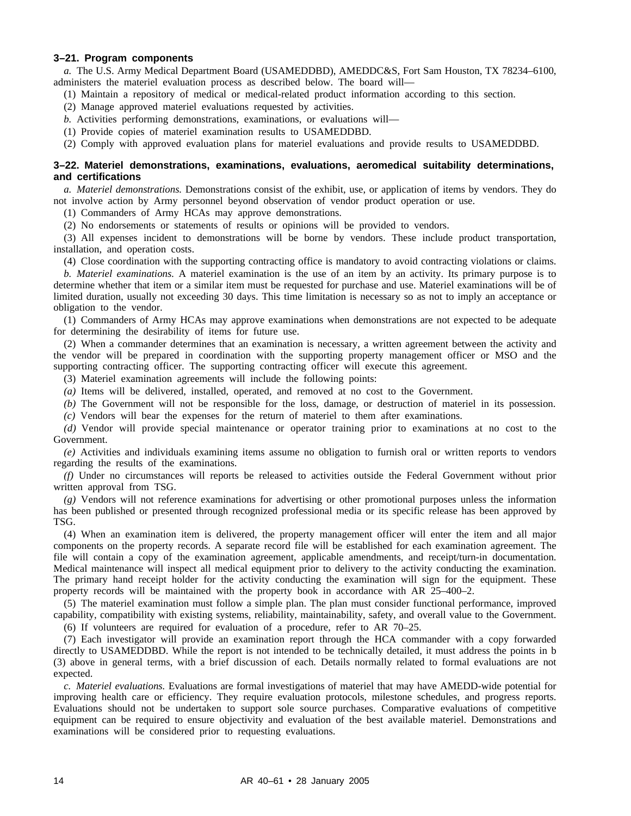#### **3–21. Program components**

*a.* The U.S. Army Medical Department Board (USAMEDDBD), AMEDDC&S, Fort Sam Houston, TX 78234–6100, administers the materiel evaluation process as described below. The board will—

- (1) Maintain a repository of medical or medical-related product information according to this section.
- (2) Manage approved materiel evaluations requested by activities.
- *b.* Activities performing demonstrations, examinations, or evaluations will—
- (1) Provide copies of materiel examination results to USAMEDDBD.
- (2) Comply with approved evaluation plans for materiel evaluations and provide results to USAMEDDBD.

#### **3–22. Materiel demonstrations, examinations, evaluations, aeromedical suitability determinations, and certifications**

*a. Materiel demonstrations.* Demonstrations consist of the exhibit, use, or application of items by vendors. They do not involve action by Army personnel beyond observation of vendor product operation or use.

(1) Commanders of Army HCAs may approve demonstrations.

(2) No endorsements or statements of results or opinions will be provided to vendors.

(3) All expenses incident to demonstrations will be borne by vendors. These include product transportation, installation, and operation costs.

(4) Close coordination with the supporting contracting office is mandatory to avoid contracting violations or claims.

*b. Materiel examinations.* A materiel examination is the use of an item by an activity. Its primary purpose is to determine whether that item or a similar item must be requested for purchase and use. Materiel examinations will be of limited duration, usually not exceeding 30 days. This time limitation is necessary so as not to imply an acceptance or obligation to the vendor.

(1) Commanders of Army HCAs may approve examinations when demonstrations are not expected to be adequate for determining the desirability of items for future use.

(2) When a commander determines that an examination is necessary, a written agreement between the activity and the vendor will be prepared in coordination with the supporting property management officer or MSO and the supporting contracting officer. The supporting contracting officer will execute this agreement.

(3) Materiel examination agreements will include the following points:

- *(a)* Items will be delivered, installed, operated, and removed at no cost to the Government.
- *(b)* The Government will not be responsible for the loss, damage, or destruction of materiel in its possession.
- *(c)* Vendors will bear the expenses for the return of materiel to them after examinations.

*(d)* Vendor will provide special maintenance or operator training prior to examinations at no cost to the Government.

*(e)* Activities and individuals examining items assume no obligation to furnish oral or written reports to vendors regarding the results of the examinations.

*(f)* Under no circumstances will reports be released to activities outside the Federal Government without prior written approval from TSG.

*(g)* Vendors will not reference examinations for advertising or other promotional purposes unless the information has been published or presented through recognized professional media or its specific release has been approved by TSG.

(4) When an examination item is delivered, the property management officer will enter the item and all major components on the property records. A separate record file will be established for each examination agreement. The file will contain a copy of the examination agreement, applicable amendments, and receipt/turn-in documentation. Medical maintenance will inspect all medical equipment prior to delivery to the activity conducting the examination. The primary hand receipt holder for the activity conducting the examination will sign for the equipment. These property records will be maintained with the property book in accordance with AR 25–400–2.

(5) The materiel examination must follow a simple plan. The plan must consider functional performance, improved capability, compatibility with existing systems, reliability, maintainability, safety, and overall value to the Government.

(6) If volunteers are required for evaluation of a procedure, refer to AR 70–25.

(7) Each investigator will provide an examination report through the HCA commander with a copy forwarded directly to USAMEDDBD. While the report is not intended to be technically detailed, it must address the points in b (3) above in general terms, with a brief discussion of each. Details normally related to formal evaluations are not expected.

*c. Materiel evaluations.* Evaluations are formal investigations of materiel that may have AMEDD-wide potential for improving health care or efficiency. They require evaluation protocols, milestone schedules, and progress reports. Evaluations should not be undertaken to support sole source purchases. Comparative evaluations of competitive equipment can be required to ensure objectivity and evaluation of the best available materiel. Demonstrations and examinations will be considered prior to requesting evaluations.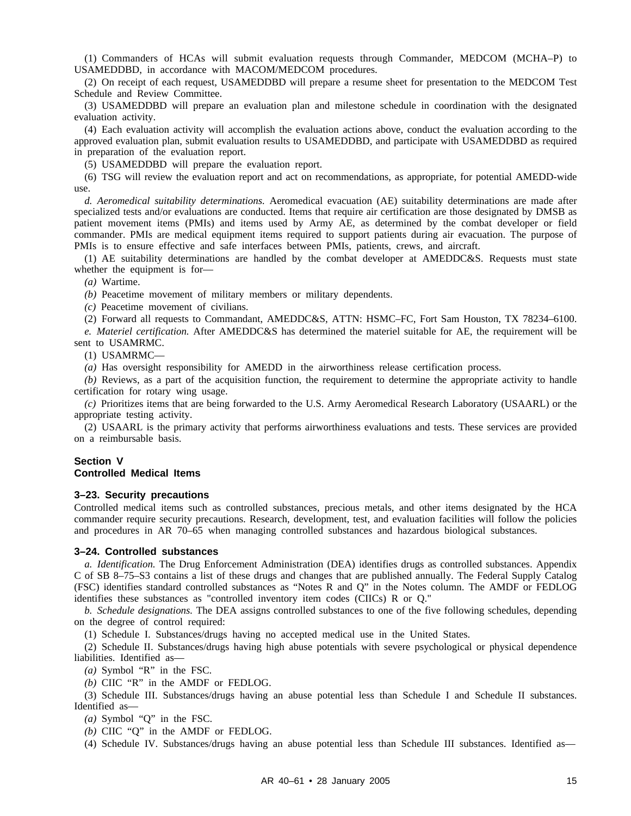(1) Commanders of HCAs will submit evaluation requests through Commander, MEDCOM (MCHA-P) to USAMEDDBD, in accordance with MACOM/MEDCOM procedures.

(2) On receipt of each request, USAMEDDBD will prepare a resume sheet for presentation to the MEDCOM Test Schedule and Review Committee.

(3) USAMEDDBD will prepare an evaluation plan and milestone schedule in coordination with the designated evaluation activity.

(4) Each evaluation activity will accomplish the evaluation actions above, conduct the evaluation according to the approved evaluation plan, submit evaluation results to USAMEDDBD, and participate with USAMEDDBD as required in preparation of the evaluation report.

(5) USAMEDDBD will prepare the evaluation report.

(6) TSG will review the evaluation report and act on recommendations, as appropriate, for potential AMEDD-wide use.

*d. Aeromedical suitability determinations.* Aeromedical evacuation (AE) suitability determinations are made after specialized tests and/or evaluations are conducted. Items that require air certification are those designated by DMSB as patient movement items (PMIs) and items used by Army AE, as determined by the combat developer or field commander. PMIs are medical equipment items required to support patients during air evacuation. The purpose of PMIs is to ensure effective and safe interfaces between PMIs, patients, crews, and aircraft.

(1) AE suitability determinations are handled by the combat developer at AMEDDC&S. Requests must state whether the equipment is for—

*(a)* Wartime.

*(b)* Peacetime movement of military members or military dependents.

*(c)* Peacetime movement of civilians.

(2) Forward all requests to Commandant, AMEDDC&S, ATTN: HSMC–FC, Fort Sam Houston, TX 78234–6100.

*e. Materiel certification.* After AMEDDC&S has determined the materiel suitable for AE, the requirement will be sent to USAMRMC.

(1) USAMRMC—

*(a)* Has oversight responsibility for AMEDD in the airworthiness release certification process.

*(b)* Reviews, as a part of the acquisition function, the requirement to determine the appropriate activity to handle certification for rotary wing usage.

*(c)* Prioritizes items that are being forwarded to the U.S. Army Aeromedical Research Laboratory (USAARL) or the appropriate testing activity.

(2) USAARL is the primary activity that performs airworthiness evaluations and tests. These services are provided on a reimbursable basis.

#### **Section V Controlled Medical Items**

#### **3–23. Security precautions**

Controlled medical items such as controlled substances, precious metals, and other items designated by the HCA commander require security precautions. Research, development, test, and evaluation facilities will follow the policies and procedures in AR 70–65 when managing controlled substances and hazardous biological substances.

#### **3–24. Controlled substances**

*a. Identification.* The Drug Enforcement Administration (DEA) identifies drugs as controlled substances. Appendix C of SB 8–75–S3 contains a list of these drugs and changes that are published annually. The Federal Supply Catalog (FSC) identifies standard controlled substances as "Notes R and Q" in the Notes column. The AMDF or FEDLOG identifies these substances as "controlled inventory item codes (CIICs) R or Q."

*b. Schedule designations.* The DEA assigns controlled substances to one of the five following schedules, depending on the degree of control required:

(1) Schedule I. Substances/drugs having no accepted medical use in the United States.

(2) Schedule II. Substances/drugs having high abuse potentials with severe psychological or physical dependence liabilities. Identified as—

*(a)* Symbol "R" in the FSC.

*(b)* CIIC "R" in the AMDF or FEDLOG.

(3) Schedule III. Substances/drugs having an abuse potential less than Schedule I and Schedule II substances. Identified as—

*(a)* Symbol "Q" in the FSC.

*(b)* CIIC "Q" in the AMDF or FEDLOG.

(4) Schedule IV. Substances/drugs having an abuse potential less than Schedule III substances. Identified as—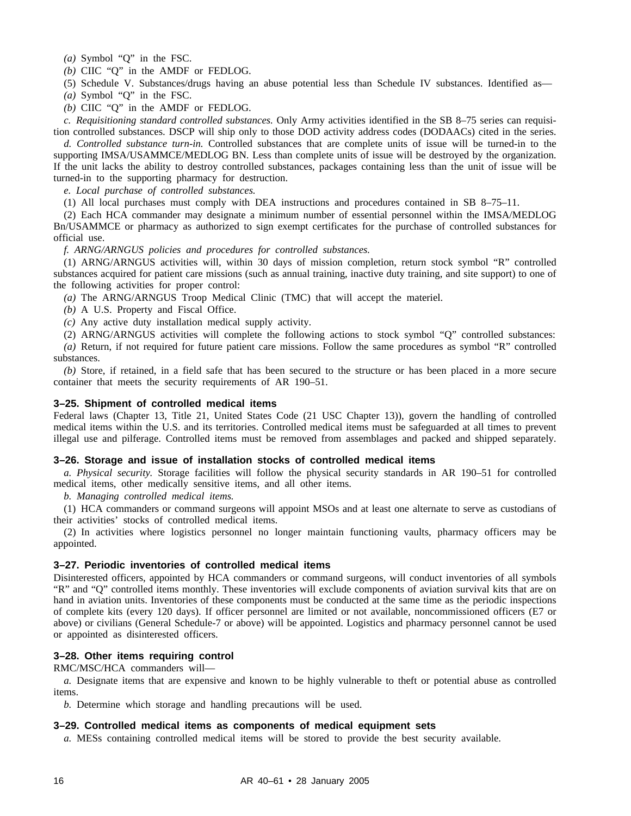*(a)* Symbol "Q" in the FSC.

*(b)* CIIC "Q" in the AMDF or FEDLOG.

(5) Schedule V. Substances/drugs having an abuse potential less than Schedule IV substances. Identified as—

*(a)* Symbol "Q" in the FSC.

*(b)* CIIC "Q" in the AMDF or FEDLOG.

*c. Requisitioning standard controlled substances.* Only Army activities identified in the SB 8–75 series can requisition controlled substances. DSCP will ship only to those DOD activity address codes (DODAACs) cited in the series.

*d. Controlled substance turn-in.* Controlled substances that are complete units of issue will be turned-in to the supporting IMSA/USAMMCE/MEDLOG BN. Less than complete units of issue will be destroyed by the organization. If the unit lacks the ability to destroy controlled substances, packages containing less than the unit of issue will be turned-in to the supporting pharmacy for destruction.

*e. Local purchase of controlled substances.*

(1) All local purchases must comply with DEA instructions and procedures contained in SB 8–75–11.

(2) Each HCA commander may designate a minimum number of essential personnel within the IMSA/MEDLOG Bn/USAMMCE or pharmacy as authorized to sign exempt certificates for the purchase of controlled substances for official use.

*f. ARNG/ARNGUS policies and procedures for controlled substances.*

(1) ARNG/ARNGUS activities will, within 30 days of mission completion, return stock symbol "R" controlled substances acquired for patient care missions (such as annual training, inactive duty training, and site support) to one of the following activities for proper control:

*(a)* The ARNG/ARNGUS Troop Medical Clinic (TMC) that will accept the materiel.

*(b)* A U.S. Property and Fiscal Office.

*(c)* Any active duty installation medical supply activity.

(2) ARNG/ARNGUS activities will complete the following actions to stock symbol "Q" controlled substances: *(a)* Return, if not required for future patient care missions. Follow the same procedures as symbol "R" controlled substances.

*(b)* Store, if retained, in a field safe that has been secured to the structure or has been placed in a more secure container that meets the security requirements of AR 190–51.

#### **3–25. Shipment of controlled medical items**

Federal laws (Chapter 13, Title 21, United States Code (21 USC Chapter 13)), govern the handling of controlled medical items within the U.S. and its territories. Controlled medical items must be safeguarded at all times to prevent illegal use and pilferage. Controlled items must be removed from assemblages and packed and shipped separately.

#### **3–26. Storage and issue of installation stocks of controlled medical items**

*a. Physical security.* Storage facilities will follow the physical security standards in AR 190–51 for controlled medical items, other medically sensitive items, and all other items.

*b. Managing controlled medical items.*

(1) HCA commanders or command surgeons will appoint MSOs and at least one alternate to serve as custodians of their activities' stocks of controlled medical items.

(2) In activities where logistics personnel no longer maintain functioning vaults, pharmacy officers may be appointed.

#### **3–27. Periodic inventories of controlled medical items**

Disinterested officers, appointed by HCA commanders or command surgeons, will conduct inventories of all symbols "R" and "Q" controlled items monthly. These inventories will exclude components of aviation survival kits that are on hand in aviation units. Inventories of these components must be conducted at the same time as the periodic inspections of complete kits (every 120 days). If officer personnel are limited or not available, noncommissioned officers (E7 or above) or civilians (General Schedule-7 or above) will be appointed. Logistics and pharmacy personnel cannot be used or appointed as disinterested officers.

#### **3–28. Other items requiring control**

RMC/MSC/HCA commanders will—

*a.* Designate items that are expensive and known to be highly vulnerable to theft or potential abuse as controlled items.

*b.* Determine which storage and handling precautions will be used.

#### **3–29. Controlled medical items as components of medical equipment sets**

*a.* MESs containing controlled medical items will be stored to provide the best security available.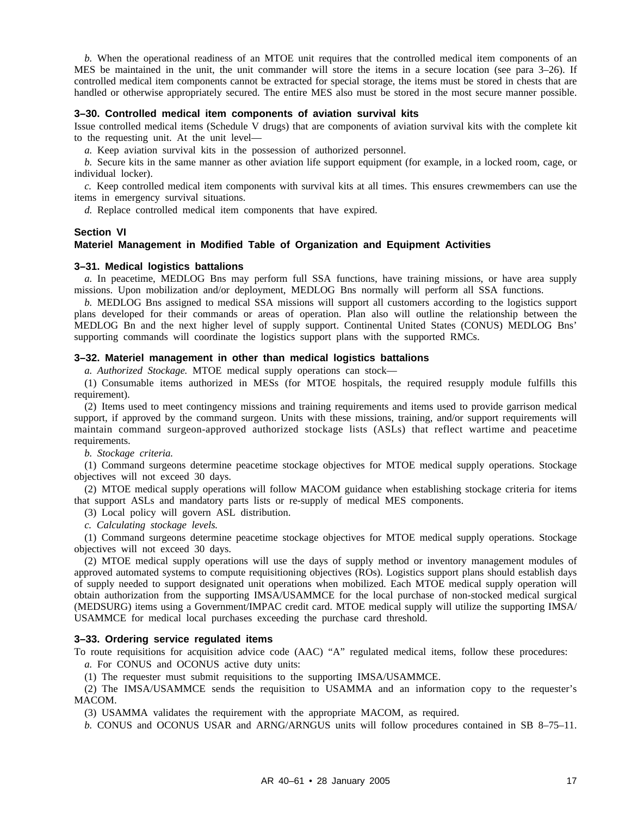*b.* When the operational readiness of an MTOE unit requires that the controlled medical item components of an MES be maintained in the unit, the unit commander will store the items in a secure location (see para 3–26). If controlled medical item components cannot be extracted for special storage, the items must be stored in chests that are handled or otherwise appropriately secured. The entire MES also must be stored in the most secure manner possible.

#### **3–30. Controlled medical item components of aviation survival kits**

Issue controlled medical items (Schedule V drugs) that are components of aviation survival kits with the complete kit to the requesting unit. At the unit level—

*a.* Keep aviation survival kits in the possession of authorized personnel.

*b.* Secure kits in the same manner as other aviation life support equipment (for example, in a locked room, cage, or individual locker).

*c.* Keep controlled medical item components with survival kits at all times. This ensures crewmembers can use the items in emergency survival situations.

*d.* Replace controlled medical item components that have expired.

#### **Section VI**

#### **Materiel Management in Modified Table of Organization and Equipment Activities**

#### **3–31. Medical logistics battalions**

*a.* In peacetime, MEDLOG Bns may perform full SSA functions, have training missions, or have area supply missions. Upon mobilization and/or deployment, MEDLOG Bns normally will perform all SSA functions.

*b.* MEDLOG Bns assigned to medical SSA missions will support all customers according to the logistics support plans developed for their commands or areas of operation. Plan also will outline the relationship between the MEDLOG Bn and the next higher level of supply support. Continental United States (CONUS) MEDLOG Bns' supporting commands will coordinate the logistics support plans with the supported RMCs.

#### **3–32. Materiel management in other than medical logistics battalions**

*a. Authorized Stockage.* MTOE medical supply operations can stock—

(1) Consumable items authorized in MESs (for MTOE hospitals, the required resupply module fulfills this requirement).

(2) Items used to meet contingency missions and training requirements and items used to provide garrison medical support, if approved by the command surgeon. Units with these missions, training, and/or support requirements will maintain command surgeon-approved authorized stockage lists (ASLs) that reflect wartime and peacetime requirements.

*b. Stockage criteria.*

(1) Command surgeons determine peacetime stockage objectives for MTOE medical supply operations. Stockage objectives will not exceed 30 days.

(2) MTOE medical supply operations will follow MACOM guidance when establishing stockage criteria for items that support ASLs and mandatory parts lists or re-supply of medical MES components.

(3) Local policy will govern ASL distribution.

*c. Calculating stockage levels.*

(1) Command surgeons determine peacetime stockage objectives for MTOE medical supply operations. Stockage objectives will not exceed 30 days.

(2) MTOE medical supply operations will use the days of supply method or inventory management modules of approved automated systems to compute requisitioning objectives (ROs). Logistics support plans should establish days of supply needed to support designated unit operations when mobilized. Each MTOE medical supply operation will obtain authorization from the supporting IMSA/USAMMCE for the local purchase of non-stocked medical surgical (MEDSURG) items using a Government/IMPAC credit card. MTOE medical supply will utilize the supporting IMSA/ USAMMCE for medical local purchases exceeding the purchase card threshold.

#### **3–33. Ordering service regulated items**

To route requisitions for acquisition advice code (AAC) "A" regulated medical items, follow these procedures:

*a.* For CONUS and OCONUS active duty units:

(1) The requester must submit requisitions to the supporting IMSA/USAMMCE.

 $(2)$  The IMSA/USAMMCE sends the requisition to USAMMA and an information copy to the requester's MACOM.

(3) USAMMA validates the requirement with the appropriate MACOM, as required.

*b.* CONUS and OCONUS USAR and ARNG/ARNGUS units will follow procedures contained in SB 8–75–11.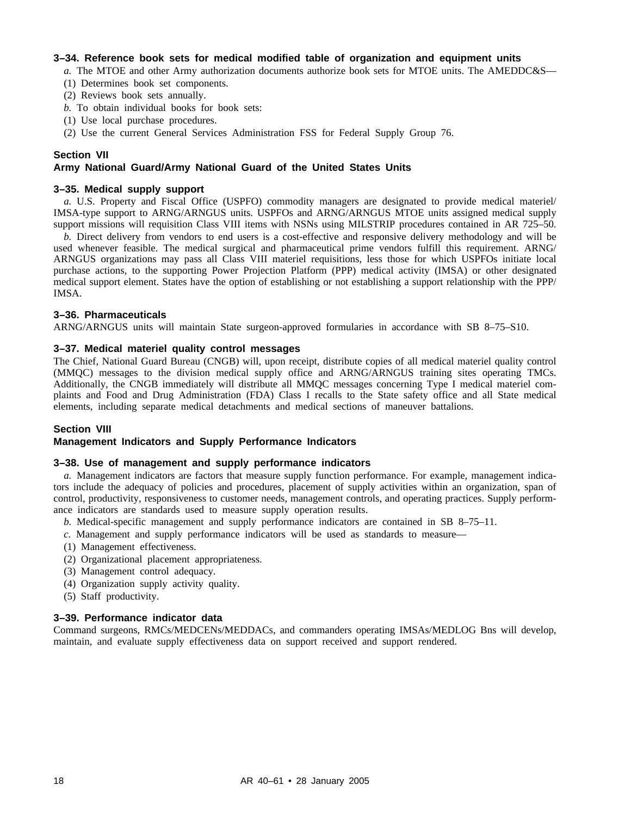#### **3–34. Reference book sets for medical modified table of organization and equipment units**

- *a.* The MTOE and other Army authorization documents authorize book sets for MTOE units. The AMEDDC&S—
- (1) Determines book set components.
- (2) Reviews book sets annually.
- *b.* To obtain individual books for book sets:
- (1) Use local purchase procedures.
- (2) Use the current General Services Administration FSS for Federal Supply Group 76.

#### **Section VII**

#### **Army National Guard/Army National Guard of the United States Units**

#### **3–35. Medical supply support**

*a.* U.S. Property and Fiscal Office (USPFO) commodity managers are designated to provide medical materiel/ IMSA-type support to ARNG/ARNGUS units. USPFOs and ARNG/ARNGUS MTOE units assigned medical supply support missions will requisition Class VIII items with NSNs using MILSTRIP procedures contained in AR 725–50.

*b.* Direct delivery from vendors to end users is a cost-effective and responsive delivery methodology and will be used whenever feasible. The medical surgical and pharmaceutical prime vendors fulfill this requirement. ARNG/ ARNGUS organizations may pass all Class VIII materiel requisitions, less those for which USPFOs initiate local purchase actions, to the supporting Power Projection Platform (PPP) medical activity (IMSA) or other designated medical support element. States have the option of establishing or not establishing a support relationship with the PPP/ IMSA.

#### **3–36. Pharmaceuticals**

ARNG/ARNGUS units will maintain State surgeon-approved formularies in accordance with SB 8–75–S10.

#### **3–37. Medical materiel quality control messages**

The Chief, National Guard Bureau (CNGB) will, upon receipt, distribute copies of all medical materiel quality control (MMQC) messages to the division medical supply office and ARNG/ARNGUS training sites operating TMCs. Additionally, the CNGB immediately will distribute all MMQC messages concerning Type I medical materiel complaints and Food and Drug Administration (FDA) Class I recalls to the State safety office and all State medical elements, including separate medical detachments and medical sections of maneuver battalions.

#### **Section VIII**

# **Management Indicators and Supply Performance Indicators**

#### **3–38. Use of management and supply performance indicators**

*a.* Management indicators are factors that measure supply function performance. For example, management indicators include the adequacy of policies and procedures, placement of supply activities within an organization, span of control, productivity, responsiveness to customer needs, management controls, and operating practices. Supply performance indicators are standards used to measure supply operation results.

- *b.* Medical-specific management and supply performance indicators are contained in SB 8–75–11.
- *c.* Management and supply performance indicators will be used as standards to measure—
- (1) Management effectiveness.
- (2) Organizational placement appropriateness.
- (3) Management control adequacy.
- (4) Organization supply activity quality.
- (5) Staff productivity.

#### **3–39. Performance indicator data**

Command surgeons, RMCs/MEDCENs/MEDDACs, and commanders operating IMSAs/MEDLOG Bns will develop, maintain, and evaluate supply effectiveness data on support received and support rendered.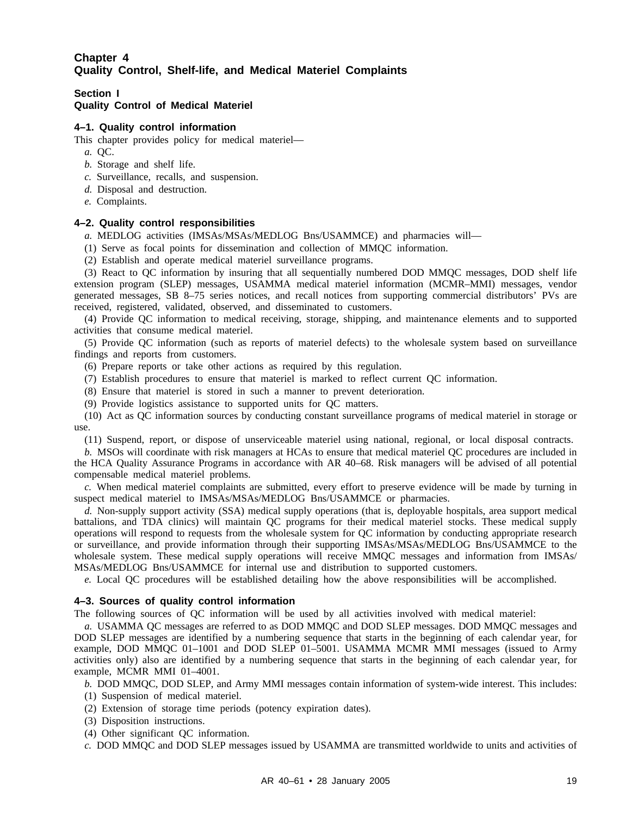# **Chapter 4 Quality Control, Shelf-life, and Medical Materiel Complaints**

#### **Section I Quality Control of Medical Materiel**

#### **4–1. Quality control information**

This chapter provides policy for medical materiel—

- *a.* QC.
- *b.* Storage and shelf life.
- *c.* Surveillance, recalls, and suspension.
- *d.* Disposal and destruction.
- *e.* Complaints.

#### **4–2. Quality control responsibilities**

*a.* MEDLOG activities (IMSAs/MSAs/MEDLOG Bns/USAMMCE) and pharmacies will—

(1) Serve as focal points for dissemination and collection of MMQC information.

(2) Establish and operate medical materiel surveillance programs.

(3) React to QC information by insuring that all sequentially numbered DOD MMQC messages, DOD shelf life extension program (SLEP) messages, USAMMA medical materiel information (MCMR–MMI) messages, vendor generated messages, SB 8–75 series notices, and recall notices from supporting commercial distributors' PVs are received, registered, validated, observed, and disseminated to customers.

(4) Provide QC information to medical receiving, storage, shipping, and maintenance elements and to supported activities that consume medical materiel.

(5) Provide QC information (such as reports of materiel defects) to the wholesale system based on surveillance findings and reports from customers.

- (6) Prepare reports or take other actions as required by this regulation.
- (7) Establish procedures to ensure that materiel is marked to reflect current QC information.
- (8) Ensure that materiel is stored in such a manner to prevent deterioration.
- (9) Provide logistics assistance to supported units for QC matters.

(10) Act as QC information sources by conducting constant surveillance programs of medical materiel in storage or use.

(11) Suspend, report, or dispose of unserviceable materiel using national, regional, or local disposal contracts.

*b.* MSOs will coordinate with risk managers at HCAs to ensure that medical materiel QC procedures are included in the HCA Quality Assurance Programs in accordance with AR 40–68. Risk managers will be advised of all potential compensable medical materiel problems.

*c.* When medical materiel complaints are submitted, every effort to preserve evidence will be made by turning in suspect medical materiel to IMSAs/MSAs/MEDLOG Bns/USAMMCE or pharmacies.

*d.* Non-supply support activity (SSA) medical supply operations (that is, deployable hospitals, area support medical battalions, and TDA clinics) will maintain QC programs for their medical materiel stocks. These medical supply operations will respond to requests from the wholesale system for QC information by conducting appropriate research or surveillance, and provide information through their supporting IMSAs/MSAs/MEDLOG Bns/USAMMCE to the wholesale system. These medical supply operations will receive MMQC messages and information from IMSAs/ MSAs/MEDLOG Bns/USAMMCE for internal use and distribution to supported customers.

*e.* Local QC procedures will be established detailing how the above responsibilities will be accomplished.

#### **4–3. Sources of quality control information**

The following sources of QC information will be used by all activities involved with medical materiel:

*a.* USAMMA QC messages are referred to as DOD MMQC and DOD SLEP messages. DOD MMQC messages and DOD SLEP messages are identified by a numbering sequence that starts in the beginning of each calendar year, for example, DOD MMQC 01–1001 and DOD SLEP 01–5001. USAMMA MCMR MMI messages (issued to Army activities only) also are identified by a numbering sequence that starts in the beginning of each calendar year, for example, MCMR MMI 01–4001.

*b.* DOD MMQC, DOD SLEP, and Army MMI messages contain information of system-wide interest. This includes:

- (1) Suspension of medical materiel.
- (2) Extension of storage time periods (potency expiration dates).
- (3) Disposition instructions.
- (4) Other significant QC information.

*c.* DOD MMQC and DOD SLEP messages issued by USAMMA are transmitted worldwide to units and activities of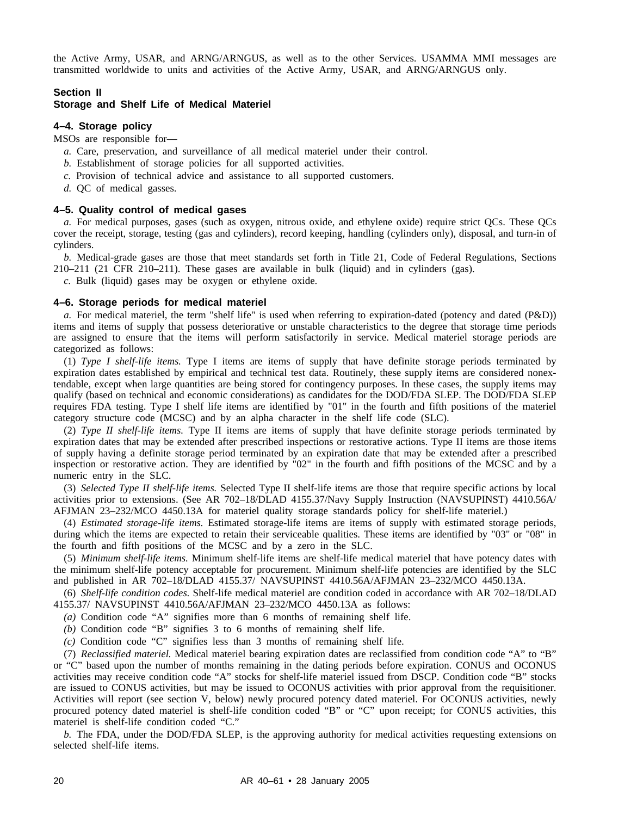the Active Army, USAR, and ARNG/ARNGUS, as well as to the other Services. USAMMA MMI messages are transmitted worldwide to units and activities of the Active Army, USAR, and ARNG/ARNGUS only.

#### **Section II**

#### **Storage and Shelf Life of Medical Materiel**

## **4–4. Storage policy**

MSOs are responsible for—

- *a.* Care, preservation, and surveillance of all medical materiel under their control.
- *b.* Establishment of storage policies for all supported activities.
- *c.* Provision of technical advice and assistance to all supported customers.
- *d.* QC of medical gasses.

#### **4–5. Quality control of medical gases**

*a.* For medical purposes, gases (such as oxygen, nitrous oxide, and ethylene oxide) require strict QCs. These QCs cover the receipt, storage, testing (gas and cylinders), record keeping, handling (cylinders only), disposal, and turn-in of cylinders.

*b.* Medical-grade gases are those that meet standards set forth in Title 21, Code of Federal Regulations, Sections 210–211 (21 CFR 210–211). These gases are available in bulk (liquid) and in cylinders (gas).

*c.* Bulk (liquid) gases may be oxygen or ethylene oxide.

#### **4–6. Storage periods for medical materiel**

*a.* For medical materiel, the term "shelf life" is used when referring to expiration-dated (potency and dated (P&D)) items and items of supply that possess deteriorative or unstable characteristics to the degree that storage time periods are assigned to ensure that the items will perform satisfactorily in service. Medical materiel storage periods are categorized as follows:

(1) *Type I shelf-life items.* Type I items are items of supply that have definite storage periods terminated by expiration dates established by empirical and technical test data. Routinely, these supply items are considered nonextendable, except when large quantities are being stored for contingency purposes. In these cases, the supply items may qualify (based on technical and economic considerations) as candidates for the DOD/FDA SLEP. The DOD/FDA SLEP requires FDA testing. Type I shelf life items are identified by "01" in the fourth and fifth positions of the materiel category structure code (MCSC) and by an alpha character in the shelf life code (SLC).

(2) *Type II shelf-life items.* Type II items are items of supply that have definite storage periods terminated by expiration dates that may be extended after prescribed inspections or restorative actions. Type II items are those items of supply having a definite storage period terminated by an expiration date that may be extended after a prescribed inspection or restorative action. They are identified by "02" in the fourth and fifth positions of the MCSC and by a numeric entry in the SLC.

(3) *Selected Type II shelf-life items.* Selected Type II shelf-life items are those that require specific actions by local activities prior to extensions. (See AR 702–18/DLAD 4155.37/Navy Supply Instruction (NAVSUPINST) 4410.56A/ AFJMAN 23–232/MCO 4450.13A for materiel quality storage standards policy for shelf-life materiel.)

(4) *Estimated storage-life items.* Estimated storage-life items are items of supply with estimated storage periods, during which the items are expected to retain their serviceable qualities. These items are identified by "03" or "08" in the fourth and fifth positions of the MCSC and by a zero in the SLC.

(5) *Minimum shelf-life items.* Minimum shelf-life items are shelf-life medical materiel that have potency dates with the minimum shelf-life potency acceptable for procurement. Minimum shelf-life potencies are identified by the SLC and published in AR 702–18/DLAD 4155.37/ NAVSUPINST 4410.56A/AFJMAN 23–232/MCO 4450.13A.

(6) *Shelf-life condition codes.* Shelf-life medical materiel are condition coded in accordance with AR 702–18/DLAD 4155.37/ NAVSUPINST 4410.56A/AFJMAN 23–232/MCO 4450.13A as follows:

*(a)* Condition code "A" signifies more than 6 months of remaining shelf life.

*(b)* Condition code "B" signifies 3 to 6 months of remaining shelf life.

*(c)* Condition code "C" signifies less than 3 months of remaining shelf life.

(7) *Reclassified materiel.* Medical materiel bearing expiration dates are reclassified from condition code "A" to "B" or "C" based upon the number of months remaining in the dating periods before expiration. CONUS and OCONUS activities may receive condition code "A" stocks for shelf-life materiel issued from DSCP. Condition code "B" stocks are issued to CONUS activities, but may be issued to OCONUS activities with prior approval from the requisitioner. Activities will report (see section V, below) newly procured potency dated materiel. For OCONUS activities, newly procured potency dated materiel is shelf-life condition coded "B" or "C" upon receipt; for CONUS activities, this materiel is shelf-life condition coded "C."

*b.* The FDA, under the DOD/FDA SLEP, is the approving authority for medical activities requesting extensions on selected shelf-life items.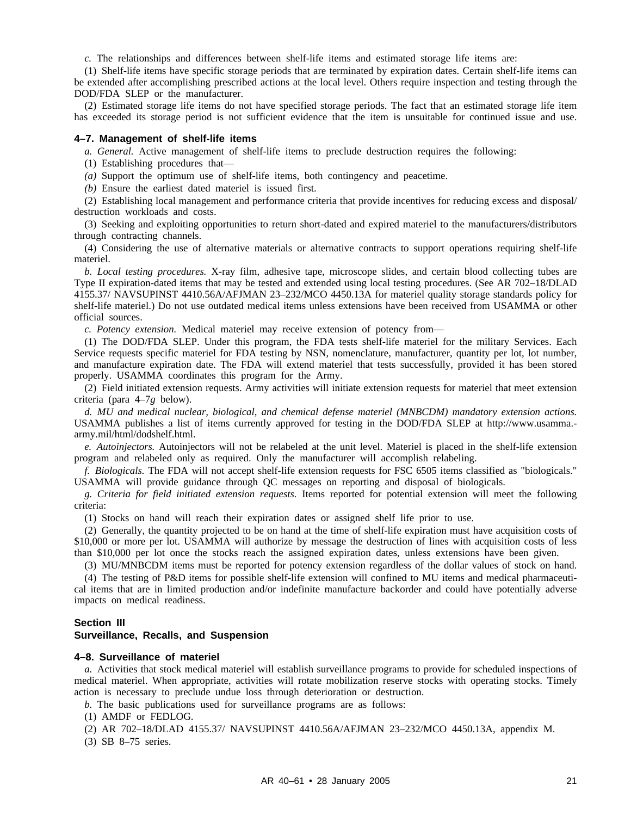*c.* The relationships and differences between shelf-life items and estimated storage life items are:

(1) Shelf-life items have specific storage periods that are terminated by expiration dates. Certain shelf-life items can be extended after accomplishing prescribed actions at the local level. Others require inspection and testing through the DOD/FDA SLEP or the manufacturer.

(2) Estimated storage life items do not have specified storage periods. The fact that an estimated storage life item has exceeded its storage period is not sufficient evidence that the item is unsuitable for continued issue and use.

#### **4–7. Management of shelf-life items**

*a. General.* Active management of shelf-life items to preclude destruction requires the following:

(1) Establishing procedures that—

*(a)* Support the optimum use of shelf-life items, both contingency and peacetime.

*(b)* Ensure the earliest dated materiel is issued first.

(2) Establishing local management and performance criteria that provide incentives for reducing excess and disposal/ destruction workloads and costs.

(3) Seeking and exploiting opportunities to return short-dated and expired materiel to the manufacturers/distributors through contracting channels.

(4) Considering the use of alternative materials or alternative contracts to support operations requiring shelf-life materiel.

*b. Local testing procedures.* X-ray film, adhesive tape, microscope slides, and certain blood collecting tubes are Type II expiration-dated items that may be tested and extended using local testing procedures. (See AR 702–18/DLAD 4155.37/ NAVSUPINST 4410.56A/AFJMAN 23–232/MCO 4450.13A for materiel quality storage standards policy for shelf-life materiel.) Do not use outdated medical items unless extensions have been received from USAMMA or other official sources.

*c. Potency extension.* Medical materiel may receive extension of potency from—

(1) The DOD/FDA SLEP. Under this program, the FDA tests shelf-life materiel for the military Services. Each Service requests specific materiel for FDA testing by NSN, nomenclature, manufacturer, quantity per lot, lot number, and manufacture expiration date. The FDA will extend materiel that tests successfully, provided it has been stored properly. USAMMA coordinates this program for the Army.

(2) Field initiated extension requests. Army activities will initiate extension requests for materiel that meet extension criteria (para 4–7*g* below).

*d. MU and medical nuclear, biological, and chemical defense materiel (MNBCDM) mandatory extension actions.* USAMMA publishes a list of items currently approved for testing in the DOD/FDA SLEP at http://www.usamma. army.mil/html/dodshelf.html.

*e. Autoinjectors.* Autoinjectors will not be relabeled at the unit level. Materiel is placed in the shelf-life extension program and relabeled only as required. Only the manufacturer will accomplish relabeling.

*f. Biologicals.* The FDA will not accept shelf-life extension requests for FSC 6505 items classified as "biologicals." USAMMA will provide guidance through QC messages on reporting and disposal of biologicals.

*g. Criteria for field initiated extension requests.* Items reported for potential extension will meet the following criteria:

(1) Stocks on hand will reach their expiration dates or assigned shelf life prior to use.

(2) Generally, the quantity projected to be on hand at the time of shelf-life expiration must have acquisition costs of \$10,000 or more per lot. USAMMA will authorize by message the destruction of lines with acquisition costs of less than \$10,000 per lot once the stocks reach the assigned expiration dates, unless extensions have been given.

(3) MU/MNBCDM items must be reported for potency extension regardless of the dollar values of stock on hand.

(4) The testing of P&D items for possible shelf-life extension will confined to MU items and medical pharmaceutical items that are in limited production and/or indefinite manufacture backorder and could have potentially adverse impacts on medical readiness.

#### **Section III**

#### **Surveillance, Recalls, and Suspension**

#### **4–8. Surveillance of materiel**

*a.* Activities that stock medical materiel will establish surveillance programs to provide for scheduled inspections of medical materiel. When appropriate, activities will rotate mobilization reserve stocks with operating stocks. Timely action is necessary to preclude undue loss through deterioration or destruction.

*b.* The basic publications used for surveillance programs are as follows:

(1) AMDF or FEDLOG.

(2) AR 702–18/DLAD 4155.37/ NAVSUPINST 4410.56A/AFJMAN 23–232/MCO 4450.13A, appendix M.

(3) SB 8–75 series.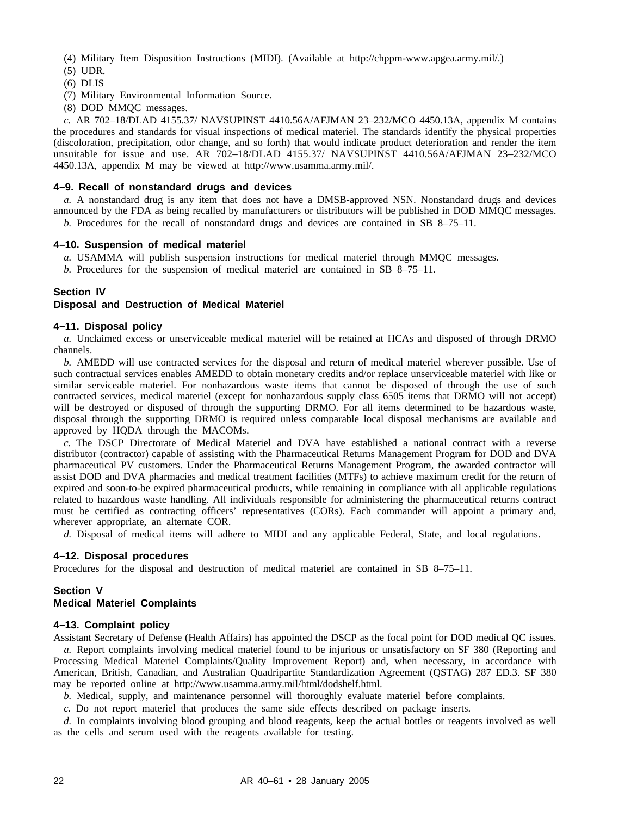(4) Military Item Disposition Instructions (MIDI). (Available at http://chppm-www.apgea.army.mil/.)

- (5) UDR.
- (6) DLIS
- (7) Military Environmental Information Source.
- (8) DOD MMQC messages.

*c.* AR 702–18/DLAD 4155.37/ NAVSUPINST 4410.56A/AFJMAN 23–232/MCO 4450.13A, appendix M contains the procedures and standards for visual inspections of medical materiel. The standards identify the physical properties (discoloration, precipitation, odor change, and so forth) that would indicate product deterioration and render the item unsuitable for issue and use. AR  $\overline{702-18/DLAD}$  4155.37/ NAVSUPINST 4410.56A/AFJMAN 23-232/MCO 4450.13A, appendix M may be viewed at http://www.usamma.army.mil/.

#### **4–9. Recall of nonstandard drugs and devices**

*a.* A nonstandard drug is any item that does not have a DMSB-approved NSN. Nonstandard drugs and devices announced by the FDA as being recalled by manufacturers or distributors will be published in DOD MMQC messages. *b.* Procedures for the recall of nonstandard drugs and devices are contained in SB 8–75–11.

#### **4–10. Suspension of medical materiel**

- *a.* USAMMA will publish suspension instructions for medical materiel through MMQC messages.
- *b.* Procedures for the suspension of medical materiel are contained in SB 8–75–11.

#### **Section IV**

#### **Disposal and Destruction of Medical Materiel**

#### **4–11. Disposal policy**

*a.* Unclaimed excess or unserviceable medical materiel will be retained at HCAs and disposed of through DRMO channels.

*b.* AMEDD will use contracted services for the disposal and return of medical materiel wherever possible. Use of such contractual services enables AMEDD to obtain monetary credits and/or replace unserviceable materiel with like or similar serviceable materiel. For nonhazardous waste items that cannot be disposed of through the use of such contracted services, medical materiel (except for nonhazardous supply class 6505 items that DRMO will not accept) will be destroyed or disposed of through the supporting DRMO. For all items determined to be hazardous waste, disposal through the supporting DRMO is required unless comparable local disposal mechanisms are available and approved by HQDA through the MACOMs.

*c.* The DSCP Directorate of Medical Materiel and DVA have established a national contract with a reverse distributor (contractor) capable of assisting with the Pharmaceutical Returns Management Program for DOD and DVA pharmaceutical PV customers. Under the Pharmaceutical Returns Management Program, the awarded contractor will assist DOD and DVA pharmacies and medical treatment facilities (MTFs) to achieve maximum credit for the return of expired and soon-to-be expired pharmaceutical products, while remaining in compliance with all applicable regulations related to hazardous waste handling. All individuals responsible for administering the pharmaceutical returns contract must be certified as contracting officers' representatives (CORs). Each commander will appoint a primary and, wherever appropriate, an alternate COR.

*d.* Disposal of medical items will adhere to MIDI and any applicable Federal, State, and local regulations.

#### **4–12. Disposal procedures**

Procedures for the disposal and destruction of medical materiel are contained in SB 8–75–11.

#### **Section V Medical Materiel Complaints**

#### **4–13. Complaint policy**

Assistant Secretary of Defense (Health Affairs) has appointed the DSCP as the focal point for DOD medical QC issues. *a.* Report complaints involving medical materiel found to be injurious or unsatisfactory on SF 380 (Reporting and Processing Medical Materiel Complaints/Quality Improvement Report) and, when necessary, in accordance with American, British, Canadian, and Australian Quadripartite Standardization Agreement (QSTAG) 287 ED.3. SF 380 may be reported online at http://www.usamma.army.mil/html/dodshelf.html.

*b.* Medical, supply, and maintenance personnel will thoroughly evaluate materiel before complaints.

*c.* Do not report materiel that produces the same side effects described on package inserts.

*d.* In complaints involving blood grouping and blood reagents, keep the actual bottles or reagents involved as well as the cells and serum used with the reagents available for testing.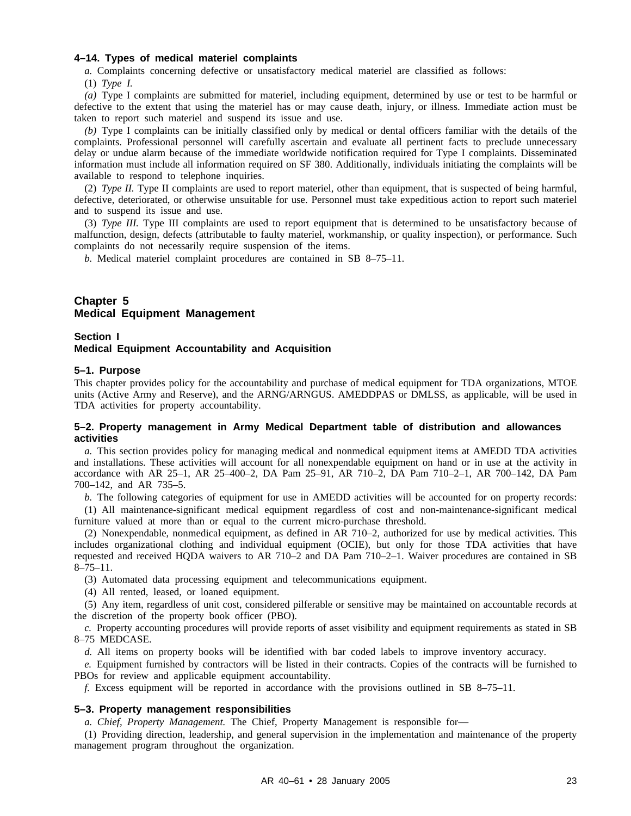#### **4–14. Types of medical materiel complaints**

*a.* Complaints concerning defective or unsatisfactory medical materiel are classified as follows:

(1) *Type I.*

*(a)* Type I complaints are submitted for materiel, including equipment, determined by use or test to be harmful or defective to the extent that using the materiel has or may cause death, injury, or illness. Immediate action must be taken to report such materiel and suspend its issue and use.

*(b)* Type I complaints can be initially classified only by medical or dental officers familiar with the details of the complaints. Professional personnel will carefully ascertain and evaluate all pertinent facts to preclude unnecessary delay or undue alarm because of the immediate worldwide notification required for Type I complaints. Disseminated information must include all information required on SF 380. Additionally, individuals initiating the complaints will be available to respond to telephone inquiries.

(2) *Type II.* Type II complaints are used to report materiel, other than equipment, that is suspected of being harmful, defective, deteriorated, or otherwise unsuitable for use. Personnel must take expeditious action to report such materiel and to suspend its issue and use.

(3) *Type III.* Type III complaints are used to report equipment that is determined to be unsatisfactory because of malfunction, design, defects (attributable to faulty materiel, workmanship, or quality inspection), or performance. Such complaints do not necessarily require suspension of the items.

*b.* Medical materiel complaint procedures are contained in SB 8–75–11.

#### **Chapter 5 Medical Equipment Management**

#### **Section I Medical Equipment Accountability and Acquisition**

#### **5–1. Purpose**

This chapter provides policy for the accountability and purchase of medical equipment for TDA organizations, MTOE units (Active Army and Reserve), and the ARNG/ARNGUS. AMEDDPAS or DMLSS, as applicable, will be used in TDA activities for property accountability.

#### **5–2. Property management in Army Medical Department table of distribution and allowances activities**

*a.* This section provides policy for managing medical and nonmedical equipment items at AMEDD TDA activities and installations. These activities will account for all nonexpendable equipment on hand or in use at the activity in accordance with AR 25–1, AR 25–400–2, DA Pam 25–91, AR 710–2, DA Pam 710–2–1, AR 700–142, DA Pam 700–142, and AR 735–5.

*b.* The following categories of equipment for use in AMEDD activities will be accounted for on property records: (1) All maintenance-significant medical equipment regardless of cost and non-maintenance-significant medical furniture valued at more than or equal to the current micro-purchase threshold.

(2) Nonexpendable, nonmedical equipment, as defined in AR 710–2, authorized for use by medical activities. This includes organizational clothing and individual equipment (OCIE), but only for those TDA activities that have requested and received HQDA waivers to AR 710–2 and DA Pam 710–2–1. Waiver procedures are contained in SB 8–75–11.

(3) Automated data processing equipment and telecommunications equipment.

(4) All rented, leased, or loaned equipment.

(5) Any item, regardless of unit cost, considered pilferable or sensitive may be maintained on accountable records at the discretion of the property book officer (PBO).

*c.* Property accounting procedures will provide reports of asset visibility and equipment requirements as stated in SB 8–75 MEDCASE.

*d.* All items on property books will be identified with bar coded labels to improve inventory accuracy.

*e.* Equipment furnished by contractors will be listed in their contracts. Copies of the contracts will be furnished to PBOs for review and applicable equipment accountability.

*f.* Excess equipment will be reported in accordance with the provisions outlined in SB 8–75–11.

#### **5–3. Property management responsibilities**

*a. Chief, Property Management.* The Chief, Property Management is responsible for—

(1) Providing direction, leadership, and general supervision in the implementation and maintenance of the property management program throughout the organization.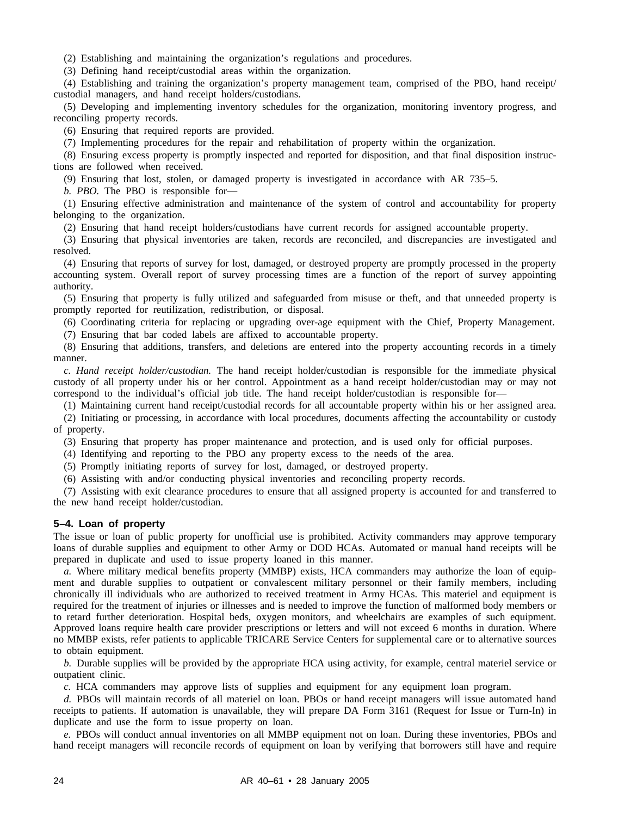(2) Establishing and maintaining the organization's regulations and procedures.

(3) Defining hand receipt/custodial areas within the organization.

(4) Establishing and training the organization's property management team, comprised of the PBO, hand receipt/ custodial managers, and hand receipt holders/custodians.

(5) Developing and implementing inventory schedules for the organization, monitoring inventory progress, and reconciling property records.

(6) Ensuring that required reports are provided.

(7) Implementing procedures for the repair and rehabilitation of property within the organization.

(8) Ensuring excess property is promptly inspected and reported for disposition, and that final disposition instructions are followed when received.

(9) Ensuring that lost, stolen, or damaged property is investigated in accordance with AR 735–5.

*b. PBO.* The PBO is responsible for—

(1) Ensuring effective administration and maintenance of the system of control and accountability for property belonging to the organization.

(2) Ensuring that hand receipt holders/custodians have current records for assigned accountable property.

(3) Ensuring that physical inventories are taken, records are reconciled, and discrepancies are investigated and resolved.

(4) Ensuring that reports of survey for lost, damaged, or destroyed property are promptly processed in the property accounting system. Overall report of survey processing times are a function of the report of survey appointing authority.

(5) Ensuring that property is fully utilized and safeguarded from misuse or theft, and that unneeded property is promptly reported for reutilization, redistribution, or disposal.

(6) Coordinating criteria for replacing or upgrading over-age equipment with the Chief, Property Management.

(7) Ensuring that bar coded labels are affixed to accountable property.

(8) Ensuring that additions, transfers, and deletions are entered into the property accounting records in a timely manner.

*c. Hand receipt holder/custodian.* The hand receipt holder/custodian is responsible for the immediate physical custody of all property under his or her control. Appointment as a hand receipt holder/custodian may or may not correspond to the individual's official job title. The hand receipt holder/custodian is responsible for—

(1) Maintaining current hand receipt/custodial records for all accountable property within his or her assigned area.

(2) Initiating or processing, in accordance with local procedures, documents affecting the accountability or custody of property.

(3) Ensuring that property has proper maintenance and protection, and is used only for official purposes.

(4) Identifying and reporting to the PBO any property excess to the needs of the area.

(5) Promptly initiating reports of survey for lost, damaged, or destroyed property.

(6) Assisting with and/or conducting physical inventories and reconciling property records.

(7) Assisting with exit clearance procedures to ensure that all assigned property is accounted for and transferred to the new hand receipt holder/custodian.

#### **5–4. Loan of property**

The issue or loan of public property for unofficial use is prohibited. Activity commanders may approve temporary loans of durable supplies and equipment to other Army or DOD HCAs. Automated or manual hand receipts will be prepared in duplicate and used to issue property loaned in this manner.

*a.* Where military medical benefits property (MMBP) exists, HCA commanders may authorize the loan of equipment and durable supplies to outpatient or convalescent military personnel or their family members, including chronically ill individuals who are authorized to received treatment in Army HCAs. This materiel and equipment is required for the treatment of injuries or illnesses and is needed to improve the function of malformed body members or to retard further deterioration. Hospital beds, oxygen monitors, and wheelchairs are examples of such equipment. Approved loans require health care provider prescriptions or letters and will not exceed 6 months in duration. Where no MMBP exists, refer patients to applicable TRICARE Service Centers for supplemental care or to alternative sources to obtain equipment.

*b.* Durable supplies will be provided by the appropriate HCA using activity, for example, central materiel service or outpatient clinic.

*c.* HCA commanders may approve lists of supplies and equipment for any equipment loan program.

*d.* PBOs will maintain records of all materiel on loan. PBOs or hand receipt managers will issue automated hand receipts to patients. If automation is unavailable, they will prepare DA Form 3161 (Request for Issue or Turn-In) in duplicate and use the form to issue property on loan.

*e.* PBOs will conduct annual inventories on all MMBP equipment not on loan. During these inventories, PBOs and hand receipt managers will reconcile records of equipment on loan by verifying that borrowers still have and require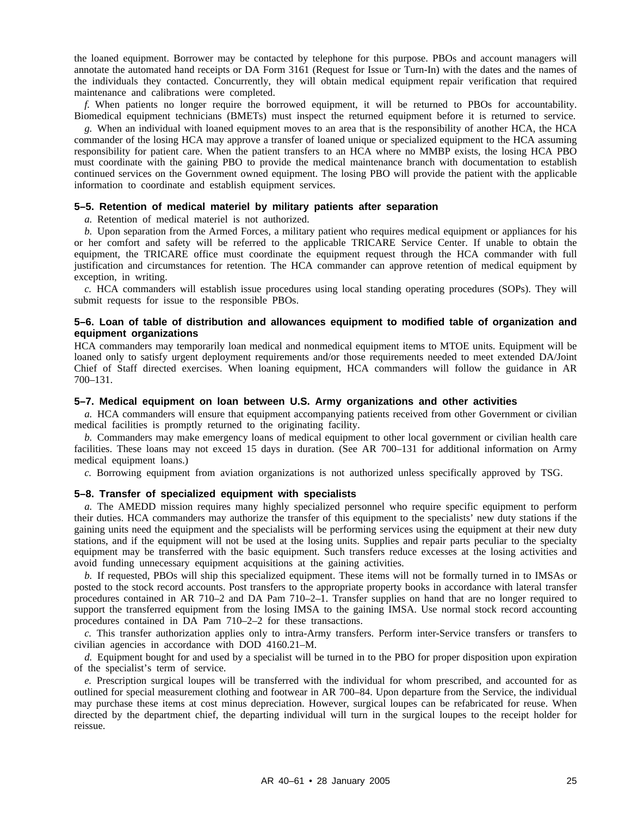the loaned equipment. Borrower may be contacted by telephone for this purpose. PBOs and account managers will annotate the automated hand receipts or DA Form 3161 (Request for Issue or Turn-In) with the dates and the names of the individuals they contacted. Concurrently, they will obtain medical equipment repair verification that required maintenance and calibrations were completed.

*f.* When patients no longer require the borrowed equipment, it will be returned to PBOs for accountability. Biomedical equipment technicians (BMETs) must inspect the returned equipment before it is returned to service.

*g.* When an individual with loaned equipment moves to an area that is the responsibility of another HCA, the HCA commander of the losing HCA may approve a transfer of loaned unique or specialized equipment to the HCA assuming responsibility for patient care. When the patient transfers to an HCA where no MMBP exists, the losing HCA PBO must coordinate with the gaining PBO to provide the medical maintenance branch with documentation to establish continued services on the Government owned equipment. The losing PBO will provide the patient with the applicable information to coordinate and establish equipment services.

#### **5–5. Retention of medical materiel by military patients after separation**

*a.* Retention of medical materiel is not authorized.

*b.* Upon separation from the Armed Forces, a military patient who requires medical equipment or appliances for his or her comfort and safety will be referred to the applicable TRICARE Service Center. If unable to obtain the equipment, the TRICARE office must coordinate the equipment request through the HCA commander with full justification and circumstances for retention. The HCA commander can approve retention of medical equipment by exception, in writing.

*c.* HCA commanders will establish issue procedures using local standing operating procedures (SOPs). They will submit requests for issue to the responsible PBOs.

#### **5–6. Loan of table of distribution and allowances equipment to modified table of organization and equipment organizations**

HCA commanders may temporarily loan medical and nonmedical equipment items to MTOE units. Equipment will be loaned only to satisfy urgent deployment requirements and/or those requirements needed to meet extended DA/Joint Chief of Staff directed exercises. When loaning equipment, HCA commanders will follow the guidance in AR 700–131.

#### **5–7. Medical equipment on loan between U.S. Army organizations and other activities**

*a.* HCA commanders will ensure that equipment accompanying patients received from other Government or civilian medical facilities is promptly returned to the originating facility.

*b.* Commanders may make emergency loans of medical equipment to other local government or civilian health care facilities. These loans may not exceed 15 days in duration. (See AR 700–131 for additional information on Army medical equipment loans.)

*c.* Borrowing equipment from aviation organizations is not authorized unless specifically approved by TSG.

#### **5–8. Transfer of specialized equipment with specialists**

*a.* The AMEDD mission requires many highly specialized personnel who require specific equipment to perform their duties. HCA commanders may authorize the transfer of this equipment to the specialists' new duty stations if the gaining units need the equipment and the specialists will be performing services using the equipment at their new duty stations, and if the equipment will not be used at the losing units. Supplies and repair parts peculiar to the specialty equipment may be transferred with the basic equipment. Such transfers reduce excesses at the losing activities and avoid funding unnecessary equipment acquisitions at the gaining activities.

*b.* If requested, PBOs will ship this specialized equipment. These items will not be formally turned in to IMSAs or posted to the stock record accounts. Post transfers to the appropriate property books in accordance with lateral transfer procedures contained in AR 710–2 and DA Pam 710–2–1. Transfer supplies on hand that are no longer required to support the transferred equipment from the losing IMSA to the gaining IMSA. Use normal stock record accounting procedures contained in DA Pam 710–2–2 for these transactions.

*c.* This transfer authorization applies only to intra-Army transfers. Perform inter-Service transfers or transfers to civilian agencies in accordance with DOD 4160.21–M.

*d.* Equipment bought for and used by a specialist will be turned in to the PBO for proper disposition upon expiration of the specialist's term of service.

*e.* Prescription surgical loupes will be transferred with the individual for whom prescribed, and accounted for as outlined for special measurement clothing and footwear in AR 700–84. Upon departure from the Service, the individual may purchase these items at cost minus depreciation. However, surgical loupes can be refabricated for reuse. When directed by the department chief, the departing individual will turn in the surgical loupes to the receipt holder for reissue.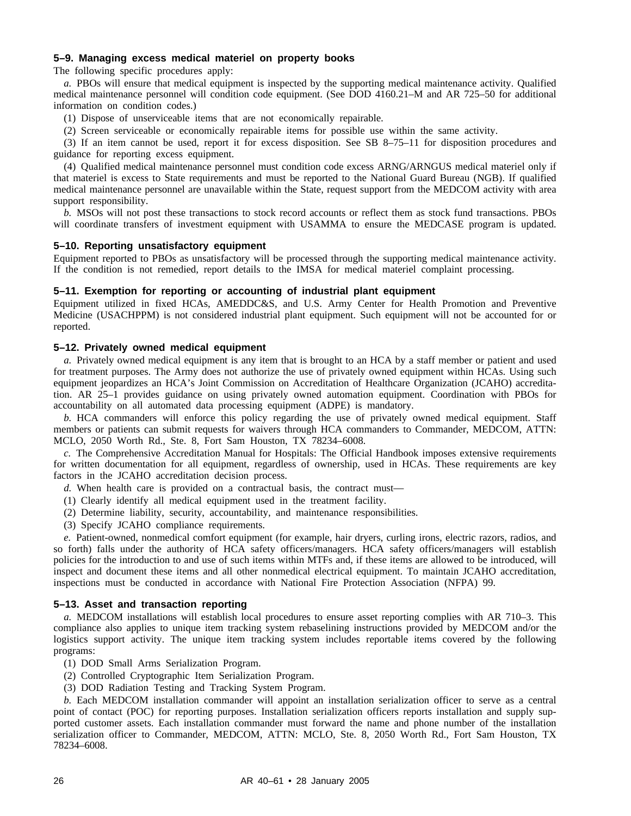#### **5–9. Managing excess medical materiel on property books**

The following specific procedures apply:

*a.* PBOs will ensure that medical equipment is inspected by the supporting medical maintenance activity. Qualified medical maintenance personnel will condition code equipment. (See DOD 4160.21–M and AR 725–50 for additional information on condition codes.)

(1) Dispose of unserviceable items that are not economically repairable.

(2) Screen serviceable or economically repairable items for possible use within the same activity.

(3) If an item cannot be used, report it for excess disposition. See SB 8–75–11 for disposition procedures and guidance for reporting excess equipment.

(4) Qualified medical maintenance personnel must condition code excess ARNG/ARNGUS medical materiel only if that materiel is excess to State requirements and must be reported to the National Guard Bureau (NGB). If qualified medical maintenance personnel are unavailable within the State, request support from the MEDCOM activity with area support responsibility.

*b.* MSOs will not post these transactions to stock record accounts or reflect them as stock fund transactions. PBOs will coordinate transfers of investment equipment with USAMMA to ensure the MEDCASE program is updated.

#### **5–10. Reporting unsatisfactory equipment**

Equipment reported to PBOs as unsatisfactory will be processed through the supporting medical maintenance activity. If the condition is not remedied, report details to the IMSA for medical materiel complaint processing.

#### **5–11. Exemption for reporting or accounting of industrial plant equipment**

Equipment utilized in fixed HCAs, AMEDDC&S, and U.S. Army Center for Health Promotion and Preventive Medicine (USACHPPM) is not considered industrial plant equipment. Such equipment will not be accounted for or reported.

#### **5–12. Privately owned medical equipment**

*a.* Privately owned medical equipment is any item that is brought to an HCA by a staff member or patient and used for treatment purposes. The Army does not authorize the use of privately owned equipment within HCAs. Using such equipment jeopardizes an HCA's Joint Commission on Accreditation of Healthcare Organization (JCAHO) accreditation. AR 25–1 provides guidance on using privately owned automation equipment. Coordination with PBOs for accountability on all automated data processing equipment (ADPE) is mandatory.

*b.* HCA commanders will enforce this policy regarding the use of privately owned medical equipment. Staff members or patients can submit requests for waivers through HCA commanders to Commander, MEDCOM, ATTN: MCLO, 2050 Worth Rd., Ste. 8, Fort Sam Houston, TX 78234–6008.

*c.* The Comprehensive Accreditation Manual for Hospitals: The Official Handbook imposes extensive requirements for written documentation for all equipment, regardless of ownership, used in HCAs. These requirements are key factors in the JCAHO accreditation decision process.

*d.* When health care is provided on a contractual basis, the contract must—

- (1) Clearly identify all medical equipment used in the treatment facility.
- (2) Determine liability, security, accountability, and maintenance responsibilities.
- (3) Specify JCAHO compliance requirements.

*e.* Patient-owned, nonmedical comfort equipment (for example, hair dryers, curling irons, electric razors, radios, and so forth) falls under the authority of HCA safety officers/managers. HCA safety officers/managers will establish policies for the introduction to and use of such items within MTFs and, if these items are allowed to be introduced, will inspect and document these items and all other nonmedical electrical equipment. To maintain JCAHO accreditation, inspections must be conducted in accordance with National Fire Protection Association (NFPA) 99.

#### **5–13. Asset and transaction reporting**

*a.* MEDCOM installations will establish local procedures to ensure asset reporting complies with AR 710–3. This compliance also applies to unique item tracking system rebaselining instructions provided by MEDCOM and/or the logistics support activity. The unique item tracking system includes reportable items covered by the following programs:

- (1) DOD Small Arms Serialization Program.
- (2) Controlled Cryptographic Item Serialization Program.
- (3) DOD Radiation Testing and Tracking System Program.

*b.* Each MEDCOM installation commander will appoint an installation serialization officer to serve as a central point of contact (POC) for reporting purposes. Installation serialization officers reports installation and supply supported customer assets. Each installation commander must forward the name and phone number of the installation serialization officer to Commander, MEDCOM, ATTN: MCLO, Ste. 8, 2050 Worth Rd., Fort Sam Houston, TX 78234–6008.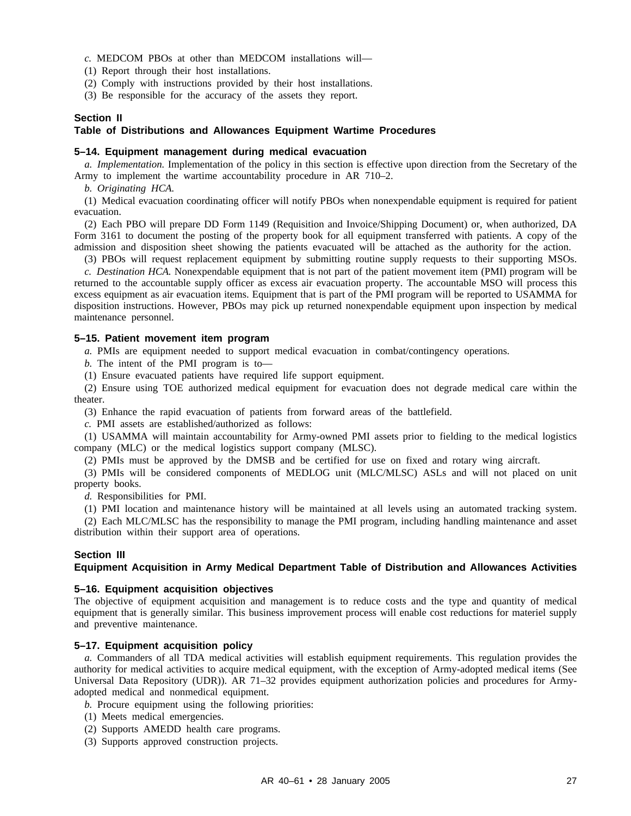*c.* MEDCOM PBOs at other than MEDCOM installations will—

(1) Report through their host installations.

(2) Comply with instructions provided by their host installations.

(3) Be responsible for the accuracy of the assets they report.

## **Section II**

## **Table of Distributions and Allowances Equipment Wartime Procedures**

## **5–14. Equipment management during medical evacuation**

*a. Implementation.* Implementation of the policy in this section is effective upon direction from the Secretary of the Army to implement the wartime accountability procedure in AR 710–2.

*b. Originating HCA.*

(1) Medical evacuation coordinating officer will notify PBOs when nonexpendable equipment is required for patient evacuation.

(2) Each PBO will prepare DD Form 1149 (Requisition and Invoice/Shipping Document) or, when authorized, DA Form 3161 to document the posting of the property book for all equipment transferred with patients. A copy of the admission and disposition sheet showing the patients evacuated will be attached as the authority for the action.

(3) PBOs will request replacement equipment by submitting routine supply requests to their supporting MSOs.

*c. Destination HCA.* Nonexpendable equipment that is not part of the patient movement item (PMI) program will be returned to the accountable supply officer as excess air evacuation property. The accountable MSO will process this excess equipment as air evacuation items. Equipment that is part of the PMI program will be reported to USAMMA for disposition instructions. However, PBOs may pick up returned nonexpendable equipment upon inspection by medical maintenance personnel.

## **5–15. Patient movement item program**

*a.* PMIs are equipment needed to support medical evacuation in combat/contingency operations.

*b.* The intent of the PMI program is to—

(1) Ensure evacuated patients have required life support equipment.

(2) Ensure using TOE authorized medical equipment for evacuation does not degrade medical care within the theater.

(3) Enhance the rapid evacuation of patients from forward areas of the battlefield.

*c.* PMI assets are established/authorized as follows:

(1) USAMMA will maintain accountability for Army-owned PMI assets prior to fielding to the medical logistics company (MLC) or the medical logistics support company (MLSC).

(2) PMIs must be approved by the DMSB and be certified for use on fixed and rotary wing aircraft.

(3) PMIs will be considered components of MEDLOG unit (MLC/MLSC) ASLs and will not placed on unit property books.

*d.* Responsibilities for PMI.

(1) PMI location and maintenance history will be maintained at all levels using an automated tracking system.

(2) Each MLC/MLSC has the responsibility to manage the PMI program, including handling maintenance and asset distribution within their support area of operations.

## **Section III**

## **Equipment Acquisition in Army Medical Department Table of Distribution and Allowances Activities**

## **5–16. Equipment acquisition objectives**

The objective of equipment acquisition and management is to reduce costs and the type and quantity of medical equipment that is generally similar. This business improvement process will enable cost reductions for materiel supply and preventive maintenance.

## **5–17. Equipment acquisition policy**

*a.* Commanders of all TDA medical activities will establish equipment requirements. This regulation provides the authority for medical activities to acquire medical equipment, with the exception of Army-adopted medical items (See Universal Data Repository (UDR)). AR 71–32 provides equipment authorization policies and procedures for Armyadopted medical and nonmedical equipment.

*b.* Procure equipment using the following priorities:

- (1) Meets medical emergencies.
- (2) Supports AMEDD health care programs.
- (3) Supports approved construction projects.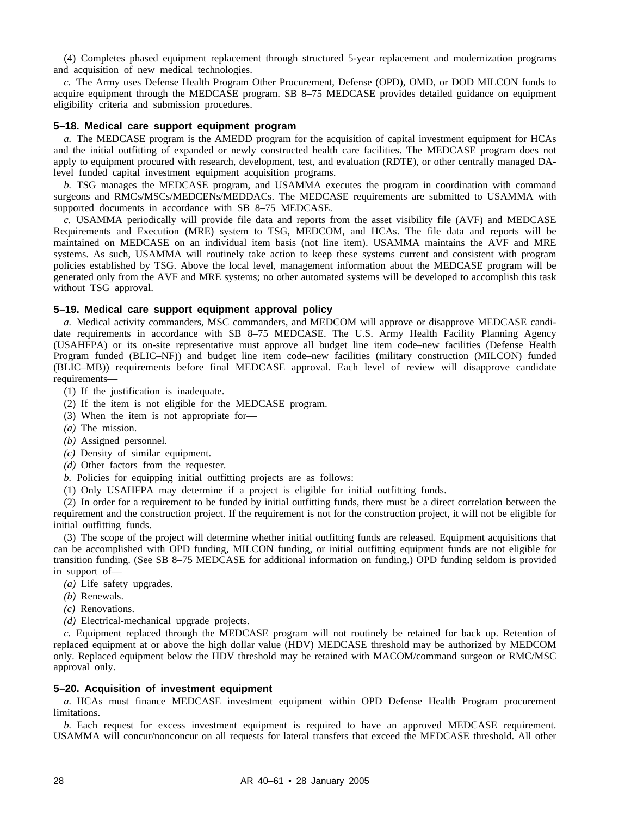(4) Completes phased equipment replacement through structured 5-year replacement and modernization programs and acquisition of new medical technologies.

*c.* The Army uses Defense Health Program Other Procurement, Defense (OPD), OMD, or DOD MILCON funds to acquire equipment through the MEDCASE program. SB 8–75 MEDCASE provides detailed guidance on equipment eligibility criteria and submission procedures.

## **5–18. Medical care support equipment program**

*a.* The MEDCASE program is the AMEDD program for the acquisition of capital investment equipment for HCAs and the initial outfitting of expanded or newly constructed health care facilities. The MEDCASE program does not apply to equipment procured with research, development, test, and evaluation (RDTE), or other centrally managed DAlevel funded capital investment equipment acquisition programs.

*b.* TSG manages the MEDCASE program, and USAMMA executes the program in coordination with command surgeons and RMCs/MSCs/MEDCENs/MEDDACs. The MEDCASE requirements are submitted to USAMMA with supported documents in accordance with SB 8–75 MEDCASE.

*c.* USAMMA periodically will provide file data and reports from the asset visibility file (AVF) and MEDCASE Requirements and Execution (MRE) system to TSG, MEDCOM, and HCAs. The file data and reports will be maintained on MEDCASE on an individual item basis (not line item). USAMMA maintains the AVF and MRE systems. As such, USAMMA will routinely take action to keep these systems current and consistent with program policies established by TSG. Above the local level, management information about the MEDCASE program will be generated only from the AVF and MRE systems; no other automated systems will be developed to accomplish this task without TSG approval.

### **5–19. Medical care support equipment approval policy**

*a.* Medical activity commanders, MSC commanders, and MEDCOM will approve or disapprove MEDCASE candidate requirements in accordance with SB 8-75 MEDCASE. The U.S. Army Health Facility Planning Agency (USAHFPA) or its on-site representative must approve all budget line item code–new facilities (Defense Health Program funded (BLIC–NF)) and budget line item code–new facilities (military construction (MILCON) funded (BLIC-MB)) requirements before final MEDCASE approval. Each level of review will disapprove candidate requirements—

- (1) If the justification is inadequate.
- (2) If the item is not eligible for the MEDCASE program.
- (3) When the item is not appropriate for—
- *(a)* The mission.
- *(b)* Assigned personnel.
- *(c)* Density of similar equipment.
- *(d)* Other factors from the requester.
- *b.* Policies for equipping initial outfitting projects are as follows:
- (1) Only USAHFPA may determine if a project is eligible for initial outfitting funds.

(2) In order for a requirement to be funded by initial outfitting funds, there must be a direct correlation between the requirement and the construction project. If the requirement is not for the construction project, it will not be eligible for initial outfitting funds.

(3) The scope of the project will determine whether initial outfitting funds are released. Equipment acquisitions that can be accomplished with OPD funding, MILCON funding, or initial outfitting equipment funds are not eligible for transition funding. (See SB 8–75 MEDCASE for additional information on funding.) OPD funding seldom is provided in support of—

- *(a)* Life safety upgrades.
- *(b)* Renewals.
- *(c)* Renovations.
- *(d)* Electrical-mechanical upgrade projects.

*c.* Equipment replaced through the MEDCASE program will not routinely be retained for back up. Retention of replaced equipment at or above the high dollar value (HDV) MEDCASE threshold may be authorized by MEDCOM only. Replaced equipment below the HDV threshold may be retained with MACOM/command surgeon or RMC/MSC approval only.

#### **5–20. Acquisition of investment equipment**

*a.* HCAs must finance MEDCASE investment equipment within OPD Defense Health Program procurement limitations.

*b*. Each request for excess investment equipment is required to have an approved MEDCASE requirement. USAMMA will concur/nonconcur on all requests for lateral transfers that exceed the MEDCASE threshold. All other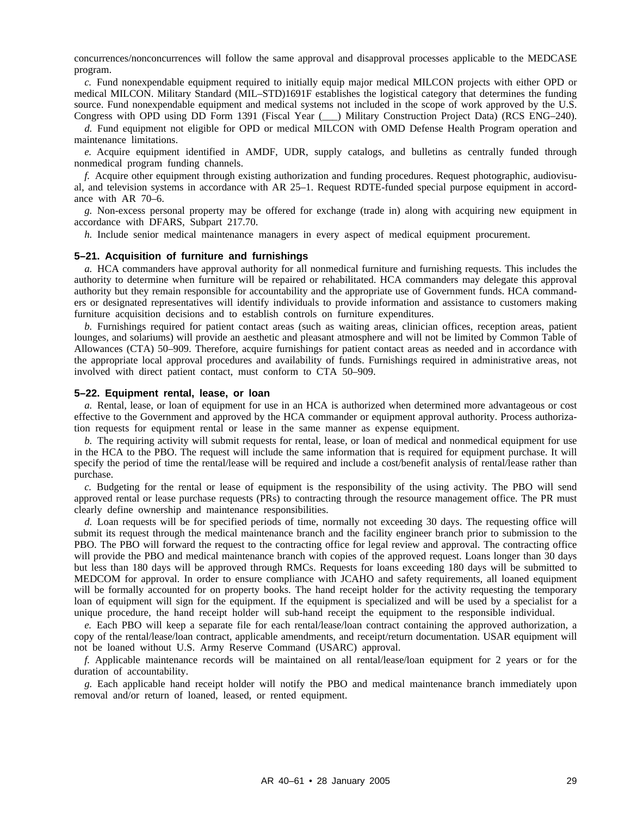concurrences/nonconcurrences will follow the same approval and disapproval processes applicable to the MEDCASE program.

*c.* Fund nonexpendable equipment required to initially equip major medical MILCON projects with either OPD or medical MILCON. Military Standard (MIL–STD)1691F establishes the logistical category that determines the funding source. Fund nonexpendable equipment and medical systems not included in the scope of work approved by the U.S. Congress with OPD using DD Form 1391 (Fiscal Year (\_\_\_) Military Construction Project Data) (RCS ENG–240).

*d.* Fund equipment not eligible for OPD or medical MILCON with OMD Defense Health Program operation and maintenance limitations.

*e.* Acquire equipment identified in AMDF, UDR, supply catalogs, and bulletins as centrally funded through nonmedical program funding channels.

*f.* Acquire other equipment through existing authorization and funding procedures. Request photographic, audiovisual, and television systems in accordance with AR 25–1. Request RDTE-funded special purpose equipment in accordance with AR 70–6.

*g.* Non-excess personal property may be offered for exchange (trade in) along with acquiring new equipment in accordance with DFARS, Subpart 217.70.

*h.* Include senior medical maintenance managers in every aspect of medical equipment procurement.

#### **5–21. Acquisition of furniture and furnishings**

*a.* HCA commanders have approval authority for all nonmedical furniture and furnishing requests. This includes the authority to determine when furniture will be repaired or rehabilitated. HCA commanders may delegate this approval authority but they remain responsible for accountability and the appropriate use of Government funds. HCA commanders or designated representatives will identify individuals to provide information and assistance to customers making furniture acquisition decisions and to establish controls on furniture expenditures.

*b.* Furnishings required for patient contact areas (such as waiting areas, clinician offices, reception areas, patient lounges, and solariums) will provide an aesthetic and pleasant atmosphere and will not be limited by Common Table of Allowances (CTA) 50–909. Therefore, acquire furnishings for patient contact areas as needed and in accordance with the appropriate local approval procedures and availability of funds. Furnishings required in administrative areas, not involved with direct patient contact, must conform to CTA 50–909.

#### **5–22. Equipment rental, lease, or loan**

*a.* Rental, lease, or loan of equipment for use in an HCA is authorized when determined more advantageous or cost effective to the Government and approved by the HCA commander or equipment approval authority. Process authorization requests for equipment rental or lease in the same manner as expense equipment.

*b.* The requiring activity will submit requests for rental, lease, or loan of medical and nonmedical equipment for use in the HCA to the PBO. The request will include the same information that is required for equipment purchase. It will specify the period of time the rental/lease will be required and include a cost/benefit analysis of rental/lease rather than purchase.

*c.* Budgeting for the rental or lease of equipment is the responsibility of the using activity. The PBO will send approved rental or lease purchase requests (PRs) to contracting through the resource management office. The PR must clearly define ownership and maintenance responsibilities.

*d.* Loan requests will be for specified periods of time, normally not exceeding 30 days. The requesting office will submit its request through the medical maintenance branch and the facility engineer branch prior to submission to the PBO. The PBO will forward the request to the contracting office for legal review and approval. The contracting office will provide the PBO and medical maintenance branch with copies of the approved request. Loans longer than 30 days but less than 180 days will be approved through RMCs. Requests for loans exceeding 180 days will be submitted to MEDCOM for approval. In order to ensure compliance with JCAHO and safety requirements, all loaned equipment will be formally accounted for on property books. The hand receipt holder for the activity requesting the temporary loan of equipment will sign for the equipment. If the equipment is specialized and will be used by a specialist for a unique procedure, the hand receipt holder will sub-hand receipt the equipment to the responsible individual.

*e.* Each PBO will keep a separate file for each rental/lease/loan contract containing the approved authorization, a copy of the rental/lease/loan contract, applicable amendments, and receipt/return documentation. USAR equipment will not be loaned without U.S. Army Reserve Command (USARC) approval.

*f.* Applicable maintenance records will be maintained on all rental/lease/loan equipment for 2 years or for the duration of accountability.

*g.* Each applicable hand receipt holder will notify the PBO and medical maintenance branch immediately upon removal and/or return of loaned, leased, or rented equipment.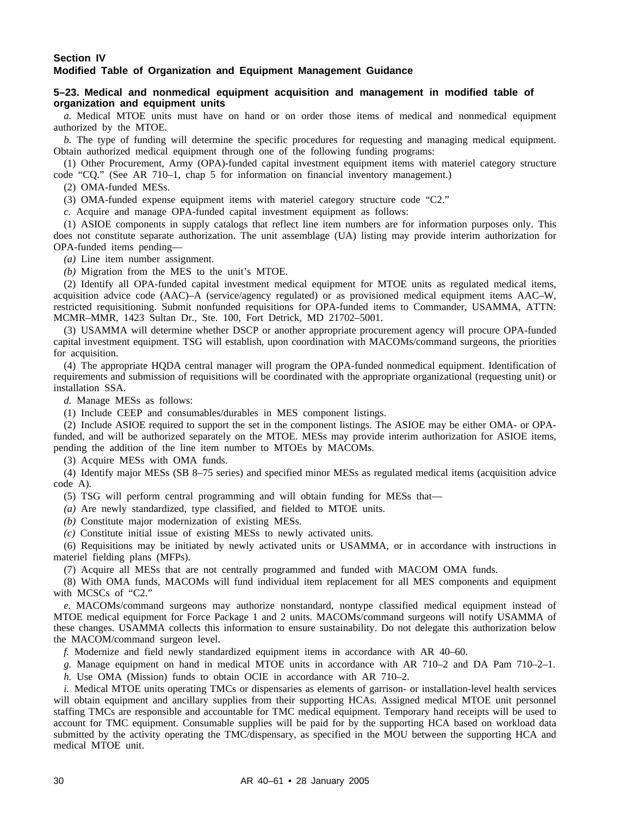## **Section IV Modified Table of Organization and Equipment Management Guidance**

## **5–23. Medical and nonmedical equipment acquisition and management in modified table of organization and equipment units**

*a.* Medical MTOE units must have on hand or on order those items of medical and nonmedical equipment authorized by the MTOE.

*b.* The type of funding will determine the specific procedures for requesting and managing medical equipment. Obtain authorized medical equipment through one of the following funding programs:

(1) Other Procurement, Army (OPA)-funded capital investment equipment items with materiel category structure code "CQ." (See AR 710–1, chap 5 for information on financial inventory management.)

(2) OMA-funded MESs.

(3) OMA-funded expense equipment items with materiel category structure code "C2."

*c.* Acquire and manage OPA-funded capital investment equipment as follows:

(1) ASIOE components in supply catalogs that reflect line item numbers are for information purposes only. This does not constitute separate authorization. The unit assemblage (UA) listing may provide interim authorization for OPA-funded items pending—

*(a)* Line item number assignment.

*(b)* Migration from the MES to the unit's MTOE.

(2) Identify all OPA-funded capital investment medical equipment for MTOE units as regulated medical items, acquisition advice code (AAC)–A (service/agency regulated) or as provisioned medical equipment items AAC–W, restricted requisitioning. Submit nonfunded requisitions for OPA-funded items to Commander, USAMMA, ATTN: MCMR–MMR, 1423 Sultan Dr., Ste. 100, Fort Detrick, MD 21702–5001.

(3) USAMMA will determine whether DSCP or another appropriate procurement agency will procure OPA-funded capital investment equipment. TSG will establish, upon coordination with MACOMs/command surgeons, the priorities for acquisition.

(4) The appropriate HQDA central manager will program the OPA-funded nonmedical equipment. Identification of requirements and submission of requisitions will be coordinated with the appropriate organizational (requesting unit) or installation SSA.

*d.* Manage MESs as follows:

(1) Include CEEP and consumables/durables in MES component listings.

(2) Include ASIOE required to support the set in the component listings. The ASIOE may be either OMA- or OPAfunded, and will be authorized separately on the MTOE. MESs may provide interim authorization for ASIOE items, pending the addition of the line item number to MTOEs by MACOMs.

(3) Acquire MESs with OMA funds.

(4) Identify major MESs (SB 8–75 series) and specified minor MESs as regulated medical items (acquisition advice code A).

(5) TSG will perform central programming and will obtain funding for MESs that—

*(a)* Are newly standardized, type classified, and fielded to MTOE units.

*(b)* Constitute major modernization of existing MESs.

*(c)* Constitute initial issue of existing MESs to newly activated units.

(6) Requisitions may be initiated by newly activated units or USAMMA, or in accordance with instructions in materiel fielding plans (MFPs).

(7) Acquire all MESs that are not centrally programmed and funded with MACOM OMA funds.

(8) With OMA funds, MACOMs will fund individual item replacement for all MES components and equipment with MCSCs of "C2."

*e.* MACOMs/command surgeons may authorize nonstandard, nontype classified medical equipment instead of MTOE medical equipment for Force Package 1 and 2 units. MACOMs/command surgeons will notify USAMMA of these changes. USAMMA collects this information to ensure sustainability. Do not delegate this authorization below the MACOM/command surgeon level.

*f.* Modernize and field newly standardized equipment items in accordance with AR 40–60.

*g.* Manage equipment on hand in medical MTOE units in accordance with AR 710–2 and DA Pam 710–2–1.

*h.* Use OMA (Mission) funds to obtain OCIE in accordance with AR 710–2.

*i.* Medical MTOE units operating TMCs or dispensaries as elements of garrison- or installation-level health services will obtain equipment and ancillary supplies from their supporting HCAs. Assigned medical MTOE unit personnel staffing TMCs are responsible and accountable for TMC medical equipment. Temporary hand receipts will be used to account for TMC equipment. Consumable supplies will be paid for by the supporting HCA based on workload data submitted by the activity operating the TMC/dispensary, as specified in the MOU between the supporting HCA and medical MTOE unit.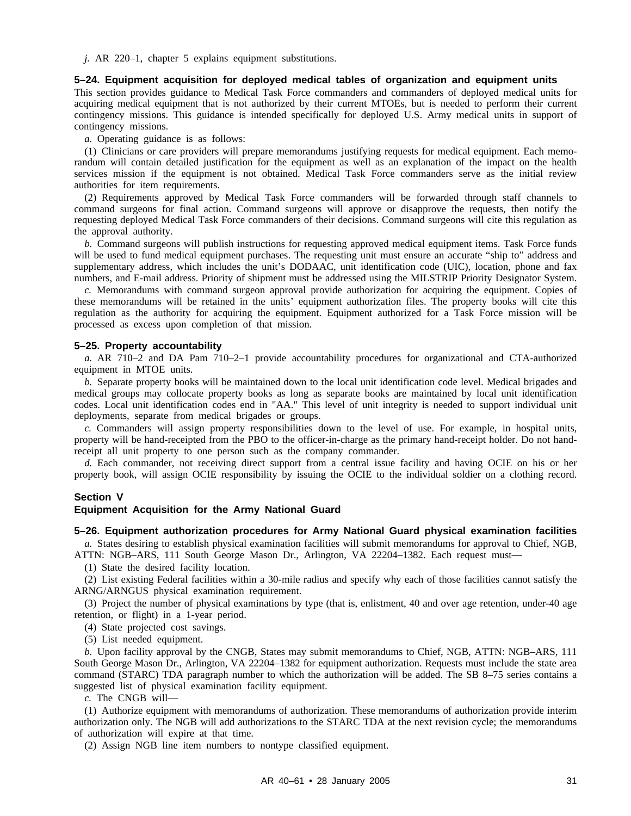*j.* AR 220–1, chapter 5 explains equipment substitutions.

### **5–24. Equipment acquisition for deployed medical tables of organization and equipment units**

This section provides guidance to Medical Task Force commanders and commanders of deployed medical units for acquiring medical equipment that is not authorized by their current MTOEs, but is needed to perform their current contingency missions. This guidance is intended specifically for deployed U.S. Army medical units in support of contingency missions.

*a.* Operating guidance is as follows:

(1) Clinicians or care providers will prepare memorandums justifying requests for medical equipment. Each memorandum will contain detailed justification for the equipment as well as an explanation of the impact on the health services mission if the equipment is not obtained. Medical Task Force commanders serve as the initial review authorities for item requirements.

(2) Requirements approved by Medical Task Force commanders will be forwarded through staff channels to command surgeons for final action. Command surgeons will approve or disapprove the requests, then notify the requesting deployed Medical Task Force commanders of their decisions. Command surgeons will cite this regulation as the approval authority.

*b.* Command surgeons will publish instructions for requesting approved medical equipment items. Task Force funds will be used to fund medical equipment purchases. The requesting unit must ensure an accurate "ship to" address and supplementary address, which includes the unit's DODAAC, unit identification code (UIC), location, phone and fax numbers, and E-mail address. Priority of shipment must be addressed using the MILSTRIP Priority Designator System.

*c.* Memorandums with command surgeon approval provide authorization for acquiring the equipment. Copies of these memorandums will be retained in the units' equipment authorization files. The property books will cite this regulation as the authority for acquiring the equipment. Equipment authorized for a Task Force mission will be processed as excess upon completion of that mission.

## **5–25. Property accountability**

*a.* AR 710–2 and DA Pam 710–2–1 provide accountability procedures for organizational and CTA-authorized equipment in MTOE units.

*b.* Separate property books will be maintained down to the local unit identification code level. Medical brigades and medical groups may collocate property books as long as separate books are maintained by local unit identification codes. Local unit identification codes end in "AA." This level of unit integrity is needed to support individual unit deployments, separate from medical brigades or groups.

*c.* Commanders will assign property responsibilities down to the level of use. For example, in hospital units, property will be hand-receipted from the PBO to the officer-in-charge as the primary hand-receipt holder. Do not handreceipt all unit property to one person such as the company commander.

*d.* Each commander, not receiving direct support from a central issue facility and having OCIE on his or her property book, will assign OCIE responsibility by issuing the OCIE to the individual soldier on a clothing record.

#### **Section V**

## **Equipment Acquisition for the Army National Guard**

#### **5–26. Equipment authorization procedures for Army National Guard physical examination facilities**

*a.* States desiring to establish physical examination facilities will submit memorandums for approval to Chief, NGB, ATTN: NGB–ARS, 111 South George Mason Dr., Arlington, VA 22204–1382. Each request must—

(1) State the desired facility location.

(2) List existing Federal facilities within a 30-mile radius and specify why each of those facilities cannot satisfy the ARNG/ARNGUS physical examination requirement.

(3) Project the number of physical examinations by type (that is, enlistment, 40 and over age retention, under-40 age retention, or flight) in a 1-year period.

(4) State projected cost savings.

(5) List needed equipment.

*b.* Upon facility approval by the CNGB, States may submit memorandums to Chief, NGB, ATTN: NGB–ARS, 111 South George Mason Dr., Arlington, VA 22204–1382 for equipment authorization. Requests must include the state area command (STARC) TDA paragraph number to which the authorization will be added. The SB 8–75 series contains a suggested list of physical examination facility equipment.

*c.* The CNGB will—

(1) Authorize equipment with memorandums of authorization. These memorandums of authorization provide interim authorization only. The NGB will add authorizations to the STARC TDA at the next revision cycle; the memorandums of authorization will expire at that time.

(2) Assign NGB line item numbers to nontype classified equipment.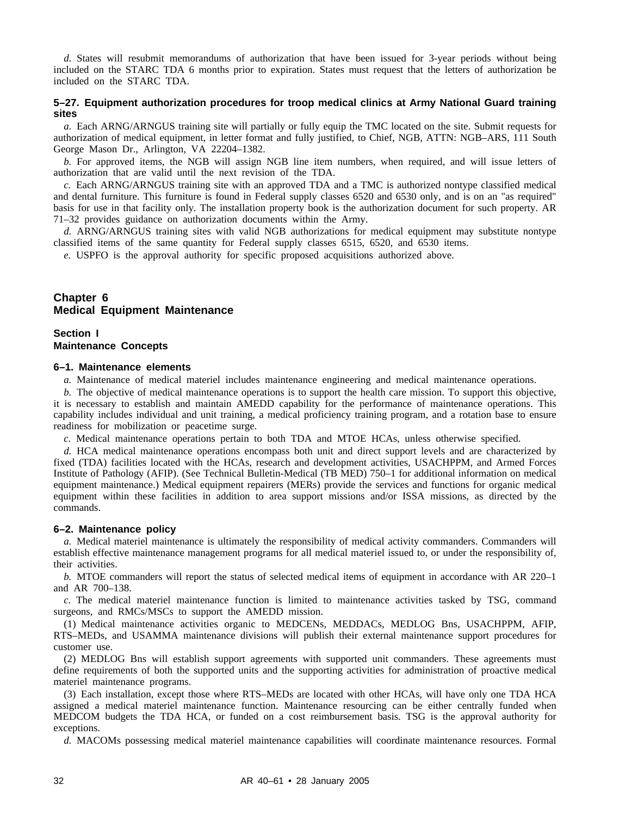*d.* States will resubmit memorandums of authorization that have been issued for 3-year periods without being included on the STARC TDA 6 months prior to expiration. States must request that the letters of authorization be included on the STARC TDA.

## **5–27. Equipment authorization procedures for troop medical clinics at Army National Guard training sites**

*a.* Each ARNG/ARNGUS training site will partially or fully equip the TMC located on the site. Submit requests for authorization of medical equipment, in letter format and fully justified, to Chief, NGB, ATTN: NGB–ARS, 111 South George Mason Dr., Arlington, VA 22204–1382.

*b.* For approved items, the NGB will assign NGB line item numbers, when required, and will issue letters of authorization that are valid until the next revision of the TDA.

*c.* Each ARNG/ARNGUS training site with an approved TDA and a TMC is authorized nontype classified medical and dental furniture. This furniture is found in Federal supply classes 6520 and 6530 only, and is on an "as required" basis for use in that facility only. The installation property book is the authorization document for such property. AR 71–32 provides guidance on authorization documents within the Army.

*d.* ARNG/ARNGUS training sites with valid NGB authorizations for medical equipment may substitute nontype classified items of the same quantity for Federal supply classes 6515, 6520, and 6530 items.

*e.* USPFO is the approval authority for specific proposed acquisitions authorized above.

## **Chapter 6 Medical Equipment Maintenance**

## **Section I Maintenance Concepts**

## **6–1. Maintenance elements**

*a.* Maintenance of medical materiel includes maintenance engineering and medical maintenance operations.

*b.* The objective of medical maintenance operations is to support the health care mission. To support this objective, it is necessary to establish and maintain AMEDD capability for the performance of maintenance operations. This capability includes individual and unit training, a medical proficiency training program, and a rotation base to ensure readiness for mobilization or peacetime surge.

*c.* Medical maintenance operations pertain to both TDA and MTOE HCAs, unless otherwise specified.

*d.* HCA medical maintenance operations encompass both unit and direct support levels and are characterized by fixed (TDA) facilities located with the HCAs, research and development activities, USACHPPM, and Armed Forces Institute of Pathology (AFIP). (See Technical Bulletin-Medical (TB MED) 750–1 for additional information on medical equipment maintenance.) Medical equipment repairers (MERs) provide the services and functions for organic medical equipment within these facilities in addition to area support missions and/or ISSA missions, as directed by the commands.

#### **6–2. Maintenance policy**

*a.* Medical materiel maintenance is ultimately the responsibility of medical activity commanders. Commanders will establish effective maintenance management programs for all medical materiel issued to, or under the responsibility of, their activities.

*b.* MTOE commanders will report the status of selected medical items of equipment in accordance with AR 220–1 and AR 700–138.

*c.* The medical materiel maintenance function is limited to maintenance activities tasked by TSG, command surgeons, and RMCs/MSCs to support the AMEDD mission.

(1) Medical maintenance activities organic to MEDCENs, MEDDACs, MEDLOG Bns, USACHPPM, AFIP, RTS–MEDs, and USAMMA maintenance divisions will publish their external maintenance support procedures for customer use.

(2) MEDLOG Bns will establish support agreements with supported unit commanders. These agreements must define requirements of both the supported units and the supporting activities for administration of proactive medical materiel maintenance programs.

(3) Each installation, except those where RTS–MEDs are located with other HCAs, will have only one TDA HCA assigned a medical materiel maintenance function. Maintenance resourcing can be either centrally funded when MEDCOM budgets the TDA HCA, or funded on a cost reimbursement basis. TSG is the approval authority for exceptions.

*d.* MACOMs possessing medical materiel maintenance capabilities will coordinate maintenance resources. Formal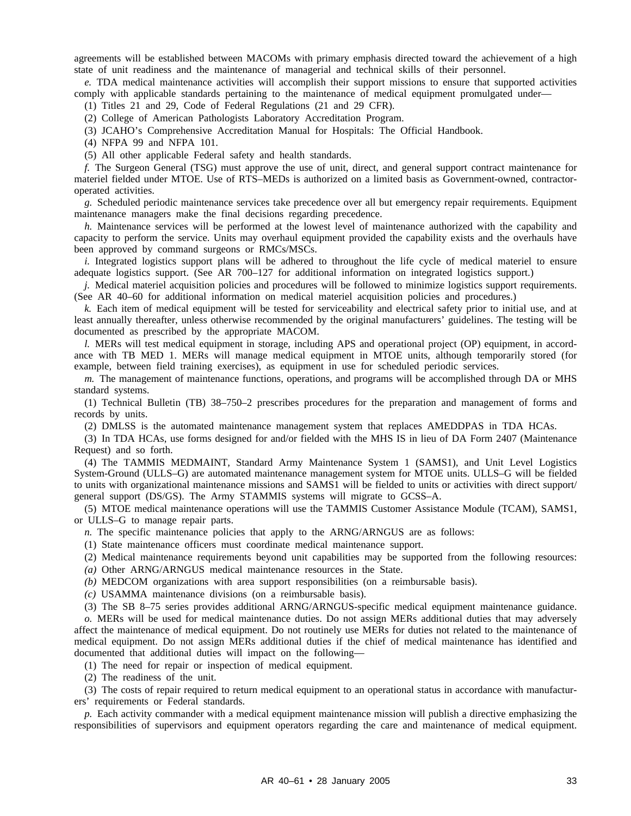agreements will be established between MACOMs with primary emphasis directed toward the achievement of a high state of unit readiness and the maintenance of managerial and technical skills of their personnel.

*e.* TDA medical maintenance activities will accomplish their support missions to ensure that supported activities comply with applicable standards pertaining to the maintenance of medical equipment promulgated under—

(1) Titles 21 and 29, Code of Federal Regulations (21 and 29 CFR).

(2) College of American Pathologists Laboratory Accreditation Program.

(3) JCAHO's Comprehensive Accreditation Manual for Hospitals: The Official Handbook.

(4) NFPA 99 and NFPA 101.

(5) All other applicable Federal safety and health standards.

*f.* The Surgeon General (TSG) must approve the use of unit, direct, and general support contract maintenance for materiel fielded under MTOE. Use of RTS–MEDs is authorized on a limited basis as Government-owned, contractoroperated activities.

*g.* Scheduled periodic maintenance services take precedence over all but emergency repair requirements. Equipment maintenance managers make the final decisions regarding precedence.

*h.* Maintenance services will be performed at the lowest level of maintenance authorized with the capability and capacity to perform the service. Units may overhaul equipment provided the capability exists and the overhauls have been approved by command surgeons or RMCs/MSCs.

*i.* Integrated logistics support plans will be adhered to throughout the life cycle of medical materiel to ensure adequate logistics support. (See AR 700–127 for additional information on integrated logistics support.)

*j.* Medical materiel acquisition policies and procedures will be followed to minimize logistics support requirements. (See AR 40–60 for additional information on medical materiel acquisition policies and procedures.)

*k.* Each item of medical equipment will be tested for serviceability and electrical safety prior to initial use, and at least annually thereafter, unless otherwise recommended by the original manufacturers' guidelines. The testing will be documented as prescribed by the appropriate MACOM.

*l.* MERs will test medical equipment in storage, including APS and operational project (OP) equipment, in accordance with TB MED 1. MERs will manage medical equipment in MTOE units, although temporarily stored (for example, between field training exercises), as equipment in use for scheduled periodic services.

*m.* The management of maintenance functions, operations, and programs will be accomplished through DA or MHS standard systems.

(1) Technical Bulletin (TB) 38–750–2 prescribes procedures for the preparation and management of forms and records by units.

(2) DMLSS is the automated maintenance management system that replaces AMEDDPAS in TDA HCAs.

(3) In TDA HCAs, use forms designed for and/or fielded with the MHS IS in lieu of DA Form 2407 (Maintenance Request) and so forth.

(4) The TAMMIS MEDMAINT, Standard Army Maintenance System 1 (SAMS1), and Unit Level Logistics System-Ground (ULLS–G) are automated maintenance management system for MTOE units. ULLS–G will be fielded to units with organizational maintenance missions and SAMS1 will be fielded to units or activities with direct support/ general support (DS/GS). The Army STAMMIS systems will migrate to GCSS–A.

(5) MTOE medical maintenance operations will use the TAMMIS Customer Assistance Module (TCAM), SAMS1, or ULLS–G to manage repair parts.

*n.* The specific maintenance policies that apply to the ARNG/ARNGUS are as follows:

(1) State maintenance officers must coordinate medical maintenance support.

- (2) Medical maintenance requirements beyond unit capabilities may be supported from the following resources:
- *(a)* Other ARNG/ARNGUS medical maintenance resources in the State.

*(b)* MEDCOM organizations with area support responsibilities (on a reimbursable basis).

*(c)* USAMMA maintenance divisions (on a reimbursable basis).

(3) The SB 8–75 series provides additional ARNG/ARNGUS-specific medical equipment maintenance guidance. *o.* MERs will be used for medical maintenance duties. Do not assign MERs additional duties that may adversely

affect the maintenance of medical equipment. Do not routinely use MERs for duties not related to the maintenance of medical equipment. Do not assign MERs additional duties if the chief of medical maintenance has identified and documented that additional duties will impact on the following—

(1) The need for repair or inspection of medical equipment.

(2) The readiness of the unit.

(3) The costs of repair required to return medical equipment to an operational status in accordance with manufacturers' requirements or Federal standards.

*p.* Each activity commander with a medical equipment maintenance mission will publish a directive emphasizing the responsibilities of supervisors and equipment operators regarding the care and maintenance of medical equipment.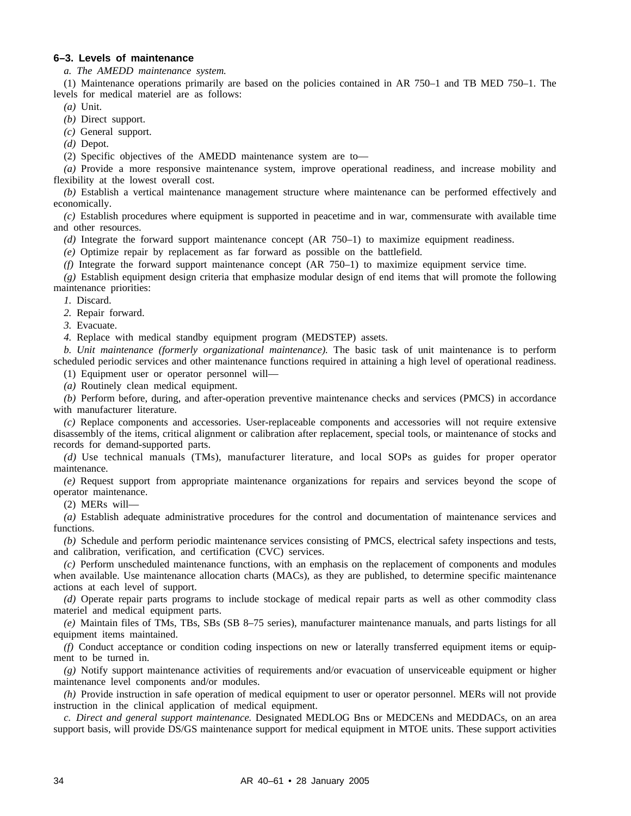## **6–3. Levels of maintenance**

*a. The AMEDD maintenance system.*

(1) Maintenance operations primarily are based on the policies contained in AR 750–1 and TB MED 750–1. The levels for medical materiel are as follows:

*(a)* Unit.

*(b)* Direct support.

*(c)* General support.

*(d)* Depot.

(2) Specific objectives of the AMEDD maintenance system are to—

*(a)* Provide a more responsive maintenance system, improve operational readiness, and increase mobility and flexibility at the lowest overall cost.

*(b)* Establish a vertical maintenance management structure where maintenance can be performed effectively and economically.

*(c)* Establish procedures where equipment is supported in peacetime and in war, commensurate with available time and other resources.

*(d)* Integrate the forward support maintenance concept (AR 750–1) to maximize equipment readiness.

*(e)* Optimize repair by replacement as far forward as possible on the battlefield.

*(f)* Integrate the forward support maintenance concept (AR 750–1) to maximize equipment service time.

*(g)* Establish equipment design criteria that emphasize modular design of end items that will promote the following maintenance priorities:

*1.* Discard.

*2.* Repair forward.

*3.* Evacuate.

*4.* Replace with medical standby equipment program (MEDSTEP) assets.

*b. Unit maintenance (formerly organizational maintenance).* The basic task of unit maintenance is to perform scheduled periodic services and other maintenance functions required in attaining a high level of operational readiness.

(1) Equipment user or operator personnel will—

*(a)* Routinely clean medical equipment.

*(b)* Perform before, during, and after-operation preventive maintenance checks and services (PMCS) in accordance with manufacturer literature.

*(c)* Replace components and accessories. User-replaceable components and accessories will not require extensive disassembly of the items, critical alignment or calibration after replacement, special tools, or maintenance of stocks and records for demand-supported parts.

*(d)* Use technical manuals (TMs), manufacturer literature, and local SOPs as guides for proper operator maintenance.

*(e)* Request support from appropriate maintenance organizations for repairs and services beyond the scope of operator maintenance.

(2) MERs will—

*(a)* Establish adequate administrative procedures for the control and documentation of maintenance services and functions.

*(b)* Schedule and perform periodic maintenance services consisting of PMCS, electrical safety inspections and tests, and calibration, verification, and certification (CVC) services.

*(c)* Perform unscheduled maintenance functions, with an emphasis on the replacement of components and modules when available. Use maintenance allocation charts (MACs), as they are published, to determine specific maintenance actions at each level of support.

*(d)* Operate repair parts programs to include stockage of medical repair parts as well as other commodity class materiel and medical equipment parts.

*(e)* Maintain files of TMs, TBs, SBs (SB 8–75 series), manufacturer maintenance manuals, and parts listings for all equipment items maintained.

*(f)* Conduct acceptance or condition coding inspections on new or laterally transferred equipment items or equipment to be turned in.

*(g)* Notify support maintenance activities of requirements and/or evacuation of unserviceable equipment or higher maintenance level components and/or modules.

*(h)* Provide instruction in safe operation of medical equipment to user or operator personnel. MERs will not provide instruction in the clinical application of medical equipment.

*c. Direct and general support maintenance.* Designated MEDLOG Bns or MEDCENs and MEDDACs, on an area support basis, will provide DS/GS maintenance support for medical equipment in MTOE units. These support activities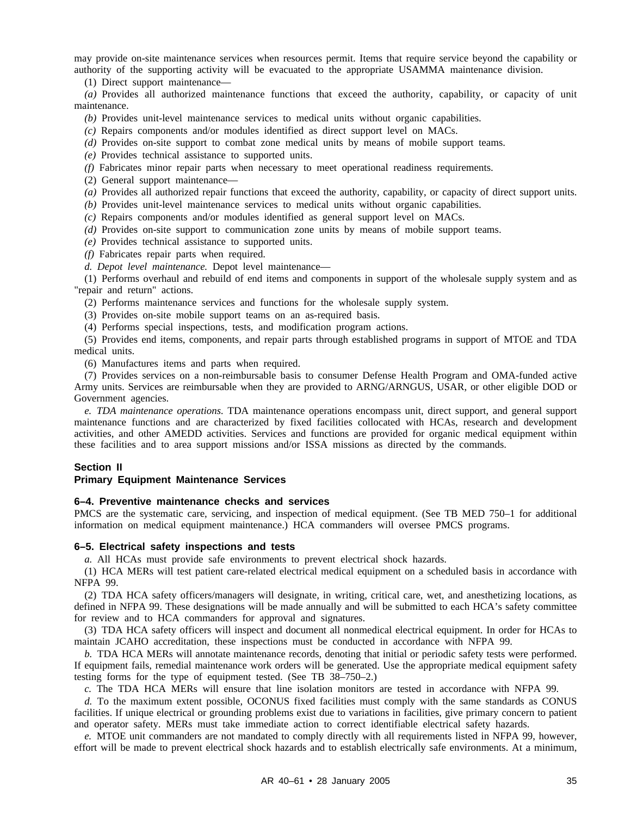may provide on-site maintenance services when resources permit. Items that require service beyond the capability or authority of the supporting activity will be evacuated to the appropriate USAMMA maintenance division.

(1) Direct support maintenance—

*(a)* Provides all authorized maintenance functions that exceed the authority, capability, or capacity of unit maintenance.

*(b)* Provides unit-level maintenance services to medical units without organic capabilities.

*(c)* Repairs components and/or modules identified as direct support level on MACs.

*(d)* Provides on-site support to combat zone medical units by means of mobile support teams.

*(e)* Provides technical assistance to supported units.

*(f)* Fabricates minor repair parts when necessary to meet operational readiness requirements.

(2) General support maintenance—

*(a)* Provides all authorized repair functions that exceed the authority, capability, or capacity of direct support units.

*(b)* Provides unit-level maintenance services to medical units without organic capabilities.

*(c)* Repairs components and/or modules identified as general support level on MACs.

*(d)* Provides on-site support to communication zone units by means of mobile support teams.

*(e)* Provides technical assistance to supported units.

*(f)* Fabricates repair parts when required.

*d. Depot level maintenance.* Depot level maintenance—

(1) Performs overhaul and rebuild of end items and components in support of the wholesale supply system and as "repair and return" actions.

(2) Performs maintenance services and functions for the wholesale supply system.

(3) Provides on-site mobile support teams on an as-required basis.

(4) Performs special inspections, tests, and modification program actions.

(5) Provides end items, components, and repair parts through established programs in support of MTOE and TDA medical units.

(6) Manufactures items and parts when required.

(7) Provides services on a non-reimbursable basis to consumer Defense Health Program and OMA-funded active Army units. Services are reimbursable when they are provided to ARNG/ARNGUS, USAR, or other eligible DOD or Government agencies.

*e. TDA maintenance operations.* TDA maintenance operations encompass unit, direct support, and general support maintenance functions and are characterized by fixed facilities collocated with HCAs, research and development activities, and other AMEDD activities. Services and functions are provided for organic medical equipment within these facilities and to area support missions and/or ISSA missions as directed by the commands.

## **Section II**

#### **Primary Equipment Maintenance Services**

## **6–4. Preventive maintenance checks and services**

PMCS are the systematic care, servicing, and inspection of medical equipment. (See TB MED 750–1 for additional information on medical equipment maintenance.) HCA commanders will oversee PMCS programs.

#### **6–5. Electrical safety inspections and tests**

*a.* All HCAs must provide safe environments to prevent electrical shock hazards.

(1) HCA MERs will test patient care-related electrical medical equipment on a scheduled basis in accordance with NFPA 99.

(2) TDA HCA safety officers/managers will designate, in writing, critical care, wet, and anesthetizing locations, as defined in NFPA 99. These designations will be made annually and will be submitted to each HCA's safety committee for review and to HCA commanders for approval and signatures.

(3) TDA HCA safety officers will inspect and document all nonmedical electrical equipment. In order for HCAs to maintain JCAHO accreditation, these inspections must be conducted in accordance with NFPA 99.

*b.* TDA HCA MERs will annotate maintenance records, denoting that initial or periodic safety tests were performed. If equipment fails, remedial maintenance work orders will be generated. Use the appropriate medical equipment safety testing forms for the type of equipment tested. (See TB 38–750–2.)

*c.* The TDA HCA MERs will ensure that line isolation monitors are tested in accordance with NFPA 99.

*d.* To the maximum extent possible, OCONUS fixed facilities must comply with the same standards as CONUS facilities. If unique electrical or grounding problems exist due to variations in facilities, give primary concern to patient and operator safety. MERs must take immediate action to correct identifiable electrical safety hazards.

*e.* MTOE unit commanders are not mandated to comply directly with all requirements listed in NFPA 99, however, effort will be made to prevent electrical shock hazards and to establish electrically safe environments. At a minimum,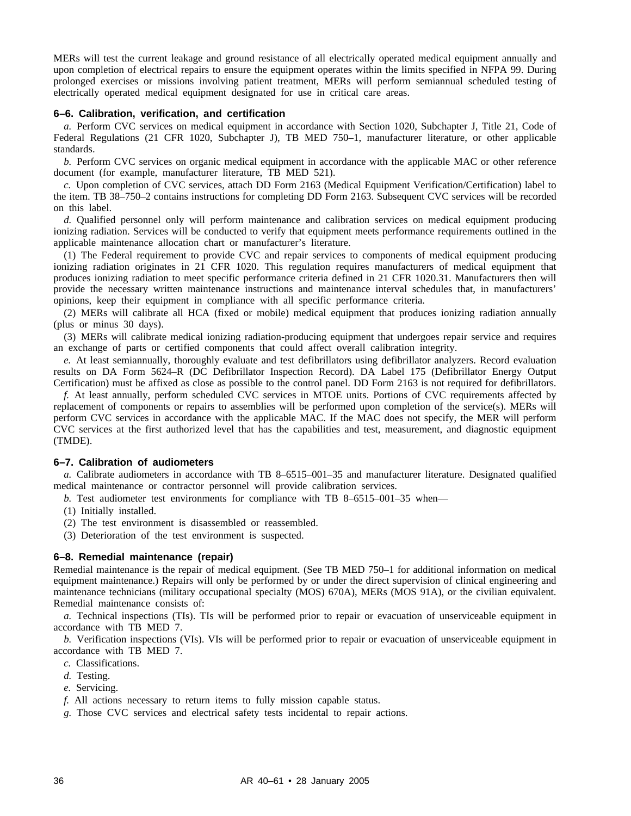MERs will test the current leakage and ground resistance of all electrically operated medical equipment annually and upon completion of electrical repairs to ensure the equipment operates within the limits specified in NFPA 99. During prolonged exercises or missions involving patient treatment, MERs will perform semiannual scheduled testing of electrically operated medical equipment designated for use in critical care areas.

## **6–6. Calibration, verification, and certification**

*a.* Perform CVC services on medical equipment in accordance with Section 1020, Subchapter J, Title 21, Code of Federal Regulations (21 CFR 1020, Subchapter J), TB MED 750–1, manufacturer literature, or other applicable standards.

*b.* Perform CVC services on organic medical equipment in accordance with the applicable MAC or other reference document (for example, manufacturer literature, TB MED 521).

*c.* Upon completion of CVC services, attach DD Form 2163 (Medical Equipment Verification/Certification) label to the item. TB 38–750–2 contains instructions for completing DD Form 2163. Subsequent CVC services will be recorded on this label.

*d.* Qualified personnel only will perform maintenance and calibration services on medical equipment producing ionizing radiation. Services will be conducted to verify that equipment meets performance requirements outlined in the applicable maintenance allocation chart or manufacturer's literature.

(1) The Federal requirement to provide CVC and repair services to components of medical equipment producing ionizing radiation originates in 21 CFR 1020. This regulation requires manufacturers of medical equipment that produces ionizing radiation to meet specific performance criteria defined in 21 CFR 1020.31. Manufacturers then will provide the necessary written maintenance instructions and maintenance interval schedules that, in manufacturers' opinions, keep their equipment in compliance with all specific performance criteria.

(2) MERs will calibrate all HCA (fixed or mobile) medical equipment that produces ionizing radiation annually (plus or minus 30 days).

(3) MERs will calibrate medical ionizing radiation-producing equipment that undergoes repair service and requires an exchange of parts or certified components that could affect overall calibration integrity.

*e.* At least semiannually, thoroughly evaluate and test defibrillators using defibrillator analyzers. Record evaluation results on DA Form 5624–R (DC Defibrillator Inspection Record). DA Label 175 (Defibrillator Energy Output Certification) must be affixed as close as possible to the control panel. DD Form 2163 is not required for defibrillators.

*f.* At least annually, perform scheduled CVC services in MTOE units. Portions of CVC requirements affected by replacement of components or repairs to assemblies will be performed upon completion of the service(s). MERs will perform CVC services in accordance with the applicable MAC. If the MAC does not specify, the MER will perform CVC services at the first authorized level that has the capabilities and test, measurement, and diagnostic equipment (TMDE).

#### **6–7. Calibration of audiometers**

*a.* Calibrate audiometers in accordance with TB 8–6515–001–35 and manufacturer literature. Designated qualified medical maintenance or contractor personnel will provide calibration services.

*b.* Test audiometer test environments for compliance with TB 8–6515–001–35 when—

- (1) Initially installed.
- (2) The test environment is disassembled or reassembled.
- (3) Deterioration of the test environment is suspected.

#### **6–8. Remedial maintenance (repair)**

Remedial maintenance is the repair of medical equipment. (See TB MED 750–1 for additional information on medical equipment maintenance.) Repairs will only be performed by or under the direct supervision of clinical engineering and maintenance technicians (military occupational specialty (MOS) 670A), MERs (MOS 91A), or the civilian equivalent. Remedial maintenance consists of:

*a.* Technical inspections (TIs). TIs will be performed prior to repair or evacuation of unserviceable equipment in accordance with TB MED 7.

*b.* Verification inspections (VIs). VIs will be performed prior to repair or evacuation of unserviceable equipment in accordance with TB MED 7.

- *c.* Classifications.
- *d.* Testing.
- *e.* Servicing.

*f.* All actions necessary to return items to fully mission capable status.

*g.* Those CVC services and electrical safety tests incidental to repair actions.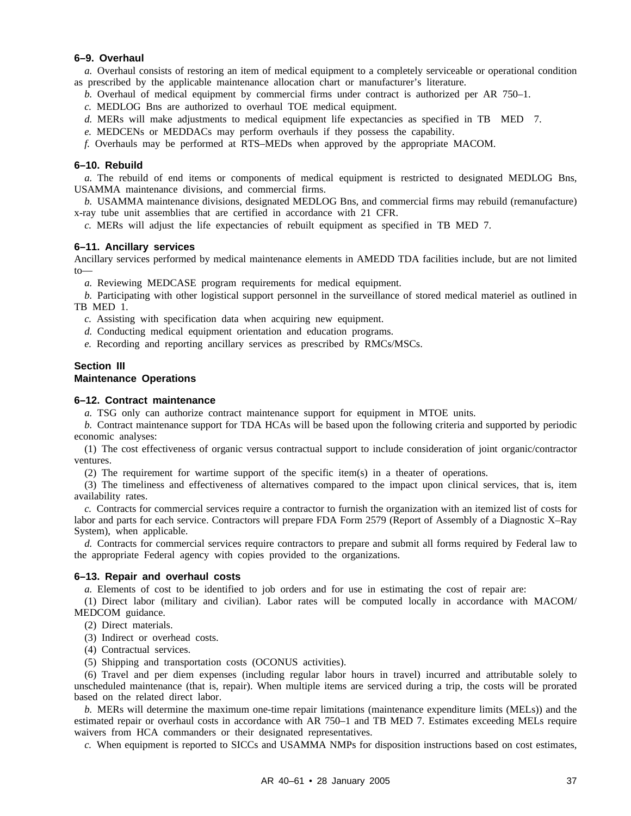## **6–9. Overhaul**

*a.* Overhaul consists of restoring an item of medical equipment to a completely serviceable or operational condition as prescribed by the applicable maintenance allocation chart or manufacturer's literature.

- *b.* Overhaul of medical equipment by commercial firms under contract is authorized per AR 750–1.
- *c.* MEDLOG Bns are authorized to overhaul TOE medical equipment.
- *d.* MERs will make adjustments to medical equipment life expectancies as specified in TB MED 7.
- *e.* MEDCENs or MEDDACs may perform overhauls if they possess the capability.

*f.* Overhauls may be performed at RTS–MEDs when approved by the appropriate MACOM.

#### **6–10. Rebuild**

*a.* The rebuild of end items or components of medical equipment is restricted to designated MEDLOG Bns, USAMMA maintenance divisions, and commercial firms.

*b.* USAMMA maintenance divisions, designated MEDLOG Bns, and commercial firms may rebuild (remanufacture) x-ray tube unit assemblies that are certified in accordance with 21 CFR.

*c.* MERs will adjust the life expectancies of rebuilt equipment as specified in TB MED 7.

#### **6–11. Ancillary services**

Ancillary services performed by medical maintenance elements in AMEDD TDA facilities include, but are not limited to—

*a.* Reviewing MEDCASE program requirements for medical equipment.

*b.* Participating with other logistical support personnel in the surveillance of stored medical materiel as outlined in TB MED 1.

*c.* Assisting with specification data when acquiring new equipment.

- *d.* Conducting medical equipment orientation and education programs.
- *e.* Recording and reporting ancillary services as prescribed by RMCs/MSCs.

## **Section III Maintenance Operations**

#### **6–12. Contract maintenance**

*a.* TSG only can authorize contract maintenance support for equipment in MTOE units.

*b.* Contract maintenance support for TDA HCAs will be based upon the following criteria and supported by periodic economic analyses:

(1) The cost effectiveness of organic versus contractual support to include consideration of joint organic/contractor ventures.

(2) The requirement for wartime support of the specific item(s) in a theater of operations.

(3) The timeliness and effectiveness of alternatives compared to the impact upon clinical services, that is, item availability rates.

*c.* Contracts for commercial services require a contractor to furnish the organization with an itemized list of costs for labor and parts for each service. Contractors will prepare FDA Form 2579 (Report of Assembly of a Diagnostic X–Ray System), when applicable.

*d.* Contracts for commercial services require contractors to prepare and submit all forms required by Federal law to the appropriate Federal agency with copies provided to the organizations.

## **6–13. Repair and overhaul costs**

*a.* Elements of cost to be identified to job orders and for use in estimating the cost of repair are:

(1) Direct labor (military and civilian). Labor rates will be computed locally in accordance with MACOM/ MEDCOM guidance.

(2) Direct materials.

(3) Indirect or overhead costs.

(4) Contractual services.

(5) Shipping and transportation costs (OCONUS activities).

(6) Travel and per diem expenses (including regular labor hours in travel) incurred and attributable solely to unscheduled maintenance (that is, repair). When multiple items are serviced during a trip, the costs will be prorated based on the related direct labor.

*b.* MERs will determine the maximum one-time repair limitations (maintenance expenditure limits (MELs)) and the estimated repair or overhaul costs in accordance with AR 750–1 and TB MED 7. Estimates exceeding MELs require waivers from HCA commanders or their designated representatives.

*c.* When equipment is reported to SICCs and USAMMA NMPs for disposition instructions based on cost estimates,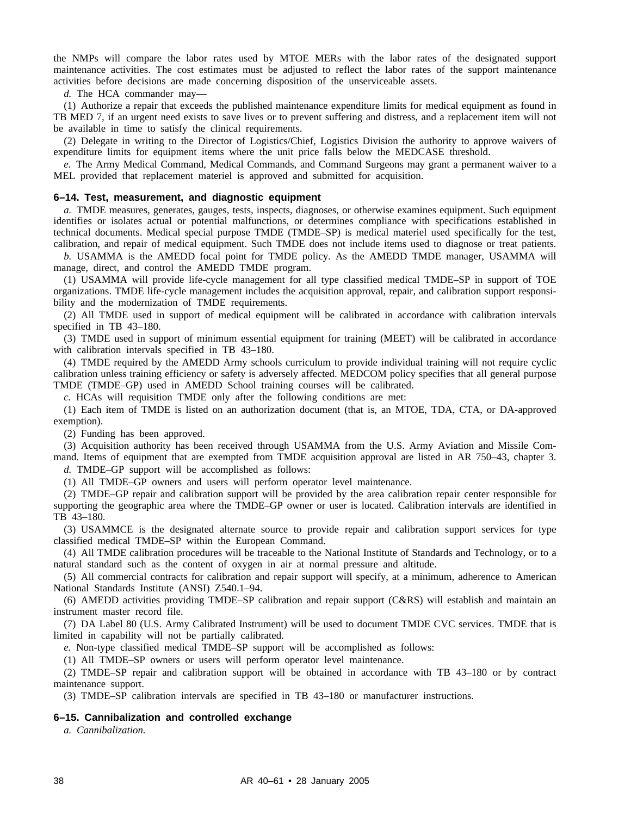the NMPs will compare the labor rates used by MTOE MERs with the labor rates of the designated support maintenance activities. The cost estimates must be adjusted to reflect the labor rates of the support maintenance activities before decisions are made concerning disposition of the unserviceable assets.

*d.* The HCA commander may—

(1) Authorize a repair that exceeds the published maintenance expenditure limits for medical equipment as found in TB MED 7, if an urgent need exists to save lives or to prevent suffering and distress, and a replacement item will not be available in time to satisfy the clinical requirements.

(2) Delegate in writing to the Director of Logistics/Chief, Logistics Division the authority to approve waivers of expenditure limits for equipment items where the unit price falls below the MEDCASE threshold.

*e.* The Army Medical Command, Medical Commands, and Command Surgeons may grant a permanent waiver to a MEL provided that replacement materiel is approved and submitted for acquisition.

## **6–14. Test, measurement, and diagnostic equipment**

*a.* TMDE measures, generates, gauges, tests, inspects, diagnoses, or otherwise examines equipment. Such equipment identifies or isolates actual or potential malfunctions, or determines compliance with specifications established in technical documents. Medical special purpose TMDE (TMDE–SP) is medical materiel used specifically for the test, calibration, and repair of medical equipment. Such TMDE does not include items used to diagnose or treat patients.

*b.* USAMMA is the AMEDD focal point for TMDE policy. As the AMEDD TMDE manager, USAMMA will manage, direct, and control the AMEDD TMDE program.

(1) USAMMA will provide life-cycle management for all type classified medical TMDE–SP in support of TOE organizations. TMDE life-cycle management includes the acquisition approval, repair, and calibration support responsibility and the modernization of TMDE requirements.

(2) All TMDE used in support of medical equipment will be calibrated in accordance with calibration intervals specified in TB 43–180.

(3) TMDE used in support of minimum essential equipment for training (MEET) will be calibrated in accordance with calibration intervals specified in TB 43–180.

(4) TMDE required by the AMEDD Army schools curriculum to provide individual training will not require cyclic calibration unless training efficiency or safety is adversely affected. MEDCOM policy specifies that all general purpose TMDE (TMDE–GP) used in AMEDD School training courses will be calibrated.

*c.* HCAs will requisition TMDE only after the following conditions are met:

(1) Each item of TMDE is listed on an authorization document (that is, an MTOE, TDA, CTA, or DA-approved exemption).

(2) Funding has been approved.

(3) Acquisition authority has been received through USAMMA from the U.S. Army Aviation and Missile Command. Items of equipment that are exempted from TMDE acquisition approval are listed in AR 750–43, chapter 3. *d.* TMDE–GP support will be accomplished as follows:

(1) All TMDE–GP owners and users will perform operator level maintenance.

(2) TMDE–GP repair and calibration support will be provided by the area calibration repair center responsible for supporting the geographic area where the TMDE–GP owner or user is located. Calibration intervals are identified in TB 43–180.

(3) USAMMCE is the designated alternate source to provide repair and calibration support services for type classified medical TMDE–SP within the European Command.

(4) All TMDE calibration procedures will be traceable to the National Institute of Standards and Technology, or to a natural standard such as the content of oxygen in air at normal pressure and altitude.

(5) All commercial contracts for calibration and repair support will specify, at a minimum, adherence to American National Standards Institute (ANSI) Z540.1–94.

(6) AMEDD activities providing TMDE–SP calibration and repair support (C&RS) will establish and maintain an instrument master record file.

(7) DA Label 80 (U.S. Army Calibrated Instrument) will be used to document TMDE CVC services. TMDE that is limited in capability will not be partially calibrated.

*e.* Non-type classified medical TMDE–SP support will be accomplished as follows:

(1) All TMDE–SP owners or users will perform operator level maintenance.

(2) TMDE–SP repair and calibration support will be obtained in accordance with TB 43–180 or by contract maintenance support.

(3) TMDE–SP calibration intervals are specified in TB 43–180 or manufacturer instructions.

#### **6–15. Cannibalization and controlled exchange**

*a. Cannibalization.*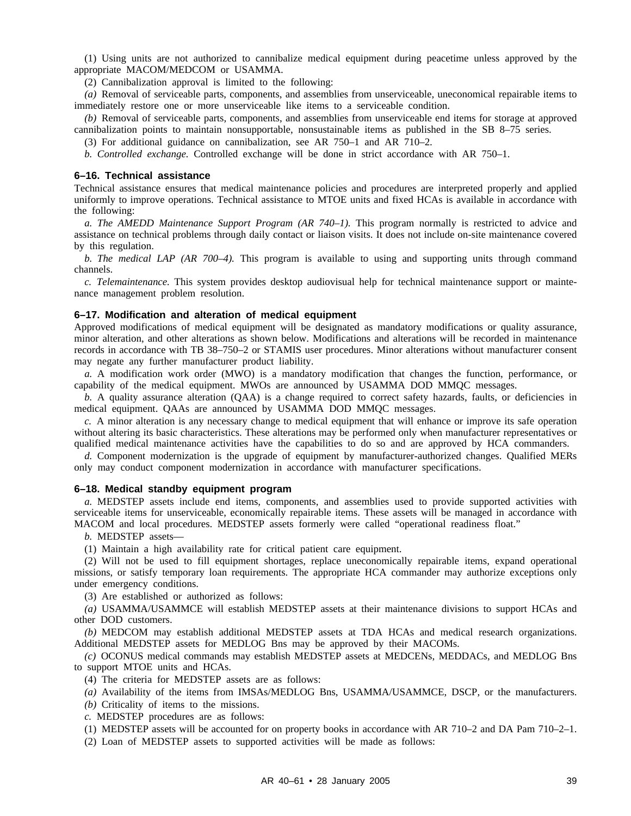(1) Using units are not authorized to cannibalize medical equipment during peacetime unless approved by the appropriate MACOM/MEDCOM or USAMMA.

(2) Cannibalization approval is limited to the following:

*(a)* Removal of serviceable parts, components, and assemblies from unserviceable, uneconomical repairable items to immediately restore one or more unserviceable like items to a serviceable condition.

*(b)* Removal of serviceable parts, components, and assemblies from unserviceable end items for storage at approved cannibalization points to maintain nonsupportable, nonsustainable items as published in the SB 8–75 series.

(3) For additional guidance on cannibalization, see AR 750–1 and AR 710–2.

*b. Controlled exchange.* Controlled exchange will be done in strict accordance with AR 750–1.

#### **6–16. Technical assistance**

Technical assistance ensures that medical maintenance policies and procedures are interpreted properly and applied uniformly to improve operations. Technical assistance to MTOE units and fixed HCAs is available in accordance with the following:

*a. The AMEDD Maintenance Support Program (AR 740–1).* This program normally is restricted to advice and assistance on technical problems through daily contact or liaison visits. It does not include on-site maintenance covered by this regulation.

*b. The medical LAP (AR 700–4).* This program is available to using and supporting units through command channels.

*c. Telemaintenance.* This system provides desktop audiovisual help for technical maintenance support or maintenance management problem resolution.

#### **6–17. Modification and alteration of medical equipment**

Approved modifications of medical equipment will be designated as mandatory modifications or quality assurance, minor alteration, and other alterations as shown below. Modifications and alterations will be recorded in maintenance records in accordance with TB 38–750–2 or STAMIS user procedures. Minor alterations without manufacturer consent may negate any further manufacturer product liability.

*a.* A modification work order (MWO) is a mandatory modification that changes the function, performance, or capability of the medical equipment. MWOs are announced by USAMMA DOD MMQC messages.

*b.* A quality assurance alteration (QAA) is a change required to correct safety hazards, faults, or deficiencies in medical equipment. QAAs are announced by USAMMA DOD MMQC messages.

*c.* A minor alteration is any necessary change to medical equipment that will enhance or improve its safe operation without altering its basic characteristics. These alterations may be performed only when manufacturer representatives or qualified medical maintenance activities have the capabilities to do so and are approved by HCA commanders.

*d.* Component modernization is the upgrade of equipment by manufacturer-authorized changes. Qualified MERs only may conduct component modernization in accordance with manufacturer specifications.

#### **6–18. Medical standby equipment program**

*a.* MEDSTEP assets include end items, components, and assemblies used to provide supported activities with serviceable items for unserviceable, economically repairable items. These assets will be managed in accordance with MACOM and local procedures. MEDSTEP assets formerly were called "operational readiness float."

*b.* MEDSTEP assets—

(1) Maintain a high availability rate for critical patient care equipment.

(2) Will not be used to fill equipment shortages, replace uneconomically repairable items, expand operational missions, or satisfy temporary loan requirements. The appropriate HCA commander may authorize exceptions only under emergency conditions.

(3) Are established or authorized as follows:

*(a)* USAMMA/USAMMCE will establish MEDSTEP assets at their maintenance divisions to support HCAs and other DOD customers.

*(b)* MEDCOM may establish additional MEDSTEP assets at TDA HCAs and medical research organizations. Additional MEDSTEP assets for MEDLOG Bns may be approved by their MACOMs.

*(c)* OCONUS medical commands may establish MEDSTEP assets at MEDCENs, MEDDACs, and MEDLOG Bns to support MTOE units and HCAs.

(4) The criteria for MEDSTEP assets are as follows:

*(a)* Availability of the items from IMSAs/MEDLOG Bns, USAMMA/USAMMCE, DSCP, or the manufacturers.

*(b)* Criticality of items to the missions.

*c.* MEDSTEP procedures are as follows:

(1) MEDSTEP assets will be accounted for on property books in accordance with AR 710–2 and DA Pam 710–2–1.

(2) Loan of MEDSTEP assets to supported activities will be made as follows: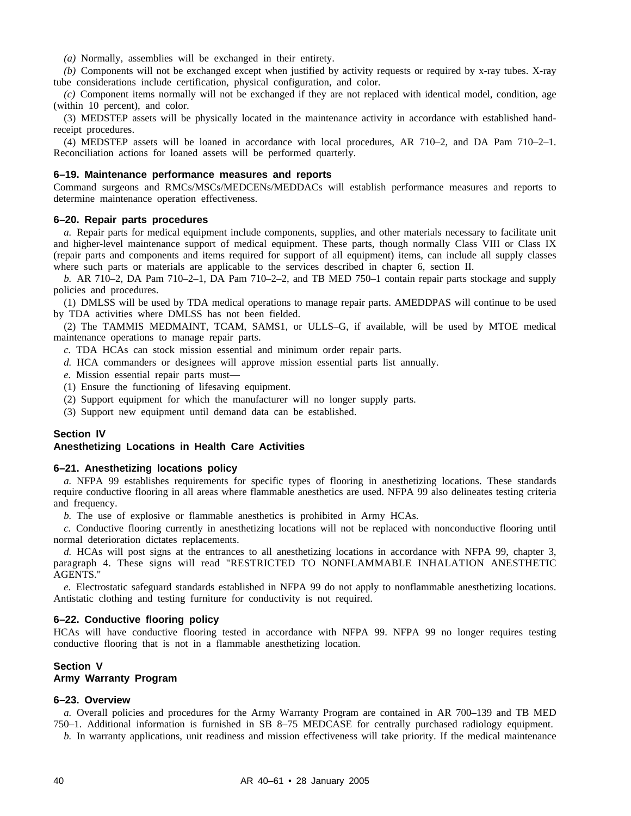*(a)* Normally, assemblies will be exchanged in their entirety.

*(b)* Components will not be exchanged except when justified by activity requests or required by x-ray tubes. X-ray tube considerations include certification, physical configuration, and color.

*(c)* Component items normally will not be exchanged if they are not replaced with identical model, condition, age (within 10 percent), and color.

(3) MEDSTEP assets will be physically located in the maintenance activity in accordance with established handreceipt procedures.

(4) MEDSTEP assets will be loaned in accordance with local procedures, AR 710–2, and DA Pam 710–2–1. Reconciliation actions for loaned assets will be performed quarterly.

## **6–19. Maintenance performance measures and reports**

Command surgeons and RMCs/MSCs/MEDCENs/MEDDACs will establish performance measures and reports to determine maintenance operation effectiveness.

## **6–20. Repair parts procedures**

*a.* Repair parts for medical equipment include components, supplies, and other materials necessary to facilitate unit and higher-level maintenance support of medical equipment. These parts, though normally Class VIII or Class IX (repair parts and components and items required for support of all equipment) items, can include all supply classes where such parts or materials are applicable to the services described in chapter 6, section II.

*b.* AR 710–2, DA Pam 710–2–1, DA Pam 710–2–2, and TB MED 750–1 contain repair parts stockage and supply policies and procedures.

(1) DMLSS will be used by TDA medical operations to manage repair parts. AMEDDPAS will continue to be used by TDA activities where DMLSS has not been fielded.

(2) The TAMMIS MEDMAINT, TCAM, SAMS1, or ULLS–G, if available, will be used by MTOE medical maintenance operations to manage repair parts.

- *c.* TDA HCAs can stock mission essential and minimum order repair parts.
- *d.* HCA commanders or designees will approve mission essential parts list annually.
- *e.* Mission essential repair parts must—
- (1) Ensure the functioning of lifesaving equipment.
- (2) Support equipment for which the manufacturer will no longer supply parts.
- (3) Support new equipment until demand data can be established.

#### **Section IV**

## **Anesthetizing Locations in Health Care Activities**

#### **6–21. Anesthetizing locations policy**

*a.* NFPA 99 establishes requirements for specific types of flooring in anesthetizing locations. These standards require conductive flooring in all areas where flammable anesthetics are used. NFPA 99 also delineates testing criteria and frequency.

*b.* The use of explosive or flammable anesthetics is prohibited in Army HCAs.

*c.* Conductive flooring currently in anesthetizing locations will not be replaced with nonconductive flooring until normal deterioration dictates replacements.

*d.* HCAs will post signs at the entrances to all anesthetizing locations in accordance with NFPA 99, chapter 3, paragraph 4. These signs will read "RESTRICTED TO NONFLAMMABLE INHALATION ANESTHETIC AGENTS."

*e.* Electrostatic safeguard standards established in NFPA 99 do not apply to nonflammable anesthetizing locations. Antistatic clothing and testing furniture for conductivity is not required.

#### **6–22. Conductive flooring policy**

HCAs will have conductive flooring tested in accordance with NFPA 99. NFPA 99 no longer requires testing conductive flooring that is not in a flammable anesthetizing location.

# **Section V**

## **Army Warranty Program**

### **6–23. Overview**

*a.* Overall policies and procedures for the Army Warranty Program are contained in AR 700–139 and TB MED 750–1. Additional information is furnished in SB 8–75 MEDCASE for centrally purchased radiology equipment.

*b.* In warranty applications, unit readiness and mission effectiveness will take priority. If the medical maintenance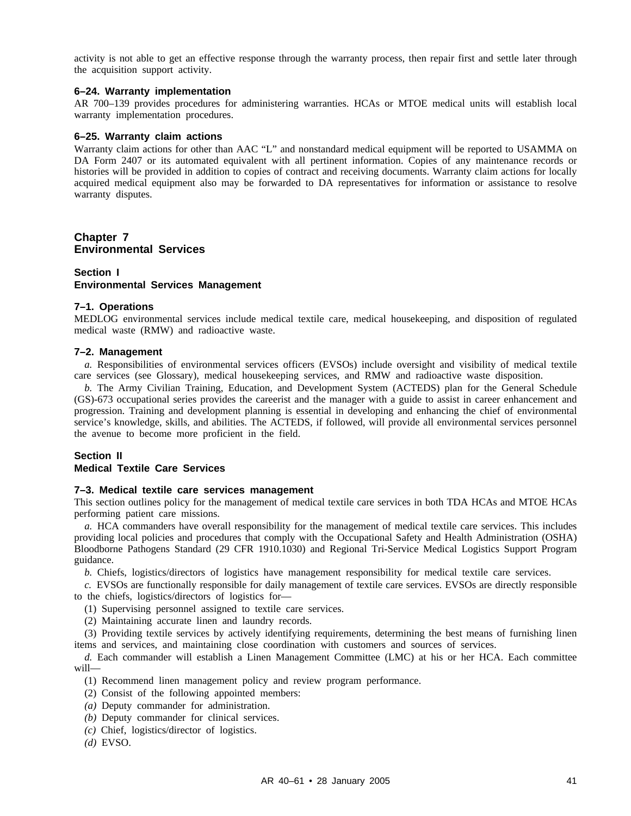activity is not able to get an effective response through the warranty process, then repair first and settle later through the acquisition support activity.

## **6–24. Warranty implementation**

AR 700–139 provides procedures for administering warranties. HCAs or MTOE medical units will establish local warranty implementation procedures.

## **6–25. Warranty claim actions**

Warranty claim actions for other than AAC "L" and nonstandard medical equipment will be reported to USAMMA on DA Form 2407 or its automated equivalent with all pertinent information. Copies of any maintenance records or histories will be provided in addition to copies of contract and receiving documents. Warranty claim actions for locally acquired medical equipment also may be forwarded to DA representatives for information or assistance to resolve warranty disputes.

## **Chapter 7 Environmental Services**

## **Section I Environmental Services Management**

#### **7–1. Operations**

MEDLOG environmental services include medical textile care, medical housekeeping, and disposition of regulated medical waste (RMW) and radioactive waste.

### **7–2. Management**

*a.* Responsibilities of environmental services officers (EVSOs) include oversight and visibility of medical textile care services (see Glossary), medical housekeeping services, and RMW and radioactive waste disposition.

*b.* The Army Civilian Training, Education, and Development System (ACTEDS) plan for the General Schedule (GS)-673 occupational series provides the careerist and the manager with a guide to assist in career enhancement and progression. Training and development planning is essential in developing and enhancing the chief of environmental service's knowledge, skills, and abilities. The ACTEDS, if followed, will provide all environmental services personnel the avenue to become more proficient in the field.

## **Section II**

## **Medical Textile Care Services**

#### **7–3. Medical textile care services management**

This section outlines policy for the management of medical textile care services in both TDA HCAs and MTOE HCAs performing patient care missions.

*a.* HCA commanders have overall responsibility for the management of medical textile care services. This includes providing local policies and procedures that comply with the Occupational Safety and Health Administration (OSHA) Bloodborne Pathogens Standard (29 CFR 1910.1030) and Regional Tri-Service Medical Logistics Support Program guidance.

*b.* Chiefs, logistics/directors of logistics have management responsibility for medical textile care services.

*c.* EVSOs are functionally responsible for daily management of textile care services. EVSOs are directly responsible to the chiefs, logistics/directors of logistics for—

(1) Supervising personnel assigned to textile care services.

(2) Maintaining accurate linen and laundry records.

(3) Providing textile services by actively identifying requirements, determining the best means of furnishing linen items and services, and maintaining close coordination with customers and sources of services.

*d.* Each commander will establish a Linen Management Committee (LMC) at his or her HCA. Each committee will—

(1) Recommend linen management policy and review program performance.

- (2) Consist of the following appointed members:
- *(a)* Deputy commander for administration.
- *(b)* Deputy commander for clinical services.
- *(c)* Chief, logistics/director of logistics.
- *(d)* EVSO.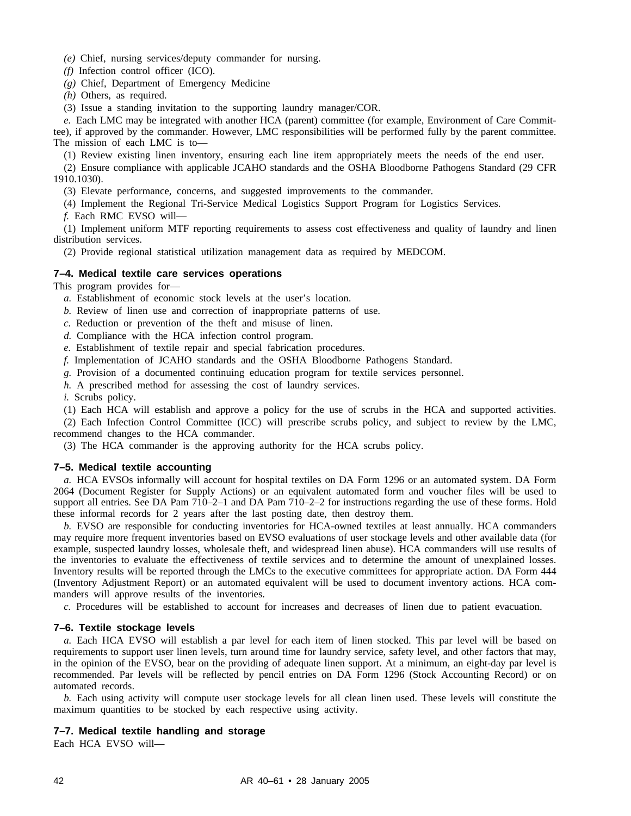*(e)* Chief, nursing services/deputy commander for nursing.

*(f)* Infection control officer (ICO).

*(g)* Chief, Department of Emergency Medicine

*(h)* Others, as required.

(3) Issue a standing invitation to the supporting laundry manager/COR.

*e.* Each LMC may be integrated with another HCA (parent) committee (for example, Environment of Care Committee), if approved by the commander. However, LMC responsibilities will be performed fully by the parent committee. The mission of each LMC is to—

(1) Review existing linen inventory, ensuring each line item appropriately meets the needs of the end user.

(2) Ensure compliance with applicable JCAHO standards and the OSHA Bloodborne Pathogens Standard (29 CFR 1910.1030).

(3) Elevate performance, concerns, and suggested improvements to the commander.

(4) Implement the Regional Tri-Service Medical Logistics Support Program for Logistics Services.

*f.* Each RMC EVSO will—

(1) Implement uniform MTF reporting requirements to assess cost effectiveness and quality of laundry and linen distribution services.

(2) Provide regional statistical utilization management data as required by MEDCOM.

## **7–4. Medical textile care services operations**

This program provides for—

- *a.* Establishment of economic stock levels at the user's location.
- *b.* Review of linen use and correction of inappropriate patterns of use.
- *c.* Reduction or prevention of the theft and misuse of linen.
- *d.* Compliance with the HCA infection control program.
- *e.* Establishment of textile repair and special fabrication procedures.
- *f.* Implementation of JCAHO standards and the OSHA Bloodborne Pathogens Standard.
- *g.* Provision of a documented continuing education program for textile services personnel.
- *h.* A prescribed method for assessing the cost of laundry services.

*i.* Scrubs policy.

(1) Each HCA will establish and approve a policy for the use of scrubs in the HCA and supported activities.

(2) Each Infection Control Committee (ICC) will prescribe scrubs policy, and subject to review by the LMC, recommend changes to the HCA commander.

(3) The HCA commander is the approving authority for the HCA scrubs policy.

### **7–5. Medical textile accounting**

*a.* HCA EVSOs informally will account for hospital textiles on DA Form 1296 or an automated system. DA Form 2064 (Document Register for Supply Actions) or an equivalent automated form and voucher files will be used to support all entries. See DA Pam 710–2–1 and DA Pam 710–2–2 for instructions regarding the use of these forms. Hold these informal records for 2 years after the last posting date, then destroy them.

*b.* EVSO are responsible for conducting inventories for HCA-owned textiles at least annually. HCA commanders may require more frequent inventories based on EVSO evaluations of user stockage levels and other available data (for example, suspected laundry losses, wholesale theft, and widespread linen abuse). HCA commanders will use results of the inventories to evaluate the effectiveness of textile services and to determine the amount of unexplained losses. Inventory results will be reported through the LMCs to the executive committees for appropriate action. DA Form 444 (Inventory Adjustment Report) or an automated equivalent will be used to document inventory actions. HCA commanders will approve results of the inventories.

*c.* Procedures will be established to account for increases and decreases of linen due to patient evacuation.

## **7–6. Textile stockage levels**

*a.* Each HCA EVSO will establish a par level for each item of linen stocked. This par level will be based on requirements to support user linen levels, turn around time for laundry service, safety level, and other factors that may, in the opinion of the EVSO, bear on the providing of adequate linen support. At a minimum, an eight-day par level is recommended. Par levels will be reflected by pencil entries on DA Form 1296 (Stock Accounting Record) or on automated records.

*b.* Each using activity will compute user stockage levels for all clean linen used. These levels will constitute the maximum quantities to be stocked by each respective using activity.

## **7–7. Medical textile handling and storage**

Each HCA EVSO will—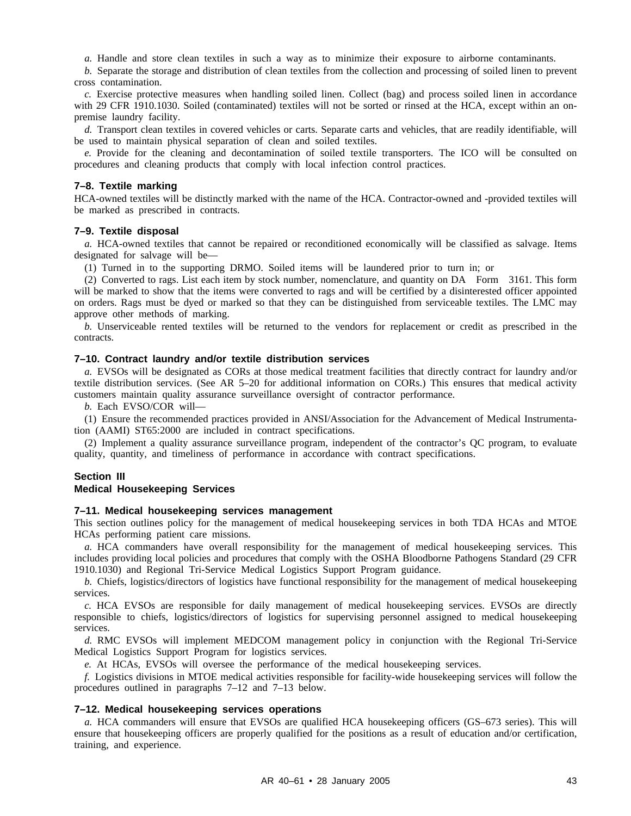*a.* Handle and store clean textiles in such a way as to minimize their exposure to airborne contaminants.

*b.* Separate the storage and distribution of clean textiles from the collection and processing of soiled linen to prevent cross contamination.

*c.* Exercise protective measures when handling soiled linen. Collect (bag) and process soiled linen in accordance with 29 CFR 1910.1030. Soiled (contaminated) textiles will not be sorted or rinsed at the HCA, except within an onpremise laundry facility.

*d.* Transport clean textiles in covered vehicles or carts. Separate carts and vehicles, that are readily identifiable, will be used to maintain physical separation of clean and soiled textiles.

*e.* Provide for the cleaning and decontamination of soiled textile transporters. The ICO will be consulted on procedures and cleaning products that comply with local infection control practices.

## **7–8. Textile marking**

HCA-owned textiles will be distinctly marked with the name of the HCA. Contractor-owned and -provided textiles will be marked as prescribed in contracts.

## **7–9. Textile disposal**

*a.* HCA-owned textiles that cannot be repaired or reconditioned economically will be classified as salvage. Items designated for salvage will be—

(1) Turned in to the supporting DRMO. Soiled items will be laundered prior to turn in; or

(2) Converted to rags. List each item by stock number, nomenclature, and quantity on DA Form 3161. This form will be marked to show that the items were converted to rags and will be certified by a disinterested officer appointed on orders. Rags must be dyed or marked so that they can be distinguished from serviceable textiles. The LMC may approve other methods of marking.

*b.* Unserviceable rented textiles will be returned to the vendors for replacement or credit as prescribed in the contracts.

#### **7–10. Contract laundry and/or textile distribution services**

*a.* EVSOs will be designated as CORs at those medical treatment facilities that directly contract for laundry and/or textile distribution services. (See AR 5–20 for additional information on CORs.) This ensures that medical activity customers maintain quality assurance surveillance oversight of contractor performance.

*b.* Each EVSO/COR will—

(1) Ensure the recommended practices provided in ANSI/Association for the Advancement of Medical Instrumentation (AAMI) ST65:2000 are included in contract specifications.

(2) Implement a quality assurance surveillance program, independent of the contractor's QC program, to evaluate quality, quantity, and timeliness of performance in accordance with contract specifications.

## **Section III**

## **Medical Housekeeping Services**

#### **7–11. Medical housekeeping services management**

This section outlines policy for the management of medical housekeeping services in both TDA HCAs and MTOE HCAs performing patient care missions.

*a.* HCA commanders have overall responsibility for the management of medical housekeeping services. This includes providing local policies and procedures that comply with the OSHA Bloodborne Pathogens Standard (29 CFR 1910.1030) and Regional Tri-Service Medical Logistics Support Program guidance.

*b.* Chiefs, logistics/directors of logistics have functional responsibility for the management of medical housekeeping services.

*c.* HCA EVSOs are responsible for daily management of medical housekeeping services. EVSOs are directly responsible to chiefs, logistics/directors of logistics for supervising personnel assigned to medical housekeeping services.

*d.* RMC EVSOs will implement MEDCOM management policy in conjunction with the Regional Tri-Service Medical Logistics Support Program for logistics services.

*e.* At HCAs, EVSOs will oversee the performance of the medical housekeeping services.

*f.* Logistics divisions in MTOE medical activities responsible for facility-wide housekeeping services will follow the procedures outlined in paragraphs 7–12 and 7–13 below.

#### **7–12. Medical housekeeping services operations**

*a.* HCA commanders will ensure that EVSOs are qualified HCA housekeeping officers (GS–673 series). This will ensure that housekeeping officers are properly qualified for the positions as a result of education and/or certification, training, and experience.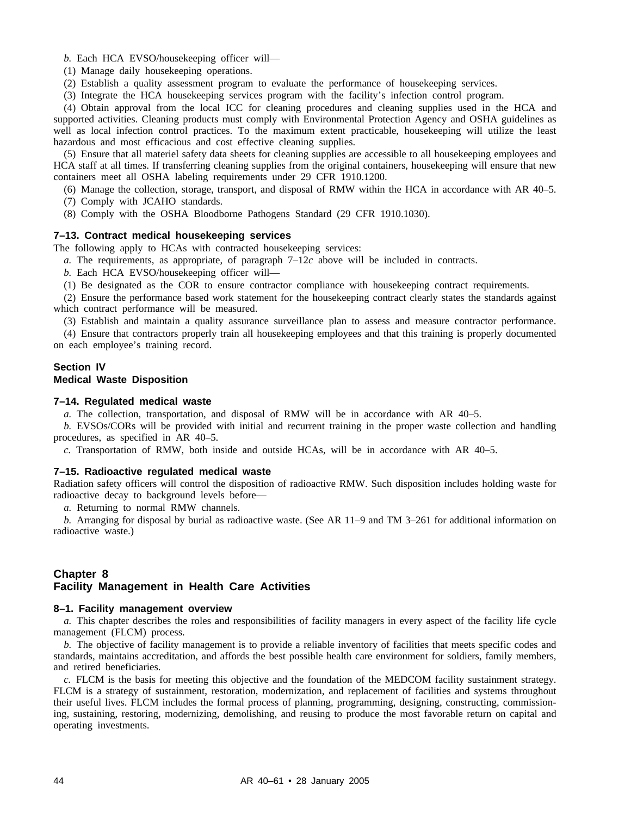*b.* Each HCA EVSO/housekeeping officer will—

(1) Manage daily housekeeping operations.

(2) Establish a quality assessment program to evaluate the performance of housekeeping services.

(3) Integrate the HCA housekeeping services program with the facility's infection control program.

(4) Obtain approval from the local ICC for cleaning procedures and cleaning supplies used in the HCA and supported activities. Cleaning products must comply with Environmental Protection Agency and OSHA guidelines as well as local infection control practices. To the maximum extent practicable, housekeeping will utilize the least hazardous and most efficacious and cost effective cleaning supplies.

(5) Ensure that all materiel safety data sheets for cleaning supplies are accessible to all housekeeping employees and HCA staff at all times. If transferring cleaning supplies from the original containers, housekeeping will ensure that new containers meet all OSHA labeling requirements under 29 CFR 1910.1200.

(6) Manage the collection, storage, transport, and disposal of RMW within the HCA in accordance with AR 40–5.

(7) Comply with JCAHO standards.

(8) Comply with the OSHA Bloodborne Pathogens Standard (29 CFR 1910.1030).

## **7–13. Contract medical housekeeping services**

The following apply to HCAs with contracted housekeeping services:

*a.* The requirements, as appropriate, of paragraph 7–12*c* above will be included in contracts.

*b.* Each HCA EVSO/housekeeping officer will—

(1) Be designated as the COR to ensure contractor compliance with housekeeping contract requirements.

(2) Ensure the performance based work statement for the housekeeping contract clearly states the standards against which contract performance will be measured.

(3) Establish and maintain a quality assurance surveillance plan to assess and measure contractor performance.

(4) Ensure that contractors properly train all housekeeping employees and that this training is properly documented on each employee's training record.

## **Section IV**

## **Medical Waste Disposition**

## **7–14. Regulated medical waste**

*a.* The collection, transportation, and disposal of RMW will be in accordance with AR 40–5.

*b.* EVSOs/CORs will be provided with initial and recurrent training in the proper waste collection and handling procedures, as specified in AR 40–5.

*c.* Transportation of RMW, both inside and outside HCAs, will be in accordance with AR 40–5.

### **7–15. Radioactive regulated medical waste**

Radiation safety officers will control the disposition of radioactive RMW. Such disposition includes holding waste for radioactive decay to background levels before—

*a.* Returning to normal RMW channels.

*b.* Arranging for disposal by burial as radioactive waste. (See AR 11–9 and TM 3–261 for additional information on radioactive waste.)

## **Chapter 8 Facility Management in Health Care Activities**

#### **8–1. Facility management overview**

*a.* This chapter describes the roles and responsibilities of facility managers in every aspect of the facility life cycle management (FLCM) process.

*b.* The objective of facility management is to provide a reliable inventory of facilities that meets specific codes and standards, maintains accreditation, and affords the best possible health care environment for soldiers, family members, and retired beneficiaries.

*c.* FLCM is the basis for meeting this objective and the foundation of the MEDCOM facility sustainment strategy. FLCM is a strategy of sustainment, restoration, modernization, and replacement of facilities and systems throughout their useful lives. FLCM includes the formal process of planning, programming, designing, constructing, commissioning, sustaining, restoring, modernizing, demolishing, and reusing to produce the most favorable return on capital and operating investments.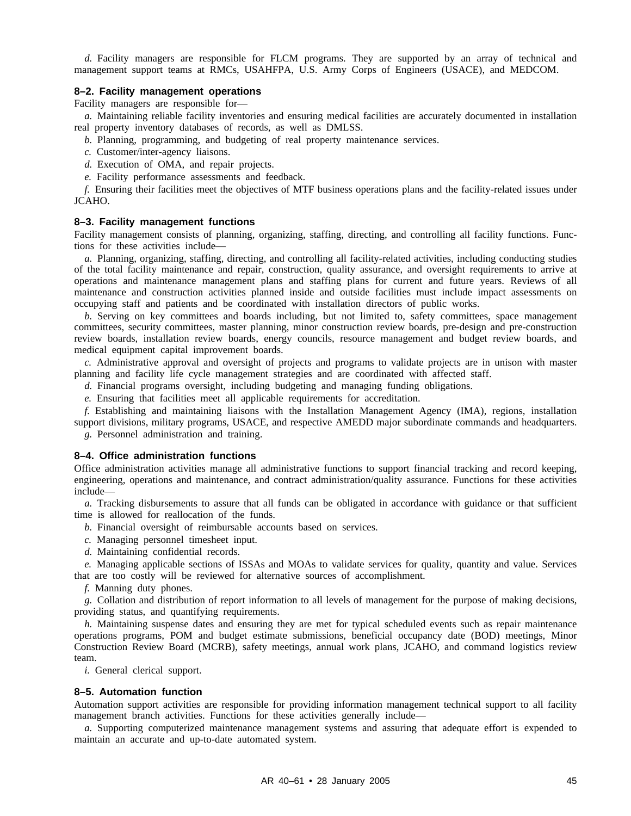*d.* Facility managers are responsible for FLCM programs. They are supported by an array of technical and management support teams at RMCs, USAHFPA, U.S. Army Corps of Engineers (USACE), and MEDCOM.

## **8–2. Facility management operations**

Facility managers are responsible for—

*a.* Maintaining reliable facility inventories and ensuring medical facilities are accurately documented in installation real property inventory databases of records, as well as DMLSS.

- *b.* Planning, programming, and budgeting of real property maintenance services.
- *c.* Customer/inter-agency liaisons.
- *d.* Execution of OMA, and repair projects.
- *e.* Facility performance assessments and feedback.

*f.* Ensuring their facilities meet the objectives of MTF business operations plans and the facility-related issues under JCAHO.

#### **8–3. Facility management functions**

Facility management consists of planning, organizing, staffing, directing, and controlling all facility functions. Functions for these activities include—

*a.* Planning, organizing, staffing, directing, and controlling all facility-related activities, including conducting studies of the total facility maintenance and repair, construction, quality assurance, and oversight requirements to arrive at operations and maintenance management plans and staffing plans for current and future years. Reviews of all maintenance and construction activities planned inside and outside facilities must include impact assessments on occupying staff and patients and be coordinated with installation directors of public works.

*b.* Serving on key committees and boards including, but not limited to, safety committees, space management committees, security committees, master planning, minor construction review boards, pre-design and pre-construction review boards, installation review boards, energy councils, resource management and budget review boards, and medical equipment capital improvement boards.

*c.* Administrative approval and oversight of projects and programs to validate projects are in unison with master planning and facility life cycle management strategies and are coordinated with affected staff.

*d.* Financial programs oversight, including budgeting and managing funding obligations.

*e.* Ensuring that facilities meet all applicable requirements for accreditation.

*f.* Establishing and maintaining liaisons with the Installation Management Agency (IMA), regions, installation support divisions, military programs, USACE, and respective AMEDD major subordinate commands and headquarters. *g.* Personnel administration and training.

#### **8–4. Office administration functions**

Office administration activities manage all administrative functions to support financial tracking and record keeping, engineering, operations and maintenance, and contract administration/quality assurance. Functions for these activities include—

*a.* Tracking disbursements to assure that all funds can be obligated in accordance with guidance or that sufficient time is allowed for reallocation of the funds.

- *b.* Financial oversight of reimbursable accounts based on services.
- *c.* Managing personnel timesheet input.
- *d.* Maintaining confidential records.

*e.* Managing applicable sections of ISSAs and MOAs to validate services for quality, quantity and value. Services that are too costly will be reviewed for alternative sources of accomplishment.

*f.* Manning duty phones.

*g.* Collation and distribution of report information to all levels of management for the purpose of making decisions, providing status, and quantifying requirements.

*h.* Maintaining suspense dates and ensuring they are met for typical scheduled events such as repair maintenance operations programs, POM and budget estimate submissions, beneficial occupancy date (BOD) meetings, Minor Construction Review Board (MCRB), safety meetings, annual work plans, JCAHO, and command logistics review team.

*i.* General clerical support.

## **8–5. Automation function**

Automation support activities are responsible for providing information management technical support to all facility management branch activities. Functions for these activities generally include—

*a.* Supporting computerized maintenance management systems and assuring that adequate effort is expended to maintain an accurate and up-to-date automated system.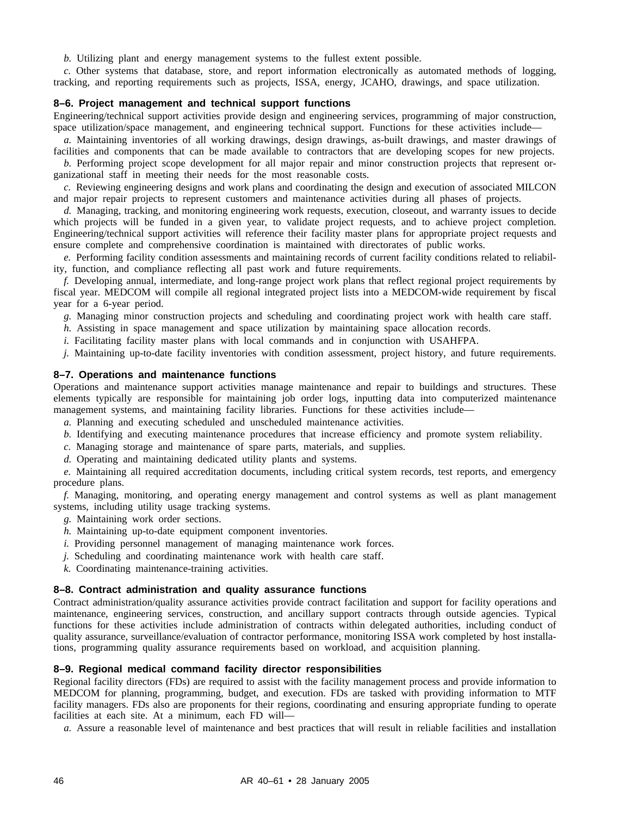*b.* Utilizing plant and energy management systems to the fullest extent possible.

*c.* Other systems that database, store, and report information electronically as automated methods of logging, tracking, and reporting requirements such as projects, ISSA, energy, JCAHO, drawings, and space utilization.

## **8–6. Project management and technical support functions**

Engineering/technical support activities provide design and engineering services, programming of major construction, space utilization/space management, and engineering technical support. Functions for these activities include–

*a.* Maintaining inventories of all working drawings, design drawings, as-built drawings, and master drawings of facilities and components that can be made available to contractors that are developing scopes for new projects.

*b.* Performing project scope development for all major repair and minor construction projects that represent organizational staff in meeting their needs for the most reasonable costs.

*c.* Reviewing engineering designs and work plans and coordinating the design and execution of associated MILCON and major repair projects to represent customers and maintenance activities during all phases of projects.

*d.* Managing, tracking, and monitoring engineering work requests, execution, closeout, and warranty issues to decide which projects will be funded in a given year, to validate project requests, and to achieve project completion. Engineering/technical support activities will reference their facility master plans for appropriate project requests and ensure complete and comprehensive coordination is maintained with directorates of public works.

*e.* Performing facility condition assessments and maintaining records of current facility conditions related to reliability, function, and compliance reflecting all past work and future requirements.

*f.* Developing annual, intermediate, and long-range project work plans that reflect regional project requirements by fiscal year. MEDCOM will compile all regional integrated project lists into a MEDCOM-wide requirement by fiscal year for a 6-year period.

*g.* Managing minor construction projects and scheduling and coordinating project work with health care staff.

*h.* Assisting in space management and space utilization by maintaining space allocation records.

*i.* Facilitating facility master plans with local commands and in conjunction with USAHFPA.

*j.* Maintaining up-to-date facility inventories with condition assessment, project history, and future requirements.

## **8–7. Operations and maintenance functions**

Operations and maintenance support activities manage maintenance and repair to buildings and structures. These elements typically are responsible for maintaining job order logs, inputting data into computerized maintenance management systems, and maintaining facility libraries. Functions for these activities include—

*a.* Planning and executing scheduled and unscheduled maintenance activities.

- *b.* Identifying and executing maintenance procedures that increase efficiency and promote system reliability.
- *c.* Managing storage and maintenance of spare parts, materials, and supplies.

*d.* Operating and maintaining dedicated utility plants and systems.

*e.* Maintaining all required accreditation documents, including critical system records, test reports, and emergency procedure plans.

*f.* Managing, monitoring, and operating energy management and control systems as well as plant management systems, including utility usage tracking systems.

- *g.* Maintaining work order sections.
- *h.* Maintaining up-to-date equipment component inventories.
- *i.* Providing personnel management of managing maintenance work forces.
- *j.* Scheduling and coordinating maintenance work with health care staff.
- *k.* Coordinating maintenance-training activities.

## **8–8. Contract administration and quality assurance functions**

Contract administration/quality assurance activities provide contract facilitation and support for facility operations and maintenance, engineering services, construction, and ancillary support contracts through outside agencies. Typical functions for these activities include administration of contracts within delegated authorities, including conduct of quality assurance, surveillance/evaluation of contractor performance, monitoring ISSA work completed by host installations, programming quality assurance requirements based on workload, and acquisition planning.

## **8–9. Regional medical command facility director responsibilities**

Regional facility directors (FDs) are required to assist with the facility management process and provide information to MEDCOM for planning, programming, budget, and execution. FDs are tasked with providing information to MTF facility managers. FDs also are proponents for their regions, coordinating and ensuring appropriate funding to operate facilities at each site. At a minimum, each FD will—

*a.* Assure a reasonable level of maintenance and best practices that will result in reliable facilities and installation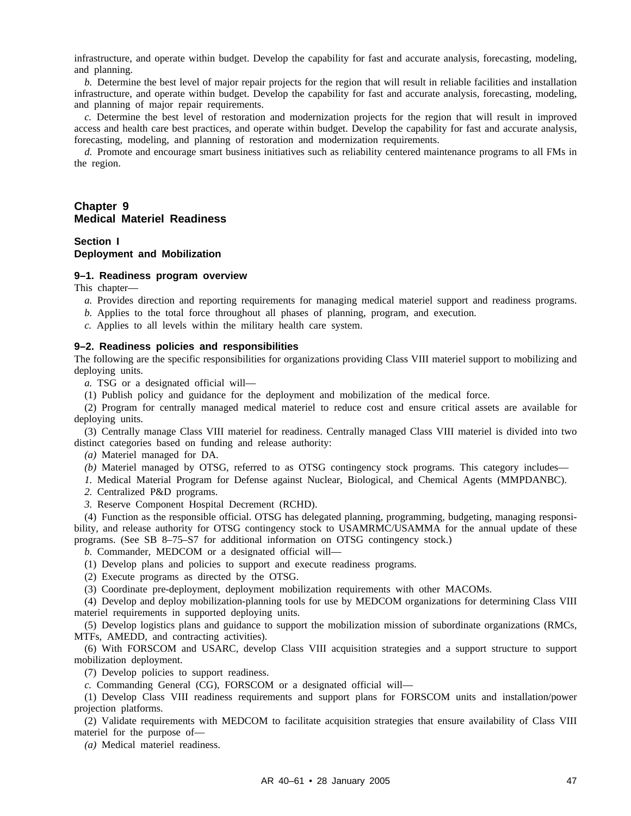infrastructure, and operate within budget. Develop the capability for fast and accurate analysis, forecasting, modeling, and planning.

*b.* Determine the best level of major repair projects for the region that will result in reliable facilities and installation infrastructure, and operate within budget. Develop the capability for fast and accurate analysis, forecasting, modeling, and planning of major repair requirements.

*c.* Determine the best level of restoration and modernization projects for the region that will result in improved access and health care best practices, and operate within budget. Develop the capability for fast and accurate analysis, forecasting, modeling, and planning of restoration and modernization requirements.

*d.* Promote and encourage smart business initiatives such as reliability centered maintenance programs to all FMs in the region.

## **Chapter 9 Medical Materiel Readiness**

## **Section I Deployment and Mobilization**

#### **9–1. Readiness program overview**

This chapter—

- *a.* Provides direction and reporting requirements for managing medical materiel support and readiness programs.
- *b.* Applies to the total force throughout all phases of planning, program, and execution.
- *c.* Applies to all levels within the military health care system.

## **9–2. Readiness policies and responsibilities**

The following are the specific responsibilities for organizations providing Class VIII materiel support to mobilizing and deploying units.

*a.* TSG or a designated official will—

(1) Publish policy and guidance for the deployment and mobilization of the medical force.

(2) Program for centrally managed medical materiel to reduce cost and ensure critical assets are available for deploying units.

(3) Centrally manage Class VIII materiel for readiness. Centrally managed Class VIII materiel is divided into two distinct categories based on funding and release authority:

*(a)* Materiel managed for DA.

- *(b)* Materiel managed by OTSG, referred to as OTSG contingency stock programs. This category includes—
- *1.* Medical Material Program for Defense against Nuclear, Biological, and Chemical Agents (MMPDANBC).

*2.* Centralized P&D programs.

*3.* Reserve Component Hospital Decrement (RCHD).

(4) Function as the responsible official. OTSG has delegated planning, programming, budgeting, managing responsibility, and release authority for OTSG contingency stock to USAMRMC/USAMMA for the annual update of these programs. (See SB 8–75–S7 for additional information on OTSG contingency stock.)

*b.* Commander, MEDCOM or a designated official will—

- (1) Develop plans and policies to support and execute readiness programs.
- (2) Execute programs as directed by the OTSG.

(3) Coordinate pre-deployment, deployment mobilization requirements with other MACOMs.

(4) Develop and deploy mobilization-planning tools for use by MEDCOM organizations for determining Class VIII materiel requirements in supported deploying units.

(5) Develop logistics plans and guidance to support the mobilization mission of subordinate organizations (RMCs, MTFs, AMEDD, and contracting activities).

(6) With FORSCOM and USARC, develop Class VIII acquisition strategies and a support structure to support mobilization deployment.

(7) Develop policies to support readiness.

*c.* Commanding General (CG), FORSCOM or a designated official will—

(1) Develop Class VIII readiness requirements and support plans for FORSCOM units and installation/power projection platforms.

(2) Validate requirements with MEDCOM to facilitate acquisition strategies that ensure availability of Class VIII materiel for the purpose of—

*(a)* Medical materiel readiness.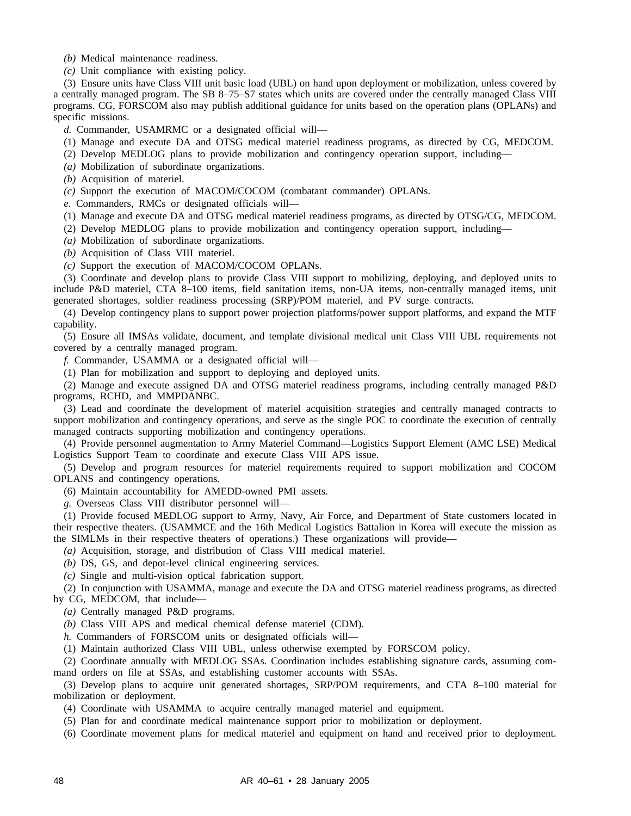*(b)* Medical maintenance readiness.

*(c)* Unit compliance with existing policy.

(3) Ensure units have Class VIII unit basic load (UBL) on hand upon deployment or mobilization, unless covered by a centrally managed program. The SB 8–75–S7 states which units are covered under the centrally managed Class VIII programs. CG, FORSCOM also may publish additional guidance for units based on the operation plans (OPLANs) and specific missions.

*d.* Commander, USAMRMC or a designated official will—

- (1) Manage and execute DA and OTSG medical materiel readiness programs, as directed by CG, MEDCOM.
- (2) Develop MEDLOG plans to provide mobilization and contingency operation support, including—
- *(a)* Mobilization of subordinate organizations.
- *(b)* Acquisition of materiel.
- *(c)* Support the execution of MACOM/COCOM (combatant commander) OPLANs.

*e.* Commanders, RMCs or designated officials will—

- (1) Manage and execute DA and OTSG medical materiel readiness programs, as directed by OTSG/CG, MEDCOM.
- (2) Develop MEDLOG plans to provide mobilization and contingency operation support, including—
- *(a)* Mobilization of subordinate organizations.
- *(b)* Acquisition of Class VIII materiel.
- *(c)* Support the execution of MACOM/COCOM OPLANs.

(3) Coordinate and develop plans to provide Class VIII support to mobilizing, deploying, and deployed units to include P&D materiel, CTA 8–100 items, field sanitation items, non-UA items, non-centrally managed items, unit generated shortages, soldier readiness processing (SRP)/POM materiel, and PV surge contracts.

(4) Develop contingency plans to support power projection platforms/power support platforms, and expand the MTF capability.

(5) Ensure all IMSAs validate, document, and template divisional medical unit Class VIII UBL requirements not covered by a centrally managed program.

*f.* Commander, USAMMA or a designated official will—

(1) Plan for mobilization and support to deploying and deployed units.

(2) Manage and execute assigned DA and OTSG materiel readiness programs, including centrally managed P&D programs, RCHD, and MMPDANBC.

(3) Lead and coordinate the development of materiel acquisition strategies and centrally managed contracts to support mobilization and contingency operations, and serve as the single POC to coordinate the execution of centrally managed contracts supporting mobilization and contingency operations.

(4) Provide personnel augmentation to Army Materiel Command—Logistics Support Element (AMC LSE) Medical Logistics Support Team to coordinate and execute Class VIII APS issue.

(5) Develop and program resources for materiel requirements required to support mobilization and COCOM OPLANS and contingency operations.

(6) Maintain accountability for AMEDD-owned PMI assets.

*g.* Overseas Class VIII distributor personnel will—

(1) Provide focused MEDLOG support to Army, Navy, Air Force, and Department of State customers located in their respective theaters. (USAMMCE and the 16th Medical Logistics Battalion in Korea will execute the mission as the SIMLMs in their respective theaters of operations.) These organizations will provide—

*(a)* Acquisition, storage, and distribution of Class VIII medical materiel.

- *(b)* DS, GS, and depot-level clinical engineering services.
- *(c)* Single and multi-vision optical fabrication support.

(2) In conjunction with USAMMA, manage and execute the DA and OTSG materiel readiness programs, as directed by CG, MEDCOM, that include—

*(a)* Centrally managed P&D programs.

*(b)* Class VIII APS and medical chemical defense materiel (CDM).

*h.* Commanders of FORSCOM units or designated officials will—

(1) Maintain authorized Class VIII UBL, unless otherwise exempted by FORSCOM policy.

(2) Coordinate annually with MEDLOG SSAs. Coordination includes establishing signature cards, assuming command orders on file at SSAs, and establishing customer accounts with SSAs.

(3) Develop plans to acquire unit generated shortages, SRP/POM requirements, and CTA 8–100 material for mobilization or deployment.

(4) Coordinate with USAMMA to acquire centrally managed materiel and equipment.

(5) Plan for and coordinate medical maintenance support prior to mobilization or deployment.

(6) Coordinate movement plans for medical materiel and equipment on hand and received prior to deployment.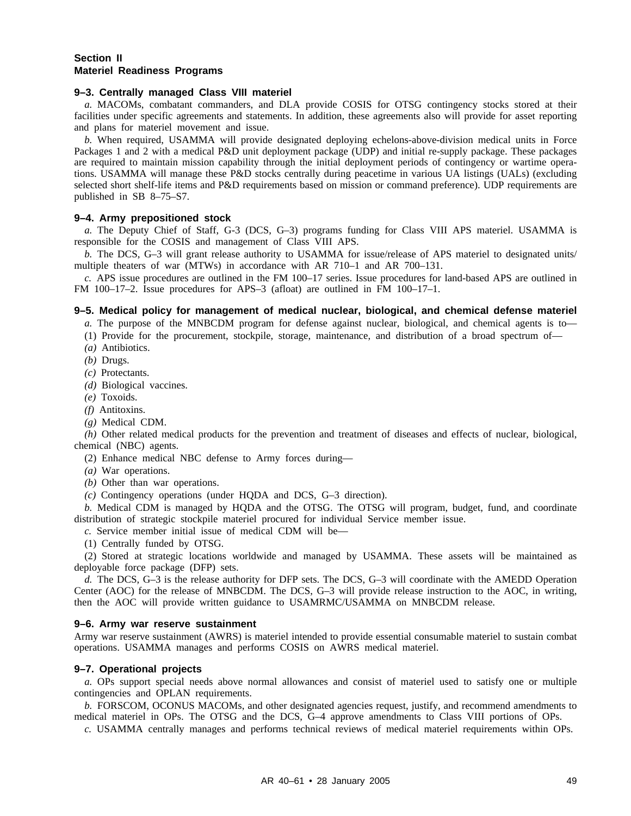## **Section II Materiel Readiness Programs**

### **9–3. Centrally managed Class VIII materiel**

*a.* MACOMs, combatant commanders, and DLA provide COSIS for OTSG contingency stocks stored at their facilities under specific agreements and statements. In addition, these agreements also will provide for asset reporting and plans for materiel movement and issue.

*b.* When required, USAMMA will provide designated deploying echelons-above-division medical units in Force Packages 1 and 2 with a medical P&D unit deployment package (UDP) and initial re-supply package. These packages are required to maintain mission capability through the initial deployment periods of contingency or wartime operations. USAMMA will manage these P&D stocks centrally during peacetime in various UA listings (UALs) (excluding selected short shelf-life items and P&D requirements based on mission or command preference). UDP requirements are published in SB 8–75–S7.

#### **9–4. Army prepositioned stock**

*a.* The Deputy Chief of Staff, G-3 (DCS, G–3) programs funding for Class VIII APS materiel. USAMMA is responsible for the COSIS and management of Class VIII APS.

*b.* The DCS, G–3 will grant release authority to USAMMA for issue/release of APS materiel to designated units/ multiple theaters of war (MTWs) in accordance with AR 710–1 and AR 700–131.

*c.* APS issue procedures are outlined in the FM 100–17 series. Issue procedures for land-based APS are outlined in FM 100–17–2. Issue procedures for APS–3 (afloat) are outlined in FM 100–17–1.

## **9–5. Medical policy for management of medical nuclear, biological, and chemical defense materiel**

*a.* The purpose of the MNBCDM program for defense against nuclear, biological, and chemical agents is to—

(1) Provide for the procurement, stockpile, storage, maintenance, and distribution of a broad spectrum of—

- *(a)* Antibiotics.
- *(b)* Drugs.
- *(c)* Protectants.
- *(d)* Biological vaccines.
- *(e)* Toxoids.
- *(f)* Antitoxins.
- *(g)* Medical CDM.

*(h)* Other related medical products for the prevention and treatment of diseases and effects of nuclear, biological, chemical (NBC) agents.

(2) Enhance medical NBC defense to Army forces during—

*(a)* War operations.

*(b)* Other than war operations.

*(c)* Contingency operations (under HQDA and DCS, G–3 direction).

*b.* Medical CDM is managed by HQDA and the OTSG. The OTSG will program, budget, fund, and coordinate distribution of strategic stockpile materiel procured for individual Service member issue.

*c.* Service member initial issue of medical CDM will be—

(1) Centrally funded by OTSG.

(2) Stored at strategic locations worldwide and managed by USAMMA. These assets will be maintained as deployable force package (DFP) sets.

*d.* The DCS, G–3 is the release authority for DFP sets. The DCS, G–3 will coordinate with the AMEDD Operation Center (AOC) for the release of MNBCDM. The DCS, G–3 will provide release instruction to the AOC, in writing, then the AOC will provide written guidance to USAMRMC/USAMMA on MNBCDM release.

#### **9–6. Army war reserve sustainment**

Army war reserve sustainment (AWRS) is materiel intended to provide essential consumable materiel to sustain combat operations. USAMMA manages and performs COSIS on AWRS medical materiel.

## **9–7. Operational projects**

*a.* OPs support special needs above normal allowances and consist of materiel used to satisfy one or multiple contingencies and OPLAN requirements.

*b.* FORSCOM, OCONUS MACOMs, and other designated agencies request, justify, and recommend amendments to medical materiel in OPs. The OTSG and the DCS, G–4 approve amendments to Class VIII portions of OPs.

*c.* USAMMA centrally manages and performs technical reviews of medical materiel requirements within OPs.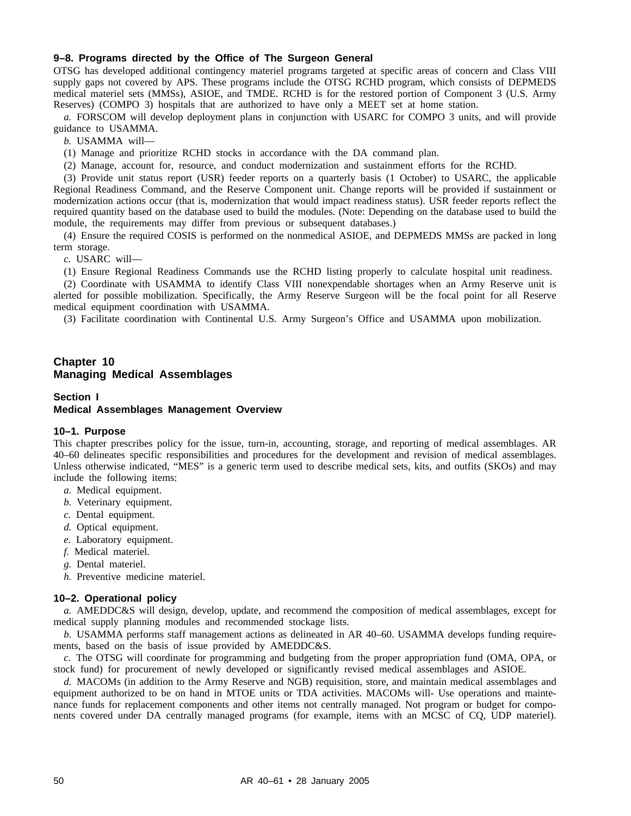## **9–8. Programs directed by the Office of The Surgeon General**

OTSG has developed additional contingency materiel programs targeted at specific areas of concern and Class VIII supply gaps not covered by APS. These programs include the OTSG RCHD program, which consists of DEPMEDS medical materiel sets (MMSs), ASIOE, and TMDE. RCHD is for the restored portion of Component 3 (U.S. Army Reserves) (COMPO 3) hospitals that are authorized to have only a MEET set at home station.

*a.* FORSCOM will develop deployment plans in conjunction with USARC for COMPO 3 units, and will provide guidance to USAMMA.

*b.* USAMMA will—

(1) Manage and prioritize RCHD stocks in accordance with the DA command plan.

(2) Manage, account for, resource, and conduct modernization and sustainment efforts for the RCHD.

(3) Provide unit status report (USR) feeder reports on a quarterly basis (1 October) to USARC, the applicable Regional Readiness Command, and the Reserve Component unit. Change reports will be provided if sustainment or modernization actions occur (that is, modernization that would impact readiness status). USR feeder reports reflect the required quantity based on the database used to build the modules. (Note: Depending on the database used to build the module, the requirements may differ from previous or subsequent databases.)

(4) Ensure the required COSIS is performed on the nonmedical ASIOE, and DEPMEDS MMSs are packed in long term storage.

*c.* USARC will—

(1) Ensure Regional Readiness Commands use the RCHD listing properly to calculate hospital unit readiness.

(2) Coordinate with USAMMA to identify Class VIII nonexpendable shortages when an Army Reserve unit is alerted for possible mobilization. Specifically, the Army Reserve Surgeon will be the focal point for all Reserve medical equipment coordination with USAMMA.

(3) Facilitate coordination with Continental U.S. Army Surgeon's Office and USAMMA upon mobilization.

## **Chapter 10 Managing Medical Assemblages**

## **Section I Medical Assemblages Management Overview**

#### **10–1. Purpose**

This chapter prescribes policy for the issue, turn-in, accounting, storage, and reporting of medical assemblages. AR 40–60 delineates specific responsibilities and procedures for the development and revision of medical assemblages. Unless otherwise indicated, "MES" is a generic term used to describe medical sets, kits, and outfits (SKOs) and may include the following items:

- *a.* Medical equipment.
- *b.* Veterinary equipment.
- *c.* Dental equipment.
- *d.* Optical equipment.
- *e.* Laboratory equipment.
- *f.* Medical materiel.
- *g.* Dental materiel.
- *h.* Preventive medicine materiel.

## **10–2. Operational policy**

*a.* AMEDDC&S will design, develop, update, and recommend the composition of medical assemblages, except for medical supply planning modules and recommended stockage lists.

*b.* USAMMA performs staff management actions as delineated in AR 40–60. USAMMA develops funding requirements, based on the basis of issue provided by AMEDDC&S.

*c.* The OTSG will coordinate for programming and budgeting from the proper appropriation fund (OMA, OPA, or stock fund) for procurement of newly developed or significantly revised medical assemblages and ASIOE.

*d.* MACOMs (in addition to the Army Reserve and NGB) requisition, store, and maintain medical assemblages and equipment authorized to be on hand in MTOE units or TDA activities. MACOMs will- Use operations and maintenance funds for replacement components and other items not centrally managed. Not program or budget for components covered under DA centrally managed programs (for example, items with an MCSC of CQ, UDP materiel).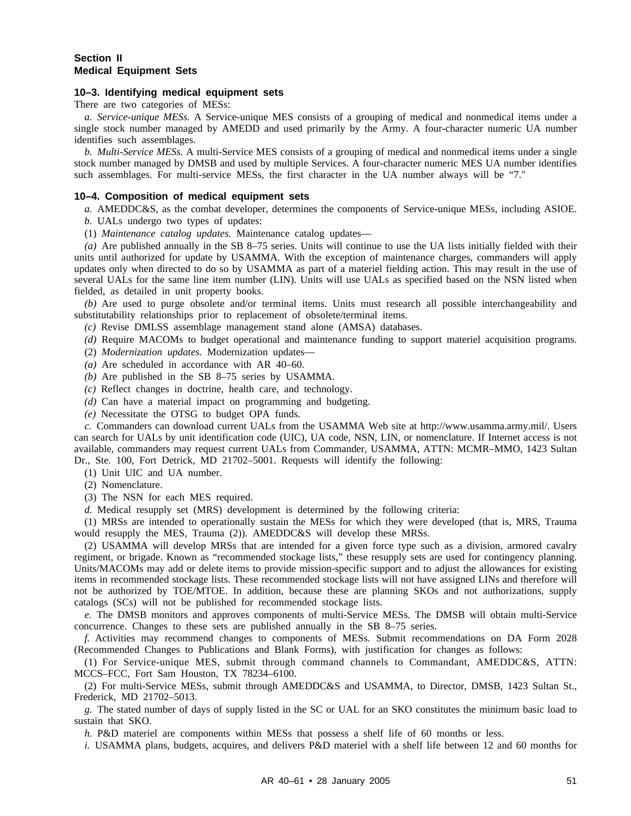## **Section II Medical Equipment Sets**

#### **10–3. Identifying medical equipment sets**

There are two categories of MESs:

*a. Service-unique MESs.* A Service-unique MES consists of a grouping of medical and nonmedical items under a single stock number managed by AMEDD and used primarily by the Army. A four-character numeric UA number identifies such assemblages.

*b. Multi-Service MESs.* A multi-Service MES consists of a grouping of medical and nonmedical items under a single stock number managed by DMSB and used by multiple Services. A four-character numeric MES UA number identifies such assemblages. For multi-service MESs, the first character in the UA number always will be "7."

#### **10–4. Composition of medical equipment sets**

*a.* AMEDDC&S, as the combat developer, determines the components of Service-unique MESs, including ASIOE.

*b.* UALs undergo two types of updates:

(1) *Maintenance catalog updates.* Maintenance catalog updates—

*(a)* Are published annually in the SB 8–75 series. Units will continue to use the UA lists initially fielded with their units until authorized for update by USAMMA. With the exception of maintenance charges, commanders will apply updates only when directed to do so by USAMMA as part of a materiel fielding action. This may result in the use of several UALs for the same line item number (LIN). Units will use UALs as specified based on the NSN listed when fielded, as detailed in unit property books.

*(b)* Are used to purge obsolete and/or terminal items. Units must research all possible interchangeability and substitutability relationships prior to replacement of obsolete/terminal items.

*(c)* Revise DMLSS assemblage management stand alone (AMSA) databases.

*(d)* Require MACOMs to budget operational and maintenance funding to support materiel acquisition programs.

(2) *Modernization updates.* Modernization updates—

- *(a)* Are scheduled in accordance with AR 40–60.
- *(b)* Are published in the SB 8–75 series by USAMMA.
- *(c)* Reflect changes in doctrine, health care, and technology.
- *(d)* Can have a material impact on programming and budgeting.

*(e)* Necessitate the OTSG to budget OPA funds.

*c.* Commanders can download current UALs from the USAMMA Web site at http://www.usamma.army.mil/. Users can search for UALs by unit identification code (UIC), UA code, NSN, LIN, or nomenclature. If Internet access is not available, commanders may request current UALs from Commander, USAMMA, ATTN: MCMR–MMO, 1423 Sultan Dr., Ste. 100, Fort Detrick, MD 21702–5001. Requests will identify the following:

(1) Unit UIC and UA number.

(2) Nomenclature.

(3) The NSN for each MES required.

*d.* Medical resupply set (MRS) development is determined by the following criteria:

(1) MRSs are intended to operationally sustain the MESs for which they were developed (that is, MRS, Trauma would resupply the MES, Trauma (2)). AMEDDC&S will develop these MRSs.

(2) USAMMA will develop MRSs that are intended for a given force type such as a division, armored cavalry regiment, or brigade. Known as "recommended stockage lists," these resupply sets are used for contingency planning. Units/MACOMs may add or delete items to provide mission-specific support and to adjust the allowances for existing items in recommended stockage lists. These recommended stockage lists will not have assigned LINs and therefore will not be authorized by TOE/MTOE. In addition, because these are planning SKOs and not authorizations, supply catalogs (SCs) will not be published for recommended stockage lists.

*e.* The DMSB monitors and approves components of multi-Service MESs. The DMSB will obtain multi-Service concurrence. Changes to these sets are published annually in the SB 8–75 series.

*f.* Activities may recommend changes to components of MESs. Submit recommendations on DA Form 2028 (Recommended Changes to Publications and Blank Forms), with justification for changes as follows:

(1) For Service-unique MES, submit through command channels to Commandant, AMEDDC&S, ATTN: MCCS–FCC, Fort Sam Houston, TX 78234–6100.

(2) For multi-Service MESs, submit through AMEDDC&S and USAMMA, to Director, DMSB, 1423 Sultan St., Frederick, MD 21702–5013.

*g.* The stated number of days of supply listed in the SC or UAL for an SKO constitutes the minimum basic load to sustain that SKO.

*h.* P&D materiel are components within MESs that possess a shelf life of 60 months or less.

*i.* USAMMA plans, budgets, acquires, and delivers P&D materiel with a shelf life between 12 and 60 months for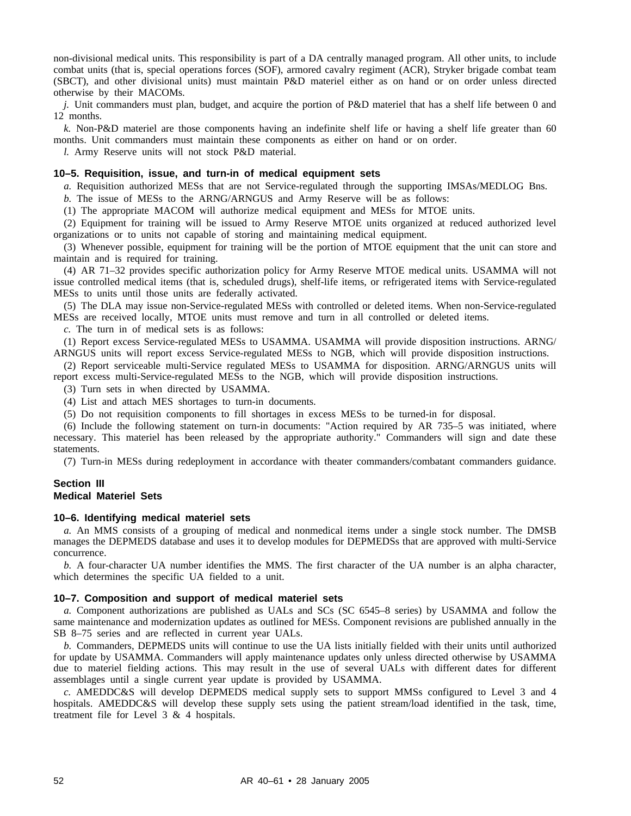non-divisional medical units. This responsibility is part of a DA centrally managed program. All other units, to include combat units (that is, special operations forces (SOF), armored cavalry regiment (ACR), Stryker brigade combat team (SBCT), and other divisional units) must maintain P&D materiel either as on hand or on order unless directed otherwise by their MACOMs.

*j.* Unit commanders must plan, budget, and acquire the portion of P&D materiel that has a shelf life between 0 and 12 months.

*k.* Non-P&D materiel are those components having an indefinite shelf life or having a shelf life greater than 60 months. Unit commanders must maintain these components as either on hand or on order.

*l.* Army Reserve units will not stock P&D material.

## **10–5. Requisition, issue, and turn-in of medical equipment sets**

*a.* Requisition authorized MESs that are not Service-regulated through the supporting IMSAs/MEDLOG Bns.

*b.* The issue of MESs to the ARNG/ARNGUS and Army Reserve will be as follows:

(1) The appropriate MACOM will authorize medical equipment and MESs for MTOE units.

(2) Equipment for training will be issued to Army Reserve MTOE units organized at reduced authorized level organizations or to units not capable of storing and maintaining medical equipment.

(3) Whenever possible, equipment for training will be the portion of MTOE equipment that the unit can store and maintain and is required for training.

(4) AR 71–32 provides specific authorization policy for Army Reserve MTOE medical units. USAMMA will not issue controlled medical items (that is, scheduled drugs), shelf-life items, or refrigerated items with Service-regulated MESs to units until those units are federally activated.

(5) The DLA may issue non-Service-regulated MESs with controlled or deleted items. When non-Service-regulated MESs are received locally, MTOE units must remove and turn in all controlled or deleted items.

*c.* The turn in of medical sets is as follows:

(1) Report excess Service-regulated MESs to USAMMA. USAMMA will provide disposition instructions. ARNG/ ARNGUS units will report excess Service-regulated MESs to NGB, which will provide disposition instructions.

(2) Report serviceable multi-Service regulated MESs to USAMMA for disposition. ARNG/ARNGUS units will report excess multi-Service-regulated MESs to the NGB, which will provide disposition instructions.

(3) Turn sets in when directed by USAMMA.

(4) List and attach MES shortages to turn-in documents.

(5) Do not requisition components to fill shortages in excess MESs to be turned-in for disposal.

(6) Include the following statement on turn-in documents: "Action required by AR 735–5 was initiated, where necessary. This materiel has been released by the appropriate authority." Commanders will sign and date these statements.

(7) Turn-in MESs during redeployment in accordance with theater commanders/combatant commanders guidance.

## **Section III Medical Materiel Sets**

#### **10–6. Identifying medical materiel sets**

*a.* An MMS consists of a grouping of medical and nonmedical items under a single stock number. The DMSB manages the DEPMEDS database and uses it to develop modules for DEPMEDSs that are approved with multi-Service concurrence.

*b.* A four-character UA number identifies the MMS. The first character of the UA number is an alpha character, which determines the specific UA fielded to a unit.

#### **10–7. Composition and support of medical materiel sets**

*a.* Component authorizations are published as UALs and SCs (SC 6545–8 series) by USAMMA and follow the same maintenance and modernization updates as outlined for MESs. Component revisions are published annually in the SB 8–75 series and are reflected in current year UALs.

*b.* Commanders, DEPMEDS units will continue to use the UA lists initially fielded with their units until authorized for update by USAMMA. Commanders will apply maintenance updates only unless directed otherwise by USAMMA due to materiel fielding actions. This may result in the use of several UALs with different dates for different assemblages until a single current year update is provided by USAMMA.

*c.* AMEDDC&S will develop DEPMEDS medical supply sets to support MMSs configured to Level 3 and 4 hospitals. AMEDDC&S will develop these supply sets using the patient stream/load identified in the task, time, treatment file for Level 3 & 4 hospitals.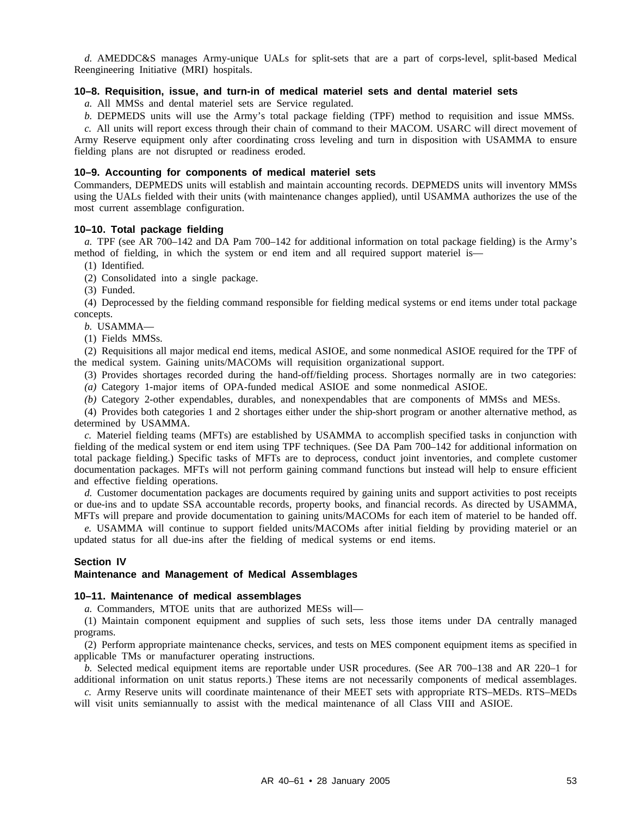*d.* AMEDDC&S manages Army-unique UALs for split-sets that are a part of corps-level, split-based Medical Reengineering Initiative (MRI) hospitals.

## **10–8. Requisition, issue, and turn-in of medical materiel sets and dental materiel sets**

*a.* All MMSs and dental materiel sets are Service regulated.

*b.* DEPMEDS units will use the Army's total package fielding (TPF) method to requisition and issue MMSs.

*c.* All units will report excess through their chain of command to their MACOM. USARC will direct movement of Army Reserve equipment only after coordinating cross leveling and turn in disposition with USAMMA to ensure fielding plans are not disrupted or readiness eroded.

#### **10–9. Accounting for components of medical materiel sets**

Commanders, DEPMEDS units will establish and maintain accounting records. DEPMEDS units will inventory MMSs using the UALs fielded with their units (with maintenance changes applied), until USAMMA authorizes the use of the most current assemblage configuration.

## **10–10. Total package fielding**

*a.* TPF (see AR 700–142 and DA Pam 700–142 for additional information on total package fielding) is the Army's method of fielding, in which the system or end item and all required support materiel is—

(1) Identified.

(2) Consolidated into a single package.

(3) Funded.

(4) Deprocessed by the fielding command responsible for fielding medical systems or end items under total package concepts.

*b.* USAMMA—

(1) Fields MMSs.

(2) Requisitions all major medical end items, medical ASIOE, and some nonmedical ASIOE required for the TPF of the medical system. Gaining units/MACOMs will requisition organizational support.

(3) Provides shortages recorded during the hand-off/fielding process. Shortages normally are in two categories:

*(a)* Category 1-major items of OPA-funded medical ASIOE and some nonmedical ASIOE.

*(b)* Category 2-other expendables, durables, and nonexpendables that are components of MMSs and MESs.

(4) Provides both categories 1 and 2 shortages either under the ship-short program or another alternative method, as determined by USAMMA.

*c.* Materiel fielding teams (MFTs) are established by USAMMA to accomplish specified tasks in conjunction with fielding of the medical system or end item using TPF techniques. (See DA Pam 700–142 for additional information on total package fielding.) Specific tasks of MFTs are to deprocess, conduct joint inventories, and complete customer documentation packages. MFTs will not perform gaining command functions but instead will help to ensure efficient and effective fielding operations.

*d.* Customer documentation packages are documents required by gaining units and support activities to post receipts or due-ins and to update SSA accountable records, property books, and financial records. As directed by USAMMA, MFTs will prepare and provide documentation to gaining units/MACOMs for each item of materiel to be handed off.

*e.* USAMMA will continue to support fielded units/MACOMs after initial fielding by providing materiel or an updated status for all due-ins after the fielding of medical systems or end items.

#### **Section IV**

#### **Maintenance and Management of Medical Assemblages**

## **10–11. Maintenance of medical assemblages**

*a.* Commanders, MTOE units that are authorized MESs will—

(1) Maintain component equipment and supplies of such sets, less those items under DA centrally managed programs.

(2) Perform appropriate maintenance checks, services, and tests on MES component equipment items as specified in applicable TMs or manufacturer operating instructions.

*b.* Selected medical equipment items are reportable under USR procedures. (See AR 700–138 and AR 220–1 for additional information on unit status reports.) These items are not necessarily components of medical assemblages.

*c.* Army Reserve units will coordinate maintenance of their MEET sets with appropriate RTS–MEDs. RTS–MEDs will visit units semiannually to assist with the medical maintenance of all Class VIII and ASIOE.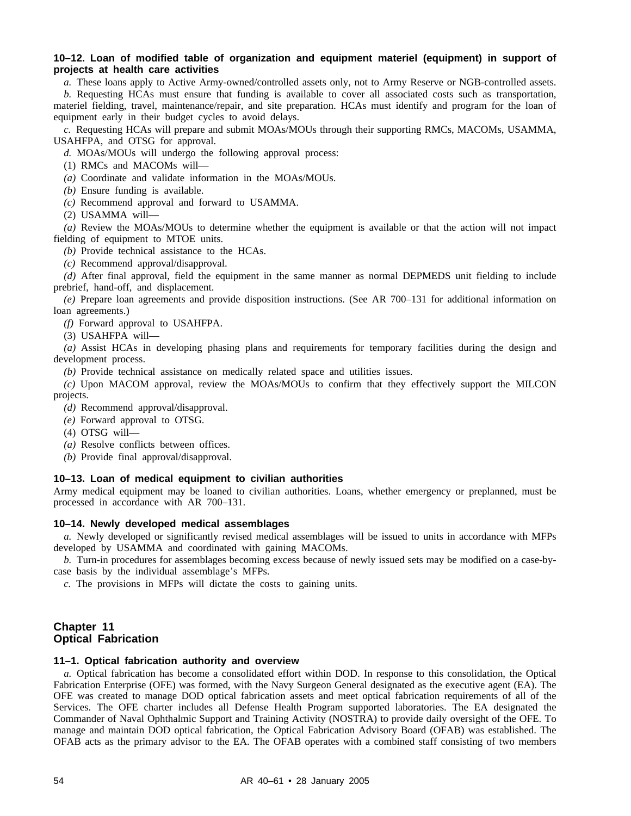## **10–12. Loan of modified table of organization and equipment materiel (equipment) in support of projects at health care activities**

*a.* These loans apply to Active Army-owned/controlled assets only, not to Army Reserve or NGB-controlled assets.

*b.* Requesting HCAs must ensure that funding is available to cover all associated costs such as transportation, materiel fielding, travel, maintenance/repair, and site preparation. HCAs must identify and program for the loan of equipment early in their budget cycles to avoid delays.

*c.* Requesting HCAs will prepare and submit MOAs/MOUs through their supporting RMCs, MACOMs, USAMMA, USAHFPA, and OTSG for approval.

*d.* MOAs/MOUs will undergo the following approval process:

(1) RMCs and MACOMs will—

*(a)* Coordinate and validate information in the MOAs/MOUs.

*(b)* Ensure funding is available.

*(c)* Recommend approval and forward to USAMMA.

(2) USAMMA will—

*(a)* Review the MOAs/MOUs to determine whether the equipment is available or that the action will not impact fielding of equipment to MTOE units.

*(b)* Provide technical assistance to the HCAs.

*(c)* Recommend approval/disapproval.

*(d)* After final approval, field the equipment in the same manner as normal DEPMEDS unit fielding to include prebrief, hand-off, and displacement.

*(e)* Prepare loan agreements and provide disposition instructions. (See AR 700–131 for additional information on loan agreements.)

*(f)* Forward approval to USAHFPA.

(3) USAHFPA will—

*(a)* Assist HCAs in developing phasing plans and requirements for temporary facilities during the design and development process.

*(b)* Provide technical assistance on medically related space and utilities issues.

*(c)* Upon MACOM approval, review the MOAs/MOUs to confirm that they effectively support the MILCON projects.

*(d)* Recommend approval/disapproval.

- *(e)* Forward approval to OTSG.
- (4) OTSG will—
- *(a)* Resolve conflicts between offices.
- *(b)* Provide final approval/disapproval.

## **10–13. Loan of medical equipment to civilian authorities**

Army medical equipment may be loaned to civilian authorities. Loans, whether emergency or preplanned, must be processed in accordance with AR 700–131.

## **10–14. Newly developed medical assemblages**

*a.* Newly developed or significantly revised medical assemblages will be issued to units in accordance with MFPs developed by USAMMA and coordinated with gaining MACOMs.

*b.* Turn-in procedures for assemblages becoming excess because of newly issued sets may be modified on a case-bycase basis by the individual assemblage's MFPs.

*c.* The provisions in MFPs will dictate the costs to gaining units.

## **Chapter 11 Optical Fabrication**

#### **11–1. Optical fabrication authority and overview**

*a.* Optical fabrication has become a consolidated effort within DOD. In response to this consolidation, the Optical Fabrication Enterprise (OFE) was formed, with the Navy Surgeon General designated as the executive agent (EA). The OFE was created to manage DOD optical fabrication assets and meet optical fabrication requirements of all of the Services. The OFE charter includes all Defense Health Program supported laboratories. The EA designated the Commander of Naval Ophthalmic Support and Training Activity (NOSTRA) to provide daily oversight of the OFE. To manage and maintain DOD optical fabrication, the Optical Fabrication Advisory Board (OFAB) was established. The OFAB acts as the primary advisor to the EA. The OFAB operates with a combined staff consisting of two members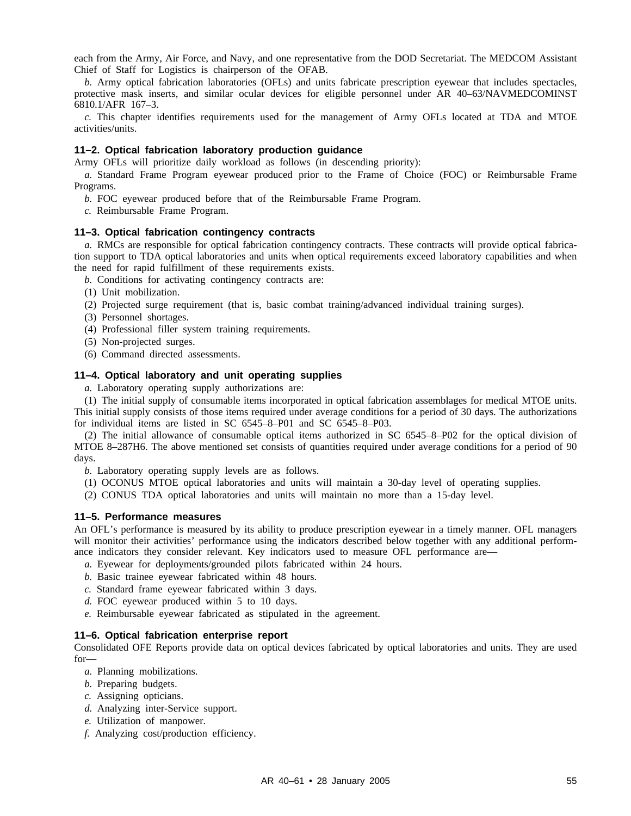each from the Army, Air Force, and Navy, and one representative from the DOD Secretariat. The MEDCOM Assistant Chief of Staff for Logistics is chairperson of the OFAB.

*b.* Army optical fabrication laboratories (OFLs) and units fabricate prescription eyewear that includes spectacles, protective mask inserts, and similar ocular devices for eligible personnel under AR 40–63/NAVMEDCOMINST 6810.1/AFR 167–3.

*c.* This chapter identifies requirements used for the management of Army OFLs located at TDA and MTOE activities/units.

#### **11–2. Optical fabrication laboratory production guidance**

Army OFLs will prioritize daily workload as follows (in descending priority):

*a.* Standard Frame Program eyewear produced prior to the Frame of Choice (FOC) or Reimbursable Frame Programs.

*b.* FOC eyewear produced before that of the Reimbursable Frame Program.

*c.* Reimbursable Frame Program.

## **11–3. Optical fabrication contingency contracts**

*a.* RMCs are responsible for optical fabrication contingency contracts. These contracts will provide optical fabrication support to TDA optical laboratories and units when optical requirements exceed laboratory capabilities and when the need for rapid fulfillment of these requirements exists.

*b.* Conditions for activating contingency contracts are:

- (1) Unit mobilization.
- (2) Projected surge requirement (that is, basic combat training/advanced individual training surges).
- (3) Personnel shortages.
- (4) Professional filler system training requirements.
- (5) Non-projected surges.
- (6) Command directed assessments.

## **11–4. Optical laboratory and unit operating supplies**

*a.* Laboratory operating supply authorizations are:

(1) The initial supply of consumable items incorporated in optical fabrication assemblages for medical MTOE units. This initial supply consists of those items required under average conditions for a period of 30 days. The authorizations for individual items are listed in SC 6545–8–P01 and SC 6545–8–P03.

(2) The initial allowance of consumable optical items authorized in SC 6545–8–P02 for the optical division of MTOE 8–287H6. The above mentioned set consists of quantities required under average conditions for a period of 90 days.

*b.* Laboratory operating supply levels are as follows.

(1) OCONUS MTOE optical laboratories and units will maintain a 30-day level of operating supplies.

(2) CONUS TDA optical laboratories and units will maintain no more than a 15-day level.

#### **11–5. Performance measures**

An OFL's performance is measured by its ability to produce prescription eyewear in a timely manner. OFL managers will monitor their activities' performance using the indicators described below together with any additional performance indicators they consider relevant. Key indicators used to measure OFL performance are—

- *a.* Eyewear for deployments/grounded pilots fabricated within 24 hours.
- *b.* Basic trainee eyewear fabricated within 48 hours.
- *c.* Standard frame eyewear fabricated within 3 days.
- *d.* FOC eyewear produced within 5 to 10 days.
- *e.* Reimbursable eyewear fabricated as stipulated in the agreement.

### **11–6. Optical fabrication enterprise report**

Consolidated OFE Reports provide data on optical devices fabricated by optical laboratories and units. They are used for—

- *a.* Planning mobilizations.
- *b.* Preparing budgets.
- *c.* Assigning opticians.
- *d.* Analyzing inter-Service support.
- *e.* Utilization of manpower.
- *f.* Analyzing cost/production efficiency.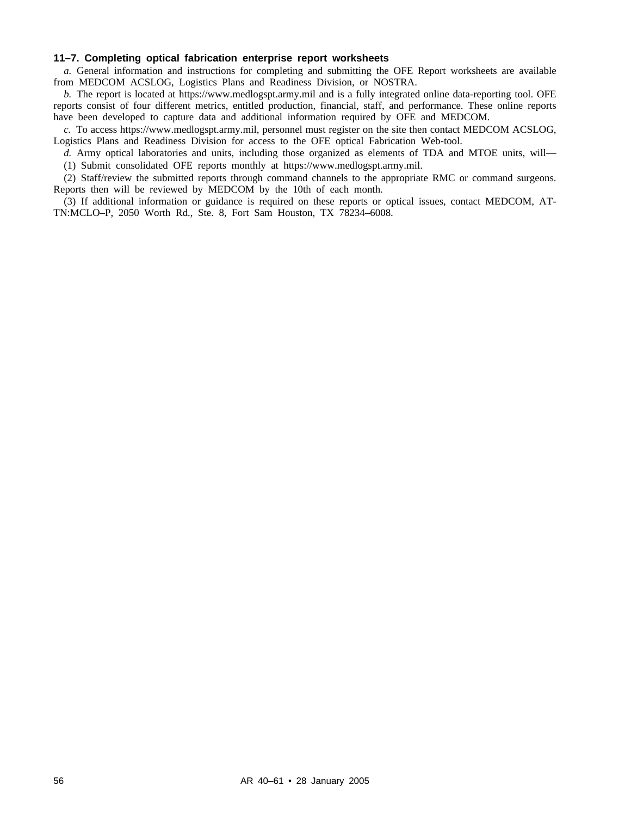## **11–7. Completing optical fabrication enterprise report worksheets**

*a.* General information and instructions for completing and submitting the OFE Report worksheets are available from MEDCOM ACSLOG, Logistics Plans and Readiness Division, or NOSTRA.

*b.* The report is located at https://www.medlogspt.army.mil and is a fully integrated online data-reporting tool. OFE reports consist of four different metrics, entitled production, financial, staff, and performance. These online reports have been developed to capture data and additional information required by OFE and MEDCOM.

*c.* To access https://www.medlogspt.army.mil, personnel must register on the site then contact MEDCOM ACSLOG, Logistics Plans and Readiness Division for access to the OFE optical Fabrication Web-tool.

*d.* Army optical laboratories and units, including those organized as elements of TDA and MTOE units, will— (1) Submit consolidated OFE reports monthly at https://www.medlogspt.army.mil.

(2) Staff/review the submitted reports through command channels to the appropriate RMC or command surgeons. Reports then will be reviewed by MEDCOM by the 10th of each month.

(3) If additional information or guidance is required on these reports or optical issues, contact MEDCOM, AT-TN:MCLO–P, 2050 Worth Rd., Ste. 8, Fort Sam Houston, TX 78234–6008.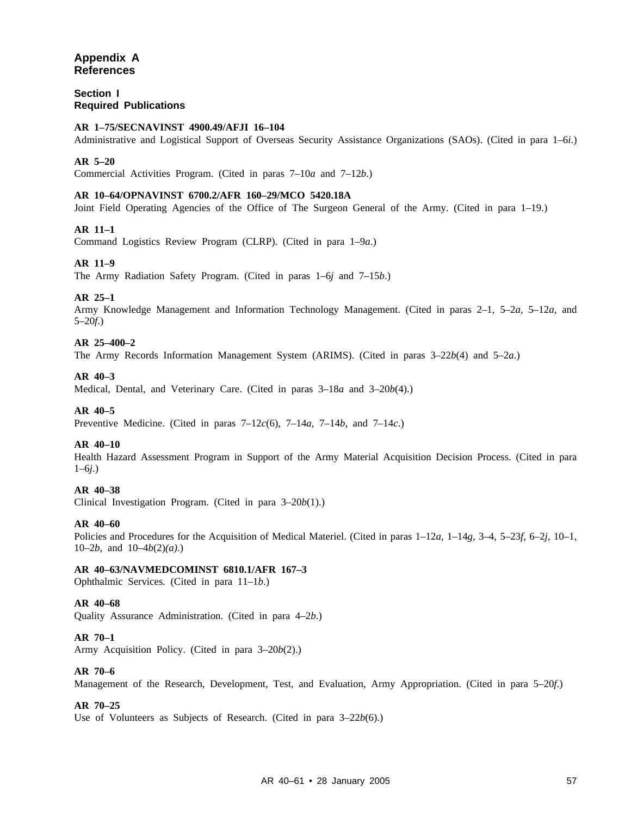## **Appendix A References**

## **Section I Required Publications**

## **AR 1–75/SECNAVINST 4900.49/AFJI 16–104**

Administrative and Logistical Support of Overseas Security Assistance Organizations (SAOs). (Cited in para 1–6*i*.)

## **AR 5–20**

Commercial Activities Program. (Cited in paras 7–10*a* and 7–12*b*.)

## **AR 10–64/OPNAVINST 6700.2/AFR 160–29/MCO 5420.18A**

Joint Field Operating Agencies of the Office of The Surgeon General of the Army. (Cited in para 1–19.)

## **AR 11–1**

Command Logistics Review Program (CLRP). (Cited in para 1–9*a*.)

## **AR 11–9**

The Army Radiation Safety Program. (Cited in paras 1–6*j* and 7–15*b*.)

## **AR 25–1**

Army Knowledge Management and Information Technology Management. (Cited in paras 2–1, 5–2*a*, 5–12*a*, and 5–20*f*.)

## **AR 25–400–2**

The Army Records Information Management System (ARIMS). (Cited in paras 3–22*b*(4) and 5–2*a*.)

## **AR 40–3**

Medical, Dental, and Veterinary Care. (Cited in paras 3–18*a* and 3–20*b*(4).)

## **AR 40–5**

Preventive Medicine. (Cited in paras 7–12*c*(6), 7–14*a*, 7–14*b*, and 7–14*c*.)

## **AR 40–10**

Health Hazard Assessment Program in Support of the Army Material Acquisition Decision Process. (Cited in para 1–6*j*.)

## **AR 40–38**

Clinical Investigation Program. (Cited in para 3–20*b*(1).)

#### **AR 40–60**

Policies and Procedures for the Acquisition of Medical Materiel. (Cited in paras 1–12*a*, 1–14*g*, 3–4, 5–23*f*, 6–2*j*, 10–1, 10–2*b*, and 10–4*b*(2)*(a)*.)

## **AR 40–63/NAVMEDCOMINST 6810.1/AFR 167–3**

Ophthalmic Services. (Cited in para 11–1*b*.)

## **AR 40–68**

Quality Assurance Administration. (Cited in para 4–2*b*.)

## **AR 70–1**

Army Acquisition Policy. (Cited in para 3–20*b*(2).)

#### **AR 70–6**

Management of the Research, Development, Test, and Evaluation, Army Appropriation. (Cited in para 5–20*f*.)

## **AR 70–25**

Use of Volunteers as Subjects of Research. (Cited in para 3–22*b*(6).)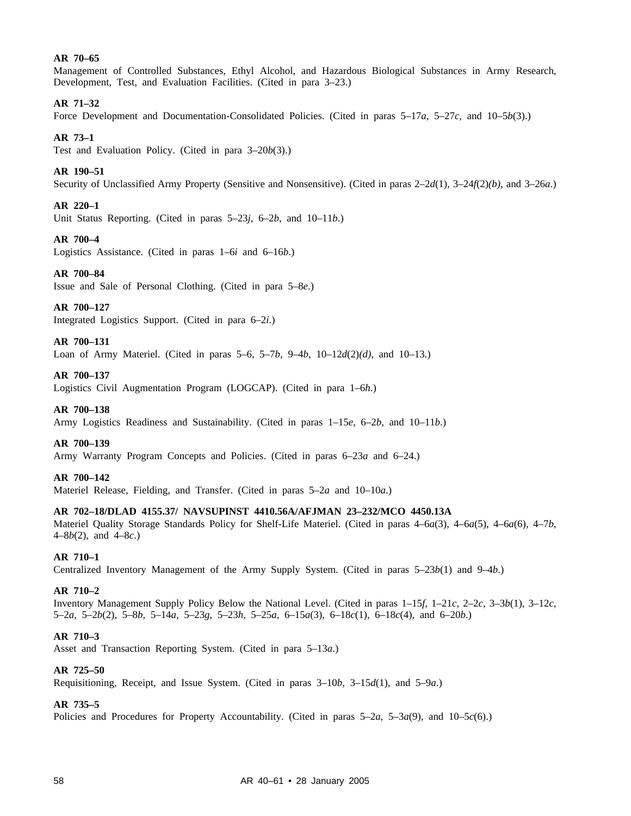## **AR 70–65**

Management of Controlled Substances, Ethyl Alcohol, and Hazardous Biological Substances in Army Research, Development, Test, and Evaluation Facilities. (Cited in para 3–23.)

## **AR 71–32**

Force Development and Documentation-Consolidated Policies. (Cited in paras 5–17*a*, 5–27*c*, and 10–5*b*(3).)

## **AR 73–1**

Test and Evaluation Policy. (Cited in para 3–20*b*(3).)

## **AR 190–51**

Security of Unclassified Army Property (Sensitive and Nonsensitive). (Cited in paras 2–2*d*(1), 3–24*f*(2)*(b)*, and 3–26*a*.)

## **AR 220–1**

Unit Status Reporting. (Cited in paras 5–23*j*, 6–2*b*, and 10–11*b*.)

## **AR 700–4**

Logistics Assistance. (Cited in paras 1–6*i* and 6–16*b*.)

## **AR 700–84**

Issue and Sale of Personal Clothing. (Cited in para 5–8*e*.)

## **AR 700–127**

Integrated Logistics Support. (Cited in para 6–2*i*.)

## **AR 700–131**

Loan of Army Materiel. (Cited in paras 5–6, 5–7*b*, 9–4*b*, 10–12*d*(2)*(d)*, and 10–13.)

## **AR 700–137**

Logistics Civil Augmentation Program (LOGCAP). (Cited in para 1–6*h*.)

## **AR 700–138**

Army Logistics Readiness and Sustainability. (Cited in paras 1–15*e*, 6–2*b*, and 10–11*b*.)

## **AR 700–139**

Army Warranty Program Concepts and Policies. (Cited in paras 6–23*a* and 6–24.)

## **AR 700–142**

Materiel Release, Fielding, and Transfer. (Cited in paras 5–2*a* and 10–10*a*.)

## **AR 702–18/DLAD 4155.37/ NAVSUPINST 4410.56A/AFJMAN 23–232/MCO 4450.13A**

Materiel Quality Storage Standards Policy for Shelf-Life Materiel. (Cited in paras 4–6*a*(3), 4–6*a*(5), 4–6*a*(6), 4–7*b*, 4–8*b*(2), and 4–8*c*.)

## **AR 710–1**

Centralized Inventory Management of the Army Supply System. (Cited in paras 5–23*b*(1) and 9–4*b*.)

## **AR 710–2**

Inventory Management Supply Policy Below the National Level. (Cited in paras 1–15*f*, 1–21*c*, 2–2*c*, 3–3*b*(1), 3–12*c*, 5–2*a*, 5–2*b*(2), 5–8*b*, 5–14*a*, 5–23*g*, 5–23*h*, 5–25*a*, 6–15*a*(3), 6–18*c*(1), 6–18*c*(4), and 6–20*b*.)

## **AR 710–3**

Asset and Transaction Reporting System. (Cited in para 5–13*a*.)

## **AR 725–50**

Requisitioning, Receipt, and Issue System. (Cited in paras 3–10*b*, 3–15*d*(1), and 5–9*a*.)

## **AR 735–5**

Policies and Procedures for Property Accountability. (Cited in paras 5–2*a*, 5–3*a*(9), and 10–5*c*(6).)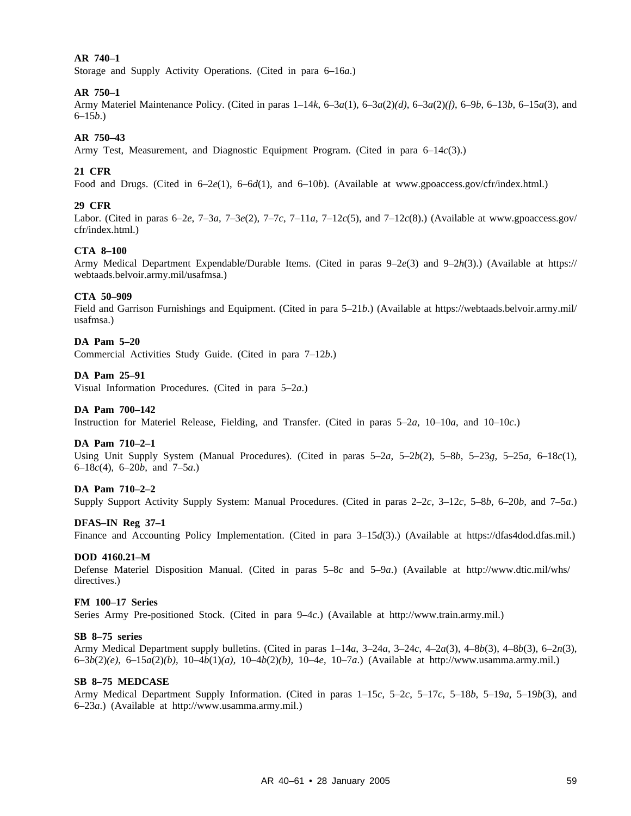## **AR 740–1**

Storage and Supply Activity Operations. (Cited in para 6–16*a*.)

## **AR 750–1**

Army Materiel Maintenance Policy. (Cited in paras 1–14*k*, 6–3*a*(1), 6–3*a*(2)*(d)*, 6–3*a*(2)*(f)*, 6–9*b*, 6–13*b*, 6–15*a*(3), and 6–15*b*.)

## **AR 750–43**

Army Test, Measurement, and Diagnostic Equipment Program. (Cited in para 6–14*c*(3).)

### **21 CFR**

Food and Drugs. (Cited in 6–2*e*(1), 6–6*d*(1), and 6–10*b*). (Available at www.gpoaccess.gov/cfr/index.html.)

#### **29 CFR**

Labor. (Cited in paras  $6-2e$ ,  $7-3a$ ,  $7-3e(2)$ ,  $7-7c$ ,  $7-11a$ ,  $7-12c(5)$ , and  $7-12c(8)$ .) (Available at www.gpoaccess.gov/ cfr/index.html.)

## **CTA 8–100**

Army Medical Department Expendable/Durable Items. (Cited in paras 9–2*e*(3) and 9–2*h*(3).) (Available at https:// webtaads.belvoir.army.mil/usafmsa.)

#### **CTA 50–909**

Field and Garrison Furnishings and Equipment. (Cited in para 5–21*b*.) (Available at https://webtaads.belvoir.army.mil/ usafmsa.)

### **DA Pam 5–20**

Commercial Activities Study Guide. (Cited in para 7–12*b*.)

## **DA Pam 25–91**

Visual Information Procedures. (Cited in para 5–2*a*.)

#### **DA Pam 700–142**

Instruction for Materiel Release, Fielding, and Transfer. (Cited in paras 5–2*a*, 10–10*a*, and 10–10*c*.)

## **DA Pam 710–2–1**

Using Unit Supply System (Manual Procedures). (Cited in paras 5–2*a*, 5–2*b*(2), 5–8*b*, 5–23*g*, 5–25*a*, 6–18*c*(1), 6–18*c*(4), 6–20*b*, and 7–5*a*.)

#### **DA Pam 710–2–2**

Supply Support Activity Supply System: Manual Procedures. (Cited in paras 2–2*c*, 3–12*c*, 5–8*b*, 6–20*b*, and 7–5*a*.)

#### **DFAS–IN Reg 37–1**

Finance and Accounting Policy Implementation. (Cited in para 3–15*d*(3).) (Available at https://dfas4dod.dfas.mil.)

#### **DOD 4160.21–M**

Defense Materiel Disposition Manual. (Cited in paras 5–8*c* and 5–9*a*.) (Available at http://www.dtic.mil/whs/ directives.)

#### **FM 100–17 Series**

Series Army Pre-positioned Stock. (Cited in para 9–4*c*.) (Available at http://www.train.army.mil.)

#### **SB 8–75 series**

Army Medical Department supply bulletins. (Cited in paras 1–14*a*, 3–24*a*, 3–24*c*, 4–2*a*(3), 4–8*b*(3), 4–8*b*(3), 6–2*n*(3), 6–3*b*(2)*(e)*, 6–15*a*(2)*(b)*, 10–4*b*(1)*(a)*, 10–4*b*(2)*(b)*, 10–4*e*, 10–7*a*.) (Available at http://www.usamma.army.mil.)

#### **SB 8–75 MEDCASE**

Army Medical Department Supply Information. (Cited in paras 1–15*c*, 5–2*c*, 5–17*c*, 5–18*b*, 5–19*a*, 5–19*b*(3), and 6–23*a*.) (Available at http://www.usamma.army.mil.)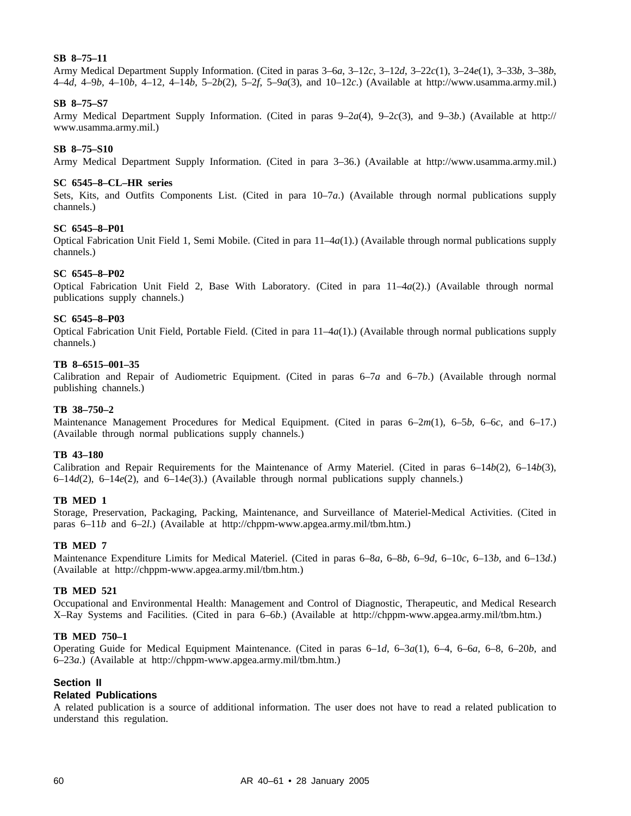## **SB 8–75–11**

Army Medical Department Supply Information. (Cited in paras 3–6*a*, 3–12*c*, 3–12*d*, 3–22*c*(1), 3–24*e*(1), 3–33*b*, 3–38*b*, 4–4*d*, 4–9*b*, 4–10*b*, 4–12, 4–14*b*, 5–2*b*(2), 5–2*f*, 5–9*a*(3), and 10–12*c*.) (Available at http://www.usamma.army.mil.)

## **SB 8–75–S7**

Army Medical Department Supply Information. (Cited in paras 9–2*a*(4), 9–2*c*(3), and 9–3*b*.) (Available at http:// www.usamma.army.mil.)

## **SB 8–75–S10**

Army Medical Department Supply Information. (Cited in para 3–36.) (Available at http://www.usamma.army.mil.)

### **SC 6545–8–CL–HR series**

Sets, Kits, and Outfits Components List. (Cited in para 10–7*a*.) (Available through normal publications supply channels.)

## **SC 6545–8–P01**

Optical Fabrication Unit Field 1, Semi Mobile. (Cited in para 11–4*a*(1).) (Available through normal publications supply channels.)

## **SC 6545–8–P02**

Optical Fabrication Unit Field 2, Base With Laboratory. (Cited in para 11–4*a*(2).) (Available through normal publications supply channels.)

#### **SC 6545–8–P03**

Optical Fabrication Unit Field, Portable Field. (Cited in para 11–4*a*(1).) (Available through normal publications supply channels.)

#### **TB 8–6515–001–35**

Calibration and Repair of Audiometric Equipment. (Cited in paras 6–7*a* and 6–7*b*.) (Available through normal publishing channels.)

### **TB 38–750–2**

Maintenance Management Procedures for Medical Equipment. (Cited in paras 6–2*m*(1), 6–5*b*, 6–6*c*, and 6–17.) (Available through normal publications supply channels.)

## **TB 43–180**

Calibration and Repair Requirements for the Maintenance of Army Materiel. (Cited in paras 6–14*b*(2), 6–14*b*(3), 6–14*d*(2), 6–14*e*(2), and 6–14*e*(3).) (Available through normal publications supply channels.)

## **TB MED 1**

Storage, Preservation, Packaging, Packing, Maintenance, and Surveillance of Materiel-Medical Activities. (Cited in paras 6–11*b* and 6–2*l*.) (Available at http://chppm-www.apgea.army.mil/tbm.htm.)

## **TB MED 7**

Maintenance Expenditure Limits for Medical Materiel. (Cited in paras 6–8*a*, 6–8*b*, 6–9*d*, 6–10*c*, 6–13*b*, and 6–13*d*.) (Available at http://chppm-www.apgea.army.mil/tbm.htm.)

## **TB MED 521**

Occupational and Environmental Health: Management and Control of Diagnostic, Therapeutic, and Medical Research X–Ray Systems and Facilities. (Cited in para 6–6*b*.) (Available at http://chppm-www.apgea.army.mil/tbm.htm.)

#### **TB MED 750–1**

Operating Guide for Medical Equipment Maintenance. (Cited in paras 6–1*d*, 6–3*a*(1), 6–4, 6–6*a*, 6–8, 6–20*b*, and 6–23*a*.) (Available at http://chppm-www.apgea.army.mil/tbm.htm.)

## **Section II**

## **Related Publications**

A related publication is a source of additional information. The user does not have to read a related publication to understand this regulation.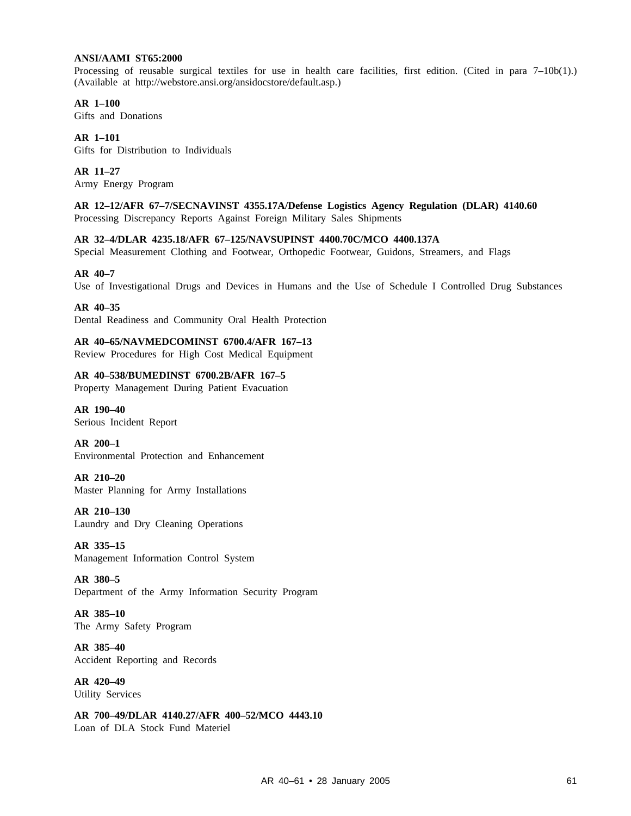## **ANSI/AAMI ST65:2000**

Processing of reusable surgical textiles for use in health care facilities, first edition. (Cited in para  $7-10b(1)$ .) (Available at http://webstore.ansi.org/ansidocstore/default.asp.)

**AR 1–100** Gifts and Donations

**AR 1–101** Gifts for Distribution to Individuals

**AR 11–27** Army Energy Program

**AR 12–12/AFR 67–7/SECNAVINST 4355.17A/Defense Logistics Agency Regulation (DLAR) 4140.60** Processing Discrepancy Reports Against Foreign Military Sales Shipments

**AR 32–4/DLAR 4235.18/AFR 67–125/NAVSUPINST 4400.70C/MCO 4400.137A**

Special Measurement Clothing and Footwear, Orthopedic Footwear, Guidons, Streamers, and Flags

#### **AR 40–7**

Use of Investigational Drugs and Devices in Humans and the Use of Schedule I Controlled Drug Substances

**AR 40–35**

Dental Readiness and Community Oral Health Protection

**AR 40–65/NAVMEDCOMINST 6700.4/AFR 167–13**

Review Procedures for High Cost Medical Equipment

## **AR 40–538/BUMEDINST 6700.2B/AFR 167–5**

Property Management During Patient Evacuation

**AR 190–40** Serious Incident Report

**AR 200–1** Environmental Protection and Enhancement

**AR 210–20** Master Planning for Army Installations

**AR 210–130** Laundry and Dry Cleaning Operations

**AR 335–15** Management Information Control System

**AR 380–5** Department of the Army Information Security Program

**AR 385–10** The Army Safety Program

**AR 385–40** Accident Reporting and Records

**AR 420–49** Utility Services

**AR 700–49/DLAR 4140.27/AFR 400–52/MCO 4443.10** Loan of DLA Stock Fund Materiel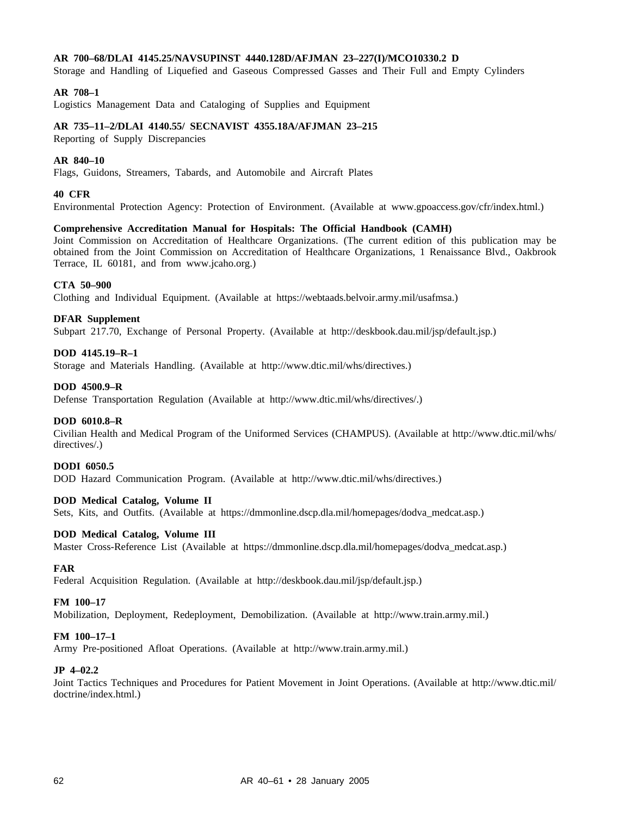## **AR 700–68/DLAI 4145.25/NAVSUPINST 4440.128D/AFJMAN 23–227(I)/MCO10330.2 D**

Storage and Handling of Liquefied and Gaseous Compressed Gasses and Their Full and Empty Cylinders

## **AR 708–1**

Logistics Management Data and Cataloging of Supplies and Equipment

## **AR 735–11–2/DLAI 4140.55/ SECNAVIST 4355.18A/AFJMAN 23–215**

Reporting of Supply Discrepancies

### **AR 840–10**

Flags, Guidons, Streamers, Tabards, and Automobile and Aircraft Plates

### **40 CFR**

Environmental Protection Agency: Protection of Environment. (Available at www.gpoaccess.gov/cfr/index.html.)

#### **Comprehensive Accreditation Manual for Hospitals: The Official Handbook (CAMH)**

Joint Commission on Accreditation of Healthcare Organizations. (The current edition of this publication may be obtained from the Joint Commission on Accreditation of Healthcare Organizations, 1 Renaissance Blvd., Oakbrook Terrace, IL 60181, and from www.jcaho.org.)

### **CTA 50–900**

Clothing and Individual Equipment. (Available at https://webtaads.belvoir.army.mil/usafmsa.)

#### **DFAR Supplement**

Subpart 217.70, Exchange of Personal Property. (Available at http://deskbook.dau.mil/jsp/default.jsp.)

### **DOD 4145.19–R–1**

Storage and Materials Handling. (Available at http://www.dtic.mil/whs/directives.)

## **DOD 4500.9–R**

Defense Transportation Regulation (Available at http://www.dtic.mil/whs/directives/.)

#### **DOD 6010.8–R**

Civilian Health and Medical Program of the Uniformed Services (CHAMPUS). (Available at http://www.dtic.mil/whs/ directives/.)

## **DODI 6050.5**

DOD Hazard Communication Program. (Available at http://www.dtic.mil/whs/directives.)

## **DOD Medical Catalog, Volume II**

Sets, Kits, and Outfits. (Available at https://dmmonline.dscp.dla.mil/homepages/dodva\_medcat.asp.)

### **DOD Medical Catalog, Volume III**

Master Cross-Reference List (Available at https://dmmonline.dscp.dla.mil/homepages/dodva\_medcat.asp.)

### **FAR**

Federal Acquisition Regulation. (Available at http://deskbook.dau.mil/jsp/default.jsp.)

#### **FM 100–17**

Mobilization, Deployment, Redeployment, Demobilization. (Available at http://www.train.army.mil.)

#### **FM 100–17–1**

Army Pre-positioned Afloat Operations. (Available at http://www.train.army.mil.)

#### **JP 4–02.2**

Joint Tactics Techniques and Procedures for Patient Movement in Joint Operations. (Available at http://www.dtic.mil/ doctrine/index.html.)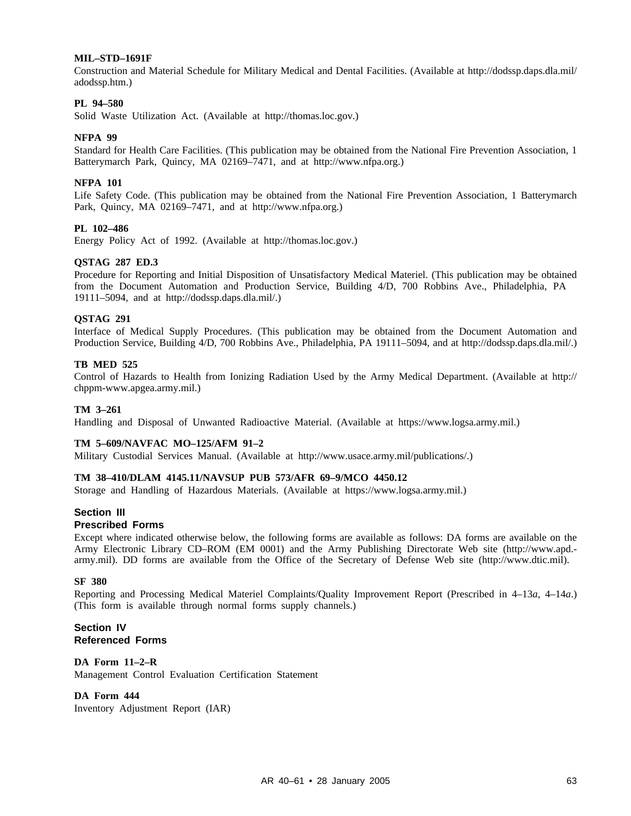### **MIL–STD–1691F**

Construction and Material Schedule for Military Medical and Dental Facilities. (Available at http://dodssp.daps.dla.mil/ adodssp.htm.)

## **PL 94–580**

Solid Waste Utilization Act. (Available at http://thomas.loc.gov.)

#### **NFPA 99**

Standard for Health Care Facilities. (This publication may be obtained from the National Fire Prevention Association, 1 Batterymarch Park, Quincy, MA 02169–7471, and at http://www.nfpa.org.)

## **NFPA 101**

Life Safety Code. (This publication may be obtained from the National Fire Prevention Association, 1 Batterymarch Park, Quincy, MA 02169–7471, and at http://www.nfpa.org.)

#### **PL 102–486**

Energy Policy Act of 1992. (Available at http://thomas.loc.gov.)

### **QSTAG 287 ED.3**

Procedure for Reporting and Initial Disposition of Unsatisfactory Medical Materiel. (This publication may be obtained from the Document Automation and Production Service, Building 4/D, 700 Robbins Ave., Philadelphia, PA 19111–5094, and at http://dodssp.daps.dla.mil/.)

#### **QSTAG 291**

Interface of Medical Supply Procedures. (This publication may be obtained from the Document Automation and Production Service, Building 4/D, 700 Robbins Ave., Philadelphia, PA 19111–5094, and at http://dodssp.daps.dla.mil/.)

#### **TB MED 525**

Control of Hazards to Health from Ionizing Radiation Used by the Army Medical Department. (Available at http:// chppm-www.apgea.army.mil.)

#### **TM 3–261**

Handling and Disposal of Unwanted Radioactive Material. (Available at https://www.logsa.army.mil.)

#### **TM 5–609/NAVFAC MO–125/AFM 91–2**

Military Custodial Services Manual. (Available at http://www.usace.army.mil/publications/.)

#### **TM 38–410/DLAM 4145.11/NAVSUP PUB 573/AFR 69–9/MCO 4450.12**

Storage and Handling of Hazardous Materials. (Available at https://www.logsa.army.mil.)

### **Section III**

#### **Prescribed Forms**

Except where indicated otherwise below, the following forms are available as follows: DA forms are available on the Army Electronic Library CD–ROM (EM 0001) and the Army Publishing Directorate Web site (http://www.apd. army.mil). DD forms are available from the Office of the Secretary of Defense Web site (http://www.dtic.mil).

#### **SF 380**

Reporting and Processing Medical Materiel Complaints/Quality Improvement Report (Prescribed in 4–13*a*, 4–14*a*.) (This form is available through normal forms supply channels.)

## **Section IV Referenced Forms**

## **DA Form 11–2–R**

Management Control Evaluation Certification Statement

## **DA Form 444**

Inventory Adjustment Report (IAR)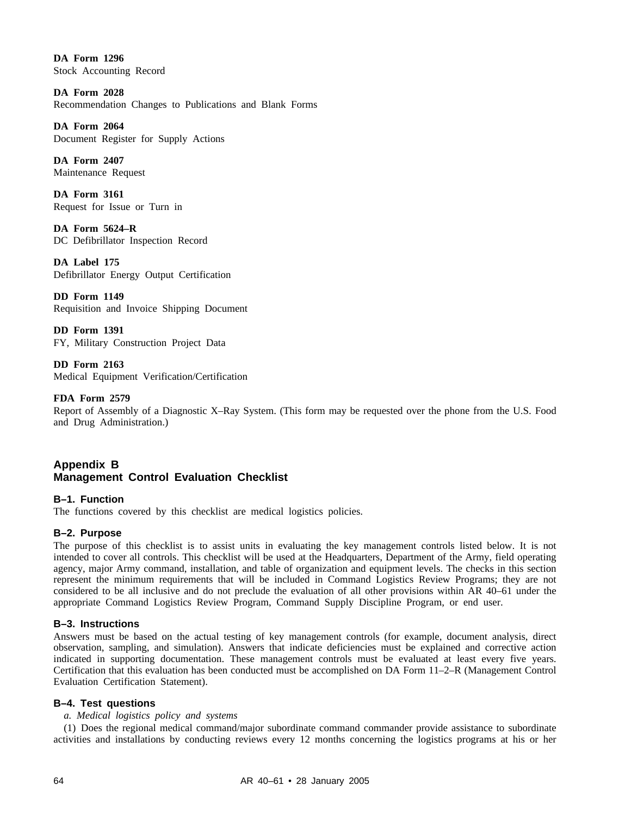**DA Form 1296** Stock Accounting Record

**DA Form 2028** Recommendation Changes to Publications and Blank Forms

**DA Form 2064** Document Register for Supply Actions

**DA Form 2407** Maintenance Request

**DA Form 3161** Request for Issue or Turn in

**DA Form 5624–R** DC Defibrillator Inspection Record

**DA Label 175** Defibrillator Energy Output Certification

**DD Form 1149** Requisition and Invoice Shipping Document

**DD Form 1391** FY, Military Construction Project Data

**DD Form 2163** Medical Equipment Verification/Certification

# **FDA Form 2579**

Report of Assembly of a Diagnostic X–Ray System. (This form may be requested over the phone from the U.S. Food and Drug Administration.)

# **Appendix B Management Control Evaluation Checklist**

**B–1. Function** The functions covered by this checklist are medical logistics policies.

# **B–2. Purpose**

The purpose of this checklist is to assist units in evaluating the key management controls listed below. It is not intended to cover all controls. This checklist will be used at the Headquarters, Department of the Army, field operating agency, major Army command, installation, and table of organization and equipment levels. The checks in this section represent the minimum requirements that will be included in Command Logistics Review Programs; they are not considered to be all inclusive and do not preclude the evaluation of all other provisions within AR 40–61 under the appropriate Command Logistics Review Program, Command Supply Discipline Program, or end user.

## **B–3. Instructions**

Answers must be based on the actual testing of key management controls (for example, document analysis, direct observation, sampling, and simulation). Answers that indicate deficiencies must be explained and corrective action indicated in supporting documentation. These management controls must be evaluated at least every five years. Certification that this evaluation has been conducted must be accomplished on DA Form 11–2–R (Management Control Evaluation Certification Statement).

## **B–4. Test questions**

## *a. Medical logistics policy and systems*

(1) Does the regional medical command/major subordinate command commander provide assistance to subordinate activities and installations by conducting reviews every 12 months concerning the logistics programs at his or her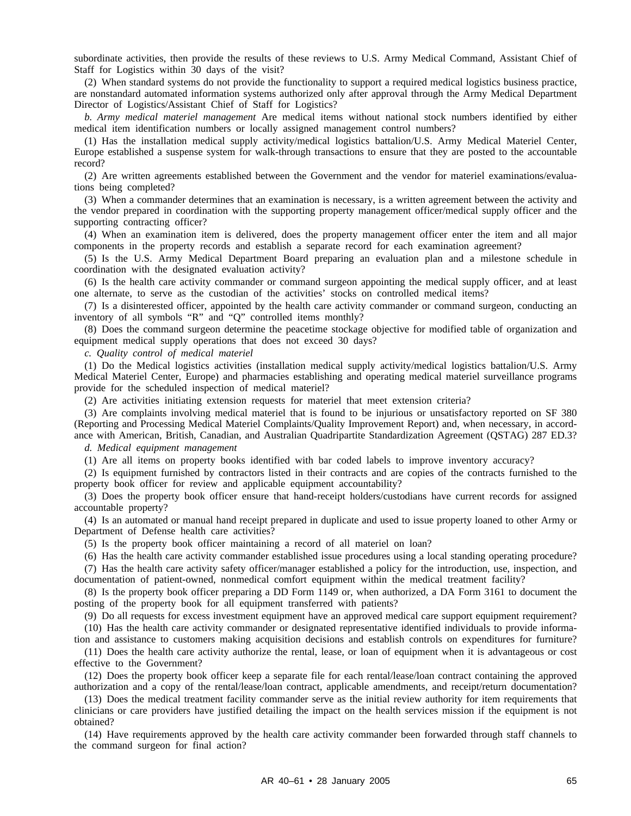subordinate activities, then provide the results of these reviews to U.S. Army Medical Command, Assistant Chief of Staff for Logistics within 30 days of the visit?

(2) When standard systems do not provide the functionality to support a required medical logistics business practice, are nonstandard automated information systems authorized only after approval through the Army Medical Department Director of Logistics/Assistant Chief of Staff for Logistics?

*b. Army medical materiel management* Are medical items without national stock numbers identified by either medical item identification numbers or locally assigned management control numbers?

(1) Has the installation medical supply activity/medical logistics battalion/U.S. Army Medical Materiel Center, Europe established a suspense system for walk-through transactions to ensure that they are posted to the accountable record?

(2) Are written agreements established between the Government and the vendor for materiel examinations/evaluations being completed?

(3) When a commander determines that an examination is necessary, is a written agreement between the activity and the vendor prepared in coordination with the supporting property management officer/medical supply officer and the supporting contracting officer?

(4) When an examination item is delivered, does the property management officer enter the item and all major components in the property records and establish a separate record for each examination agreement?

(5) Is the U.S. Army Medical Department Board preparing an evaluation plan and a milestone schedule in coordination with the designated evaluation activity?

(6) Is the health care activity commander or command surgeon appointing the medical supply officer, and at least one alternate, to serve as the custodian of the activities' stocks on controlled medical items?

(7) Is a disinterested officer, appointed by the health care activity commander or command surgeon, conducting an inventory of all symbols "R" and "Q" controlled items monthly?

(8) Does the command surgeon determine the peacetime stockage objective for modified table of organization and equipment medical supply operations that does not exceed 30 days?

*c. Quality control of medical materiel*

(1) Do the Medical logistics activities (installation medical supply activity/medical logistics battalion/U.S. Army Medical Materiel Center, Europe) and pharmacies establishing and operating medical materiel surveillance programs provide for the scheduled inspection of medical materiel?

(2) Are activities initiating extension requests for materiel that meet extension criteria?

(3) Are complaints involving medical materiel that is found to be injurious or unsatisfactory reported on SF 380 (Reporting and Processing Medical Materiel Complaints/Quality Improvement Report) and, when necessary, in accordance with American, British, Canadian, and Australian Quadripartite Standardization Agreement (QSTAG) 287 ED.3?

*d. Medical equipment management*

(1) Are all items on property books identified with bar coded labels to improve inventory accuracy?

(2) Is equipment furnished by contractors listed in their contracts and are copies of the contracts furnished to the property book officer for review and applicable equipment accountability?

(3) Does the property book officer ensure that hand-receipt holders/custodians have current records for assigned accountable property?

(4) Is an automated or manual hand receipt prepared in duplicate and used to issue property loaned to other Army or Department of Defense health care activities?

(5) Is the property book officer maintaining a record of all materiel on loan?

(6) Has the health care activity commander established issue procedures using a local standing operating procedure?

(7) Has the health care activity safety officer/manager established a policy for the introduction, use, inspection, and documentation of patient-owned, nonmedical comfort equipment within the medical treatment facility?

(8) Is the property book officer preparing a DD Form 1149 or, when authorized, a DA Form 3161 to document the posting of the property book for all equipment transferred with patients?

(9) Do all requests for excess investment equipment have an approved medical care support equipment requirement?

(10) Has the health care activity commander or designated representative identified individuals to provide information and assistance to customers making acquisition decisions and establish controls on expenditures for furniture?

(11) Does the health care activity authorize the rental, lease, or loan of equipment when it is advantageous or cost effective to the Government?

(12) Does the property book officer keep a separate file for each rental/lease/loan contract containing the approved authorization and a copy of the rental/lease/loan contract, applicable amendments, and receipt/return documentation?

(13) Does the medical treatment facility commander serve as the initial review authority for item requirements that clinicians or care providers have justified detailing the impact on the health services mission if the equipment is not obtained?

(14) Have requirements approved by the health care activity commander been forwarded through staff channels to the command surgeon for final action?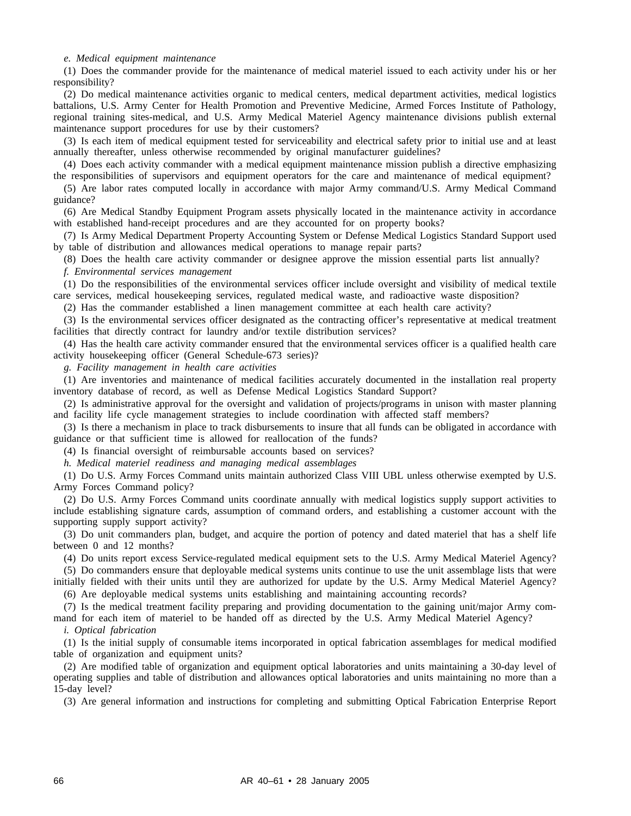#### *e. Medical equipment maintenance*

(1) Does the commander provide for the maintenance of medical materiel issued to each activity under his or her responsibility?

(2) Do medical maintenance activities organic to medical centers, medical department activities, medical logistics battalions, U.S. Army Center for Health Promotion and Preventive Medicine, Armed Forces Institute of Pathology, regional training sites-medical, and U.S. Army Medical Materiel Agency maintenance divisions publish external maintenance support procedures for use by their customers?

(3) Is each item of medical equipment tested for serviceability and electrical safety prior to initial use and at least annually thereafter, unless otherwise recommended by original manufacturer guidelines?

(4) Does each activity commander with a medical equipment maintenance mission publish a directive emphasizing the responsibilities of supervisors and equipment operators for the care and maintenance of medical equipment?

(5) Are labor rates computed locally in accordance with major Army command/U.S. Army Medical Command guidance?

(6) Are Medical Standby Equipment Program assets physically located in the maintenance activity in accordance with established hand-receipt procedures and are they accounted for on property books?

(7) Is Army Medical Department Property Accounting System or Defense Medical Logistics Standard Support used by table of distribution and allowances medical operations to manage repair parts?

(8) Does the health care activity commander or designee approve the mission essential parts list annually?

*f. Environmental services management*

(1) Do the responsibilities of the environmental services officer include oversight and visibility of medical textile care services, medical housekeeping services, regulated medical waste, and radioactive waste disposition?

(2) Has the commander established a linen management committee at each health care activity?

(3) Is the environmental services officer designated as the contracting officer's representative at medical treatment facilities that directly contract for laundry and/or textile distribution services?

(4) Has the health care activity commander ensured that the environmental services officer is a qualified health care activity housekeeping officer (General Schedule-673 series)?

*g. Facility management in health care activities*

(1) Are inventories and maintenance of medical facilities accurately documented in the installation real property inventory database of record, as well as Defense Medical Logistics Standard Support?

(2) Is administrative approval for the oversight and validation of projects/programs in unison with master planning and facility life cycle management strategies to include coordination with affected staff members?

(3) Is there a mechanism in place to track disbursements to insure that all funds can be obligated in accordance with guidance or that sufficient time is allowed for reallocation of the funds?

(4) Is financial oversight of reimbursable accounts based on services?

*h. Medical materiel readiness and managing medical assemblages*

(1) Do U.S. Army Forces Command units maintain authorized Class VIII UBL unless otherwise exempted by U.S. Army Forces Command policy?

(2) Do U.S. Army Forces Command units coordinate annually with medical logistics supply support activities to include establishing signature cards, assumption of command orders, and establishing a customer account with the supporting supply support activity?

(3) Do unit commanders plan, budget, and acquire the portion of potency and dated materiel that has a shelf life between 0 and 12 months?

(4) Do units report excess Service-regulated medical equipment sets to the U.S. Army Medical Materiel Agency?

(5) Do commanders ensure that deployable medical systems units continue to use the unit assemblage lists that were initially fielded with their units until they are authorized for update by the U.S. Army Medical Materiel Agency?

(6) Are deployable medical systems units establishing and maintaining accounting records?

(7) Is the medical treatment facility preparing and providing documentation to the gaining unit/major Army command for each item of materiel to be handed off as directed by the U.S. Army Medical Materiel Agency?

*i. Optical fabrication*

(1) Is the initial supply of consumable items incorporated in optical fabrication assemblages for medical modified table of organization and equipment units?

(2) Are modified table of organization and equipment optical laboratories and units maintaining a 30-day level of operating supplies and table of distribution and allowances optical laboratories and units maintaining no more than a 15-day level?

(3) Are general information and instructions for completing and submitting Optical Fabrication Enterprise Report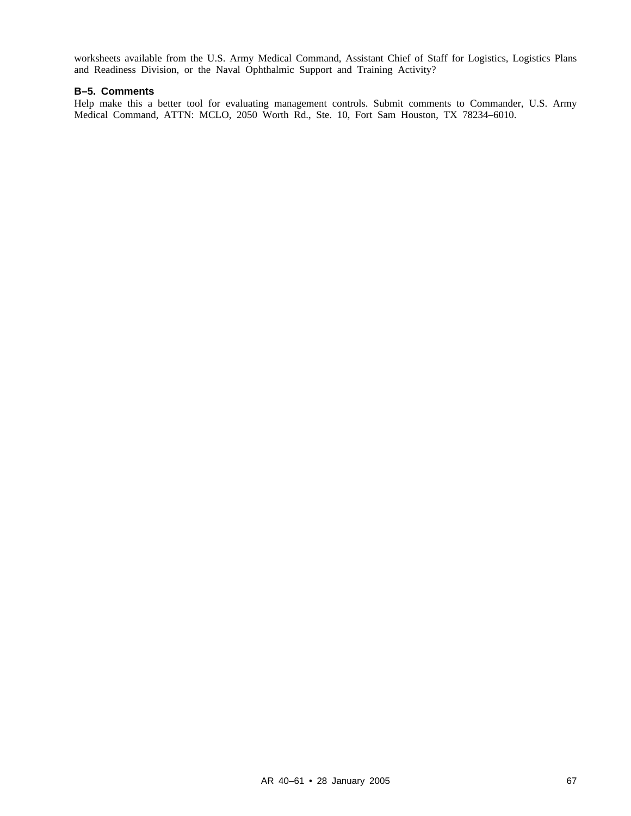worksheets available from the U.S. Army Medical Command, Assistant Chief of Staff for Logistics, Logistics Plans and Readiness Division, or the Naval Ophthalmic Support and Training Activity?

# **B–5. Comments**

Help make this a better tool for evaluating management controls. Submit comments to Commander, U.S. Army Medical Command, ATTN: MCLO, 2050 Worth Rd., Ste. 10, Fort Sam Houston, TX 78234–6010.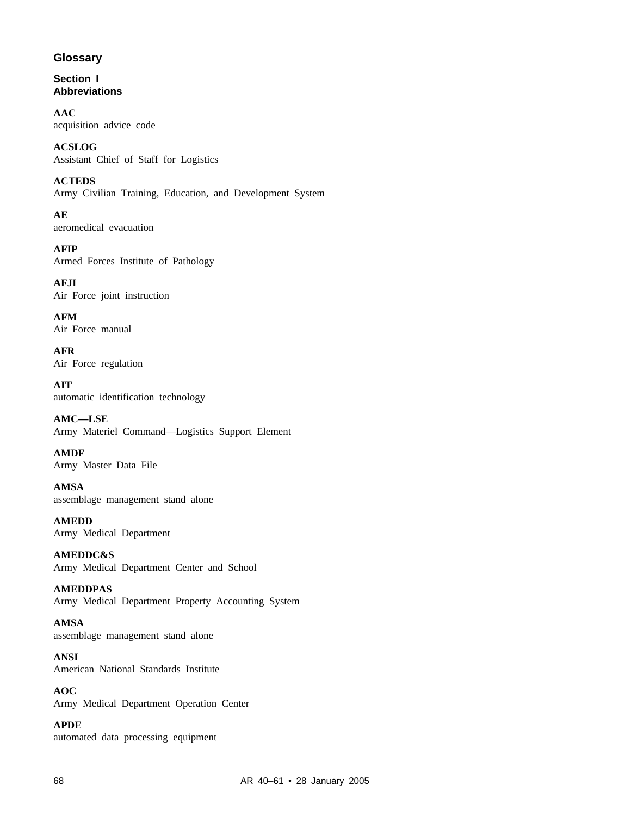# **Glossary**

**Section I Abbreviations**

**AAC** acquisition advice code

**ACSLOG** Assistant Chief of Staff for Logistics

**ACTEDS** Army Civilian Training, Education, and Development System

**AE** aeromedical evacuation

**AFIP** Armed Forces Institute of Pathology

**AFJI** Air Force joint instruction

**AFM** Air Force manual

**AFR** Air Force regulation

**AIT** automatic identification technology

**AMC—LSE** Army Materiel Command—Logistics Support Element

**AMDF** Army Master Data File

**AMSA** assemblage management stand alone

**AMEDD** Army Medical Department

**AMEDDC&S** Army Medical Department Center and School

**AMEDDPAS** Army Medical Department Property Accounting System

**AMSA** assemblage management stand alone

**ANSI** American National Standards Institute

**AOC** Army Medical Department Operation Center

**APDE** automated data processing equipment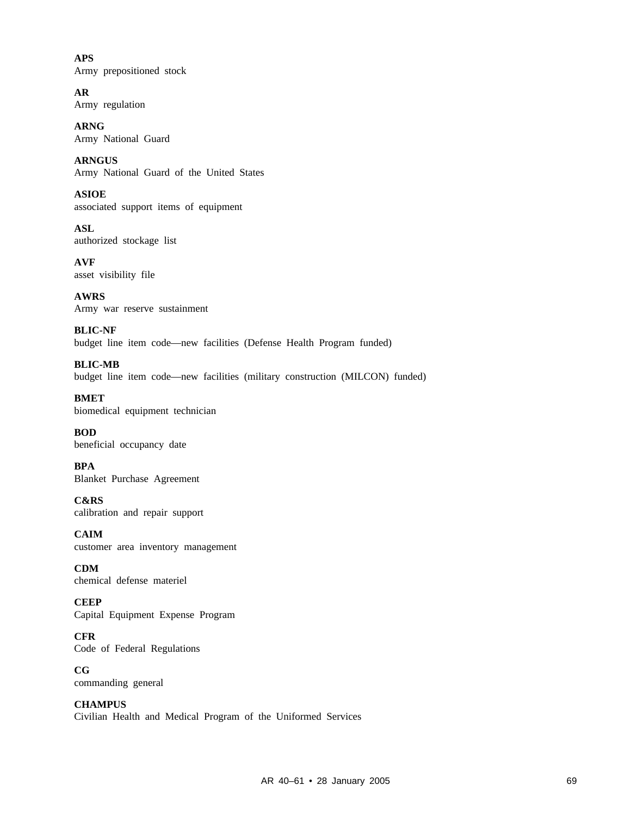**APS** Army prepositioned stock

**AR** Army regulation

**ARNG** Army National Guard

**ARNGUS** Army National Guard of the United States

**ASIOE** associated support items of equipment

**ASL** authorized stockage list

**AVF** asset visibility file

**AWRS** Army war reserve sustainment

**BLIC-NF** budget line item code—new facilities (Defense Health Program funded)

**BLIC-MB** budget line item code—new facilities (military construction (MILCON) funded)

**BMET** biomedical equipment technician

**BOD** beneficial occupancy date

**BPA** Blanket Purchase Agreement

**C&RS** calibration and repair support

**CAIM** customer area inventory management

**CDM** chemical defense materiel

**CEEP** Capital Equipment Expense Program

**CFR** Code of Federal Regulations

**CG** commanding general

**CHAMPUS** Civilian Health and Medical Program of the Uniformed Services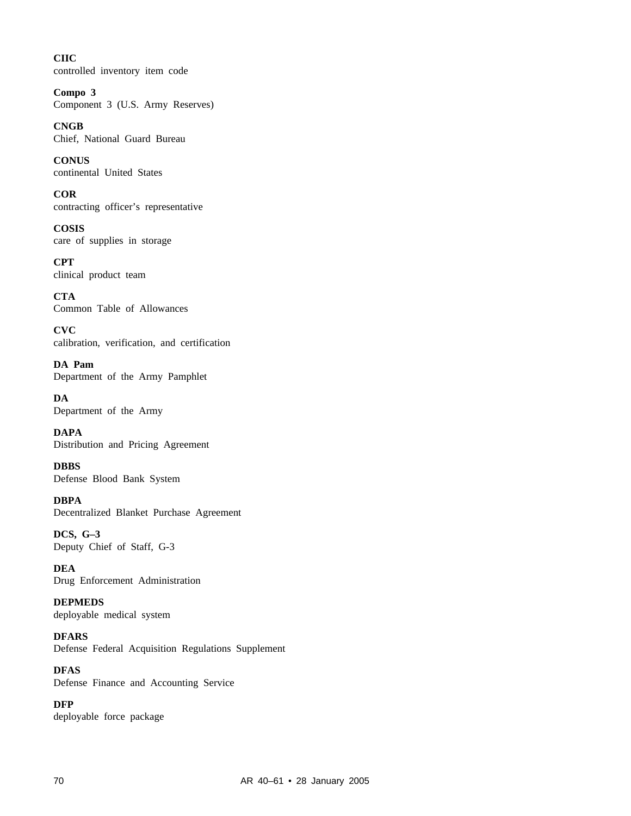**CIIC** controlled inventory item code

**Compo 3** Component 3 (U.S. Army Reserves)

**CNGB** Chief, National Guard Bureau

**CONUS** continental United States

**COR** contracting officer's representative

**COSIS** care of supplies in storage

**CPT** clinical product team

**CTA** Common Table of Allowances

**CVC** calibration, verification, and certification

**DA Pam** Department of the Army Pamphlet

**DA** Department of the Army

**DAPA** Distribution and Pricing Agreement

**DBBS** Defense Blood Bank System

**DBPA** Decentralized Blanket Purchase Agreement

**DCS, G–3** Deputy Chief of Staff, G-3

**DEA** Drug Enforcement Administration

**DEPMEDS** deployable medical system

**DFARS** Defense Federal Acquisition Regulations Supplement

**DFAS** Defense Finance and Accounting Service

**DFP** deployable force package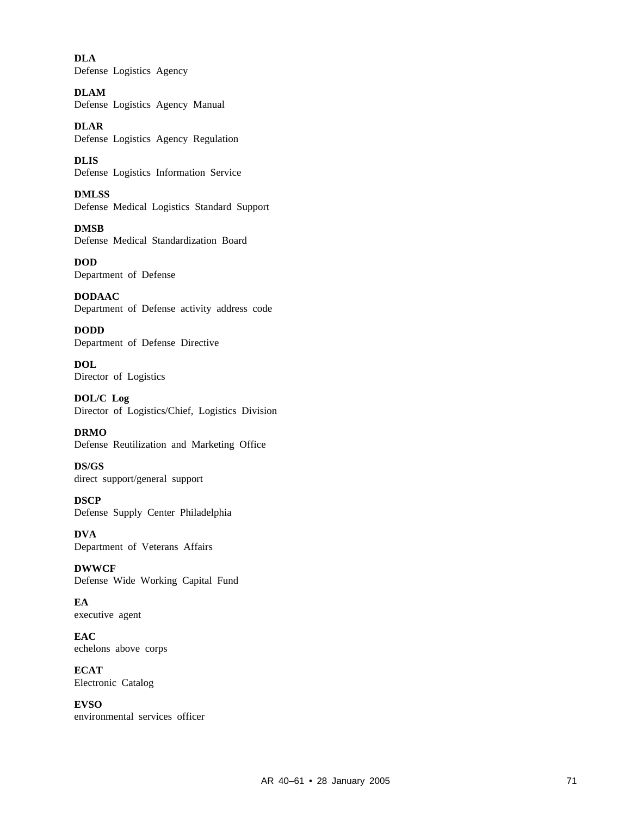**DLA** Defense Logistics Agency

**DLAM** Defense Logistics Agency Manual

**DLAR** Defense Logistics Agency Regulation

**DLIS** Defense Logistics Information Service

**DMLSS** Defense Medical Logistics Standard Support

**DMSB** Defense Medical Standardization Board

**DOD** Department of Defense

**DODAAC** Department of Defense activity address code

**DODD** Department of Defense Directive

**DOL** Director of Logistics

**DOL/C Log** Director of Logistics/Chief, Logistics Division

**DRMO** Defense Reutilization and Marketing Office

**DS/GS** direct support/general support

**DSCP** Defense Supply Center Philadelphia

**DVA** Department of Veterans Affairs

**DWWCF** Defense Wide Working Capital Fund

**EA** executive agent

**EAC** echelons above corps

**ECAT** Electronic Catalog

**EVSO** environmental services officer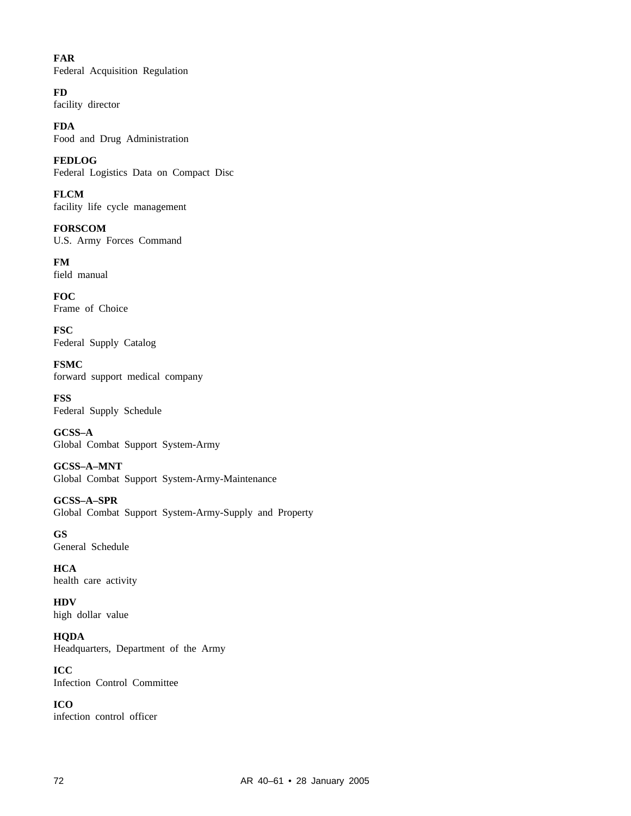# **FAR**

Federal Acquisition Regulation

# **FD**

facility director

**FDA** Food and Drug Administration

**FEDLOG** Federal Logistics Data on Compact Disc

**FLCM** facility life cycle management

**FORSCOM** U.S. Army Forces Command

**FM** field manual

**FOC** Frame of Choice

**FSC** Federal Supply Catalog

**FSMC** forward support medical company

**FSS** Federal Supply Schedule

**GCSS–A** Global Combat Support System-Army

**GCSS–A–MNT** Global Combat Support System-Army-Maintenance

**GCSS–A–SPR** Global Combat Support System-Army-Supply and Property

**GS** General Schedule

**HCA** health care activity

**HDV** high dollar value

**HQDA** Headquarters, Department of the Army

**ICC** Infection Control Committee

**ICO** infection control officer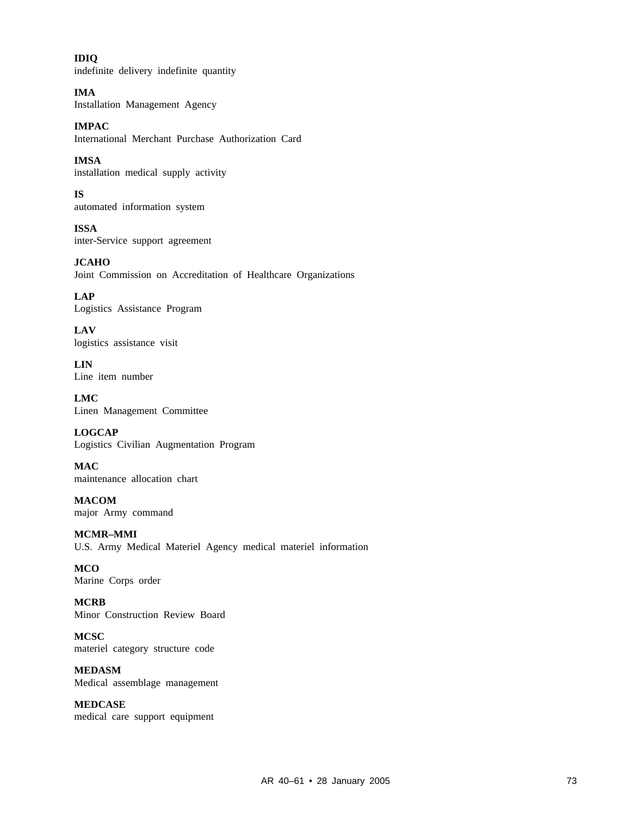**IDIQ** indefinite delivery indefinite quantity

**IMA** Installation Management Agency

**IMPAC** International Merchant Purchase Authorization Card

**IMSA** installation medical supply activity

**IS** automated information system

**ISSA** inter-Service support agreement

**JCAHO** Joint Commission on Accreditation of Healthcare Organizations

**LAP** Logistics Assistance Program

**LAV** logistics assistance visit

**LIN** Line item number

**LMC** Linen Management Committee

**LOGCAP** Logistics Civilian Augmentation Program

**MAC** maintenance allocation chart

**MACOM** major Army command

**MCMR–MMI** U.S. Army Medical Materiel Agency medical materiel information

**MCO** Marine Corps order

**MCRB** Minor Construction Review Board

**MCSC** materiel category structure code

**MEDASM** Medical assemblage management

**MEDCASE** medical care support equipment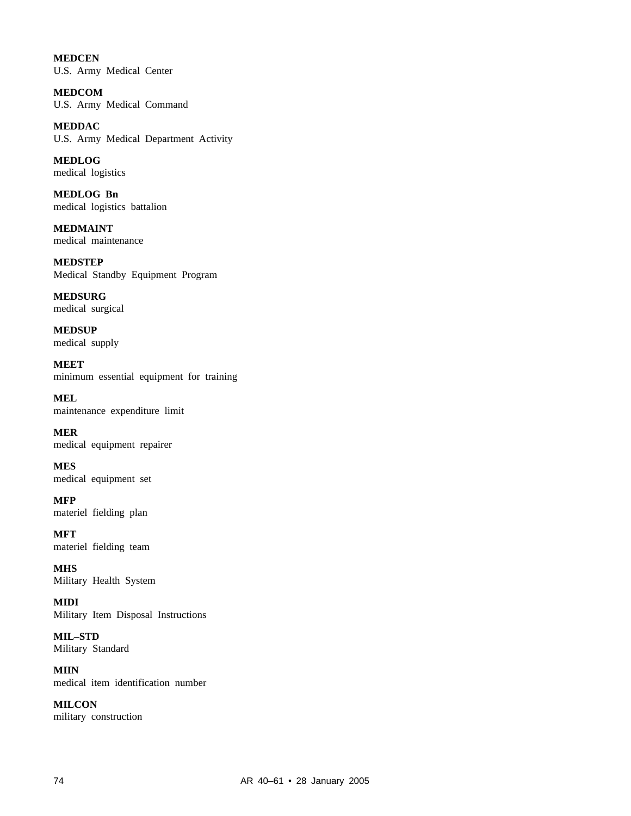**MEDCEN** U.S. Army Medical Center

**MEDCOM** U.S. Army Medical Command

**MEDDAC** U.S. Army Medical Department Activity

**MEDLOG** medical logistics

**MEDLOG Bn** medical logistics battalion

**MEDMAINT** medical maintenance

**MEDSTEP** Medical Standby Equipment Program

**MEDSURG** medical surgical

**MEDSUP** medical supply

**MEET** minimum essential equipment for training

**MEL** maintenance expenditure limit

**MER** medical equipment repairer

**MES** medical equipment set

**MFP** materiel fielding plan

**MFT** materiel fielding team

**MHS** Military Health System

**MIDI** Military Item Disposal Instructions

**MIL–STD** Military Standard

**MIIN** medical item identification number

**MILCON** military construction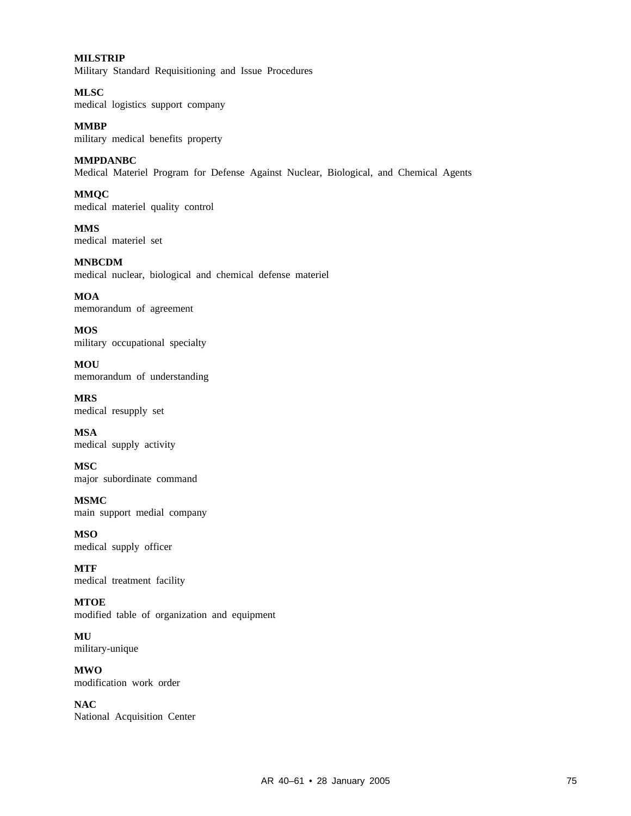# **MILSTRIP**

Military Standard Requisitioning and Issue Procedures

**MLSC** medical logistics support company

**MMBP** military medical benefits property

**MMPDANBC**

Medical Materiel Program for Defense Against Nuclear, Biological, and Chemical Agents

**MMQC** medical materiel quality control

**MMS** medical materiel set

**MNBCDM** medical nuclear, biological and chemical defense materiel

**MOA** memorandum of agreement

**MOS** military occupational specialty

**MOU** memorandum of understanding

**MRS** medical resupply set

**MSA** medical supply activity

**MSC** major subordinate command

**MSMC** main support medial company

**MSO** medical supply officer

**MTF** medical treatment facility

**MTOE** modified table of organization and equipment

**MU** military-unique

**MWO** modification work order

**NAC** National Acquisition Center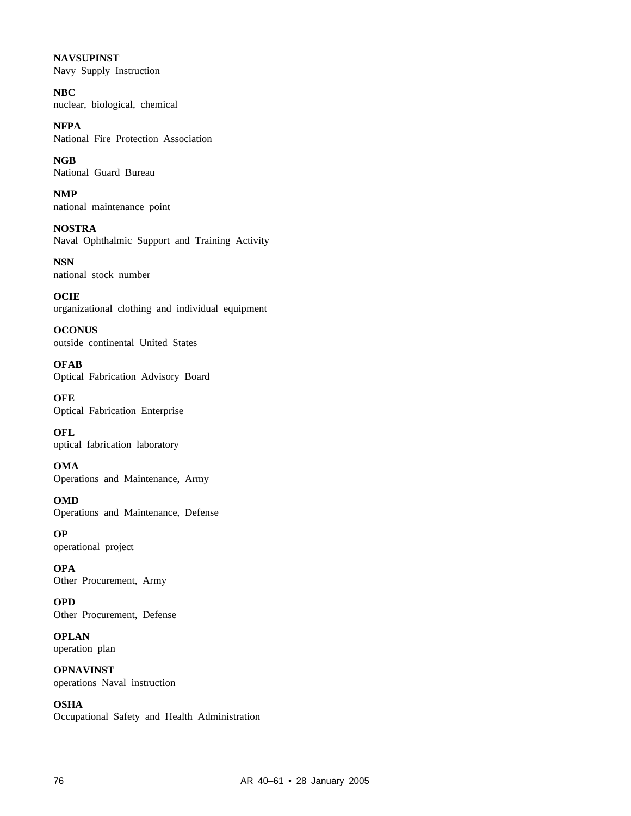**NAVSUPINST** Navy Supply Instruction

**NBC** nuclear, biological, chemical

**NFPA** National Fire Protection Association

**NGB** National Guard Bureau

**NMP** national maintenance point

**NOSTRA** Naval Ophthalmic Support and Training Activity

**NSN** national stock number

**OCIE** organizational clothing and individual equipment

**OCONUS** outside continental United States

**OFAB** Optical Fabrication Advisory Board

**OFE** Optical Fabrication Enterprise

**OFL** optical fabrication laboratory

**OMA** Operations and Maintenance, Army

**OMD** Operations and Maintenance, Defense

**OP** operational project

**OPA** Other Procurement, Army

**OPD** Other Procurement, Defense

**OPLAN** operation plan

**OPNAVINST** operations Naval instruction

**OSHA** Occupational Safety and Health Administration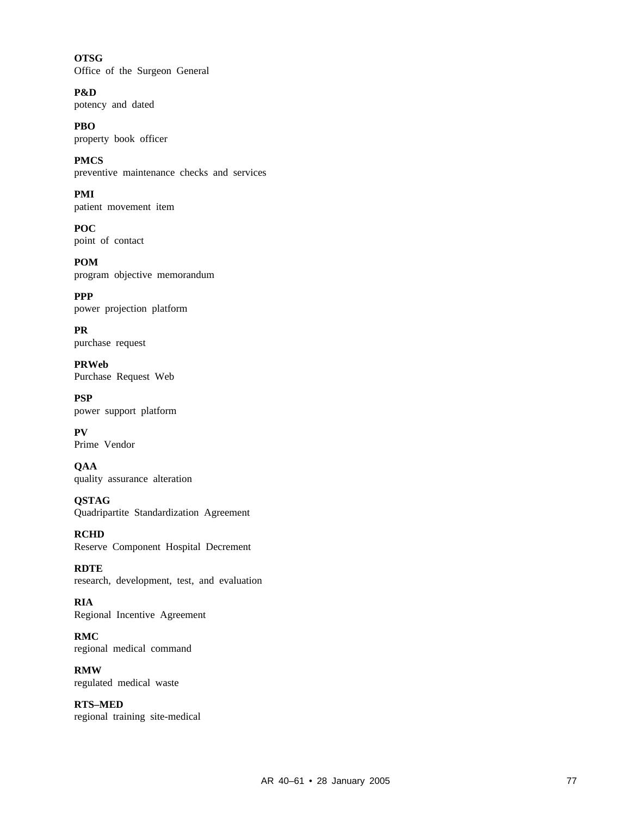**OTSG** Office of the Surgeon General

**P&D** potency and dated

**PBO** property book officer

**PMCS** preventive maintenance checks and services

**PMI** patient movement item

**POC** point of contact

**POM** program objective memorandum

**PPP** power projection platform

**PR** purchase request

**PRWeb** Purchase Request Web

**PSP** power support platform

**PV** Prime Vendor

**QAA** quality assurance alteration

**QSTAG** Quadripartite Standardization Agreement

**RCHD** Reserve Component Hospital Decrement

**RDTE** research, development, test, and evaluation

**RIA** Regional Incentive Agreement

**RMC** regional medical command

**RMW** regulated medical waste

**RTS–MED** regional training site-medical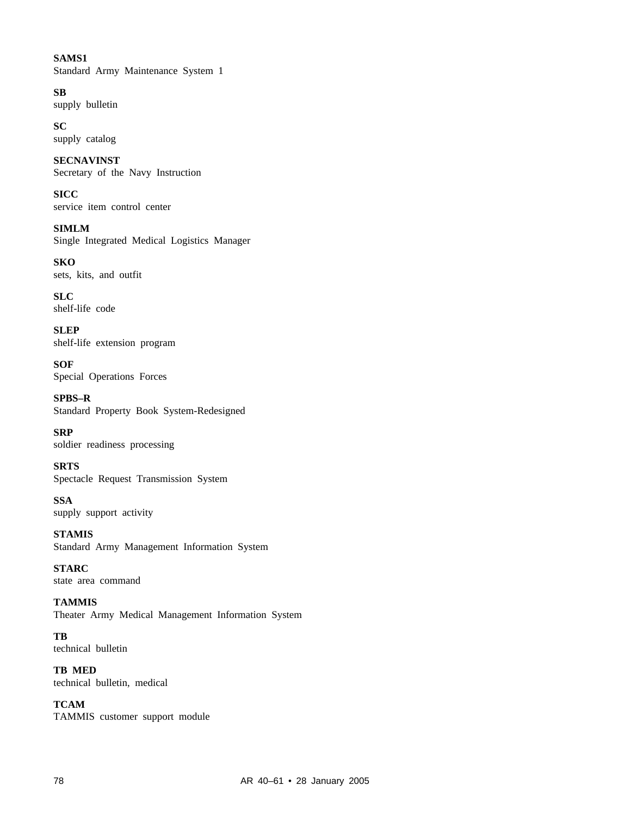# **SAMS1** Standard Army Maintenance System 1

**SB** supply bulletin

**SC** supply catalog

**SECNAVINST** Secretary of the Navy Instruction

**SICC** service item control center

**SIMLM** Single Integrated Medical Logistics Manager

**SKO** sets, kits, and outfit

**SLC** shelf-life code

**SLEP** shelf-life extension program

**SOF** Special Operations Forces

**SPBS–R** Standard Property Book System-Redesigned

**SRP** soldier readiness processing

**SRTS** Spectacle Request Transmission System

**SSA** supply support activity

**STAMIS** Standard Army Management Information System

**STARC** state area command

**TAMMIS** Theater Army Medical Management Information System

**TB** technical bulletin

**TB MED** technical bulletin, medical

**TCAM** TAMMIS customer support module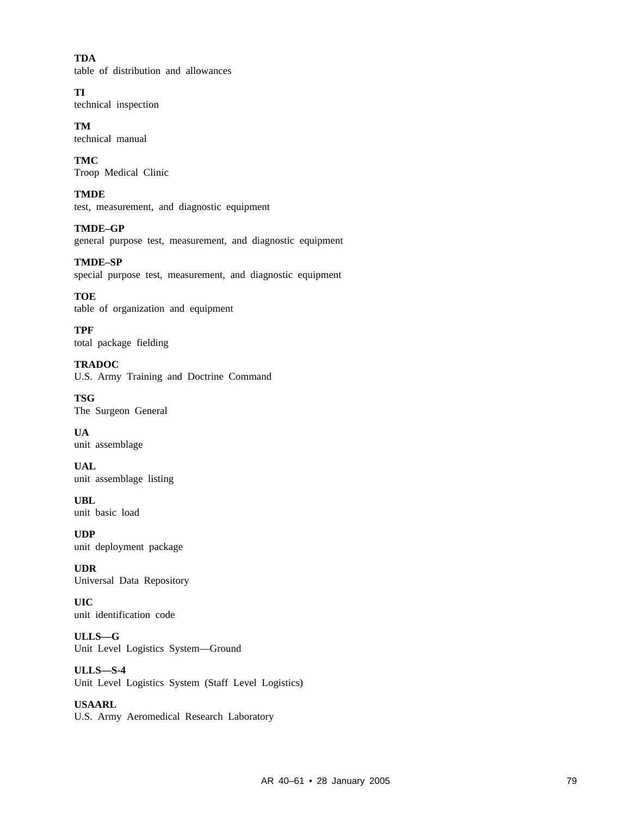**TDA** table of distribution and allowances

**TI** technical inspection

**TM** technical manual

**TMC** Troop Medical Clinic

**TMDE** test, measurement, and diagnostic equipment

**TMDE–GP** general purpose test, measurement, and diagnostic equipment

**TMDE–SP** special purpose test, measurement, and diagnostic equipment

**TOE** table of organization and equipment

**TPF** total package fielding

**TRADOC** U.S. Army Training and Doctrine Command

**TSG** The Surgeon General

**UA** unit assemblage

**UAL** unit assemblage listing

**UBL** unit basic load

**UDP** unit deployment package

**UDR** Universal Data Repository

**UIC** unit identification code

**ULLS—G** Unit Level Logistics System—Ground

**ULLS—S-4** Unit Level Logistics System (Staff Level Logistics)

**USAARL** U.S. Army Aeromedical Research Laboratory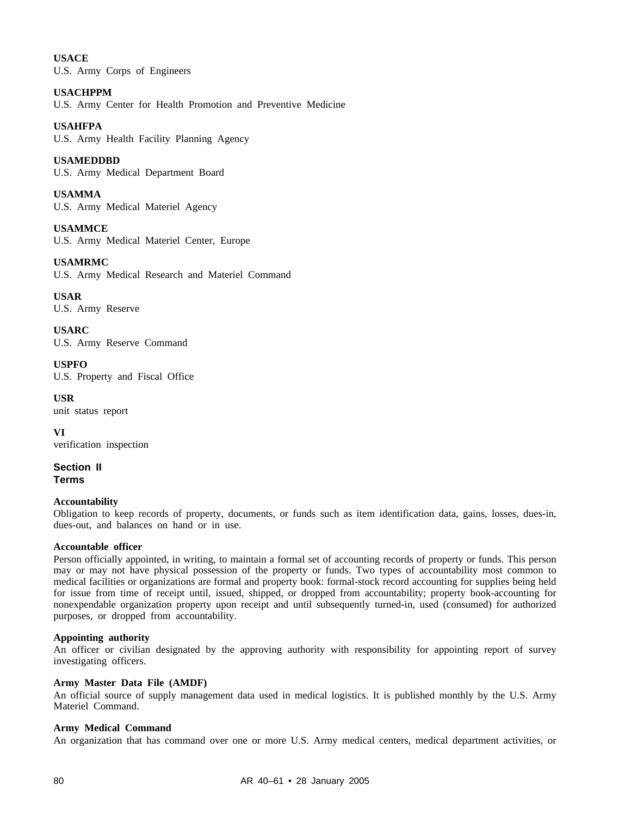# **USACE**

U.S. Army Corps of Engineers

## **USACHPPM**

U.S. Army Center for Health Promotion and Preventive Medicine

# **USAHFPA**

U.S. Army Health Facility Planning Agency

# **USAMEDDBD**

U.S. Army Medical Department Board

# **USAMMA**

U.S. Army Medical Materiel Agency

**USAMMCE** U.S. Army Medical Materiel Center, Europe

# **USAMRMC**

U.S. Army Medical Research and Materiel Command

**USAR** U.S. Army Reserve

**USARC** U.S. Army Reserve Command

**USPFO** U.S. Property and Fiscal Office

#### **USR** unit status report

**VI** verification inspection

**Section II Terms**

## **Accountability**

Obligation to keep records of property, documents, or funds such as item identification data, gains, losses, dues-in, dues-out, and balances on hand or in use.

## **Accountable officer**

Person officially appointed, in writing, to maintain a formal set of accounting records of property or funds. This person may or may not have physical possession of the property or funds. Two types of accountability most common to medical facilities or organizations are formal and property book: formal-stock record accounting for supplies being held for issue from time of receipt until, issued, shipped, or dropped from accountability; property book-accounting for nonexpendable organization property upon receipt and until subsequently turned-in, used (consumed) for authorized purposes, or dropped from accountability.

## **Appointing authority**

An officer or civilian designated by the approving authority with responsibility for appointing report of survey investigating officers.

## **Army Master Data File (AMDF)**

An official source of supply management data used in medical logistics. It is published monthly by the U.S. Army Materiel Command.

## **Army Medical Command**

An organization that has command over one or more U.S. Army medical centers, medical department activities, or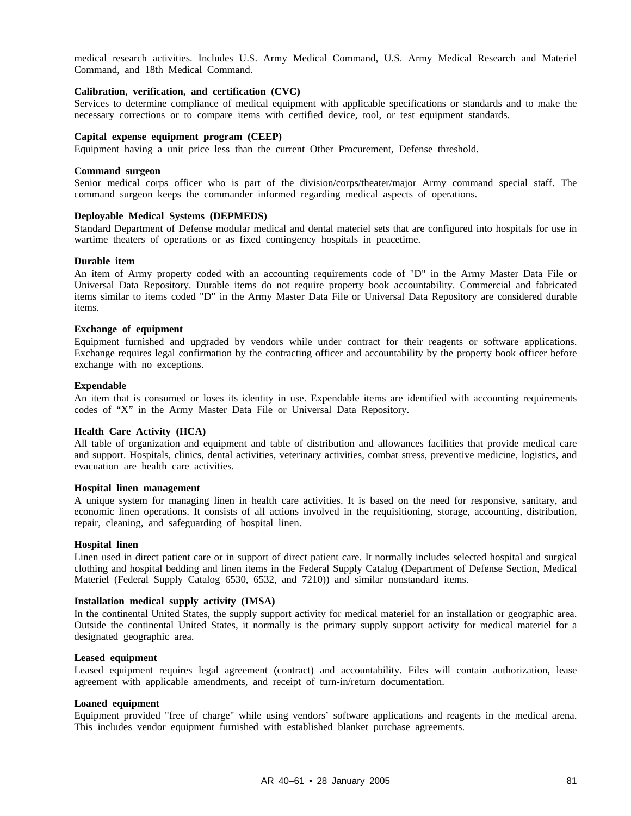medical research activities. Includes U.S. Army Medical Command, U.S. Army Medical Research and Materiel Command, and 18th Medical Command.

#### **Calibration, verification, and certification (CVC)**

Services to determine compliance of medical equipment with applicable specifications or standards and to make the necessary corrections or to compare items with certified device, tool, or test equipment standards.

## **Capital expense equipment program (CEEP)**

Equipment having a unit price less than the current Other Procurement, Defense threshold.

#### **Command surgeon**

Senior medical corps officer who is part of the division/corps/theater/major Army command special staff. The command surgeon keeps the commander informed regarding medical aspects of operations.

## **Deployable Medical Systems (DEPMEDS)**

Standard Department of Defense modular medical and dental materiel sets that are configured into hospitals for use in wartime theaters of operations or as fixed contingency hospitals in peacetime.

#### **Durable item**

An item of Army property coded with an accounting requirements code of "D" in the Army Master Data File or Universal Data Repository. Durable items do not require property book accountability. Commercial and fabricated items similar to items coded "D" in the Army Master Data File or Universal Data Repository are considered durable items.

#### **Exchange of equipment**

Equipment furnished and upgraded by vendors while under contract for their reagents or software applications. Exchange requires legal confirmation by the contracting officer and accountability by the property book officer before exchange with no exceptions.

#### **Expendable**

An item that is consumed or loses its identity in use. Expendable items are identified with accounting requirements codes of "X" in the Army Master Data File or Universal Data Repository.

### **Health Care Activity (HCA)**

All table of organization and equipment and table of distribution and allowances facilities that provide medical care and support. Hospitals, clinics, dental activities, veterinary activities, combat stress, preventive medicine, logistics, and evacuation are health care activities.

#### **Hospital linen management**

A unique system for managing linen in health care activities. It is based on the need for responsive, sanitary, and economic linen operations. It consists of all actions involved in the requisitioning, storage, accounting, distribution, repair, cleaning, and safeguarding of hospital linen.

#### **Hospital linen**

Linen used in direct patient care or in support of direct patient care. It normally includes selected hospital and surgical clothing and hospital bedding and linen items in the Federal Supply Catalog (Department of Defense Section, Medical Materiel (Federal Supply Catalog 6530, 6532, and 7210)) and similar nonstandard items.

### **Installation medical supply activity (IMSA)**

In the continental United States, the supply support activity for medical materiel for an installation or geographic area. Outside the continental United States, it normally is the primary supply support activity for medical materiel for a designated geographic area.

#### **Leased equipment**

Leased equipment requires legal agreement (contract) and accountability. Files will contain authorization, lease agreement with applicable amendments, and receipt of turn-in/return documentation.

#### **Loaned equipment**

Equipment provided "free of charge" while using vendors' software applications and reagents in the medical arena. This includes vendor equipment furnished with established blanket purchase agreements.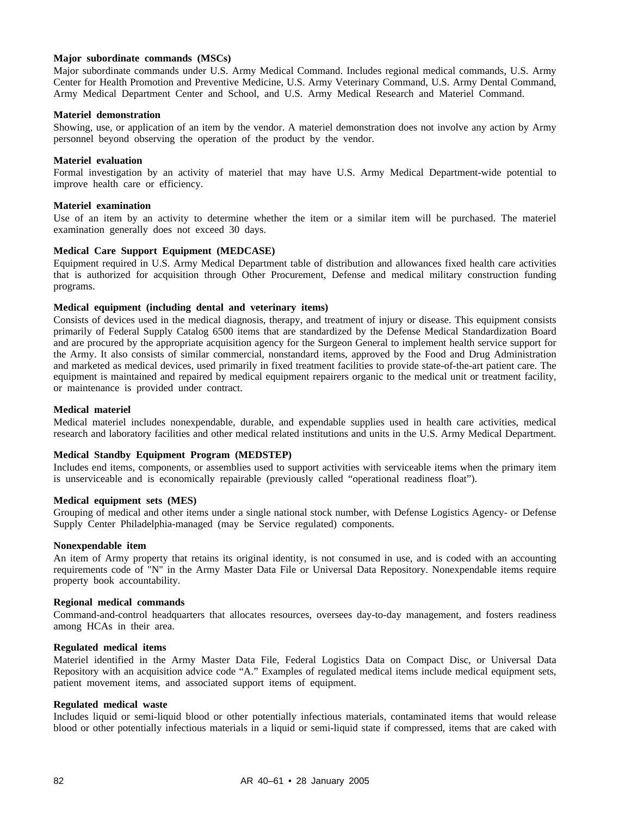### **Major subordinate commands (MSCs)**

Major subordinate commands under U.S. Army Medical Command. Includes regional medical commands, U.S. Army Center for Health Promotion and Preventive Medicine, U.S. Army Veterinary Command, U.S. Army Dental Command, Army Medical Department Center and School, and U.S. Army Medical Research and Materiel Command.

#### **Materiel demonstration**

Showing, use, or application of an item by the vendor. A materiel demonstration does not involve any action by Army personnel beyond observing the operation of the product by the vendor.

### **Materiel evaluation**

Formal investigation by an activity of materiel that may have U.S. Army Medical Department-wide potential to improve health care or efficiency.

#### **Materiel examination**

Use of an item by an activity to determine whether the item or a similar item will be purchased. The materiel examination generally does not exceed 30 days.

## **Medical Care Support Equipment (MEDCASE)**

Equipment required in U.S. Army Medical Department table of distribution and allowances fixed health care activities that is authorized for acquisition through Other Procurement, Defense and medical military construction funding programs.

## **Medical equipment (including dental and veterinary items)**

Consists of devices used in the medical diagnosis, therapy, and treatment of injury or disease. This equipment consists primarily of Federal Supply Catalog 6500 items that are standardized by the Defense Medical Standardization Board and are procured by the appropriate acquisition agency for the Surgeon General to implement health service support for the Army. It also consists of similar commercial, nonstandard items, approved by the Food and Drug Administration and marketed as medical devices, used primarily in fixed treatment facilities to provide state-of-the-art patient care. The equipment is maintained and repaired by medical equipment repairers organic to the medical unit or treatment facility, or maintenance is provided under contract.

#### **Medical materiel**

Medical materiel includes nonexpendable, durable, and expendable supplies used in health care activities, medical research and laboratory facilities and other medical related institutions and units in the U.S. Army Medical Department.

## **Medical Standby Equipment Program (MEDSTEP)**

Includes end items, components, or assemblies used to support activities with serviceable items when the primary item is unserviceable and is economically repairable (previously called "operational readiness float").

#### **Medical equipment sets (MES)**

Grouping of medical and other items under a single national stock number, with Defense Logistics Agency- or Defense Supply Center Philadelphia-managed (may be Service regulated) components.

#### **Nonexpendable item**

An item of Army property that retains its original identity, is not consumed in use, and is coded with an accounting requirements code of "N" in the Army Master Data File or Universal Data Repository. Nonexpendable items require property book accountability.

#### **Regional medical commands**

Command-and-control headquarters that allocates resources, oversees day-to-day management, and fosters readiness among HCAs in their area.

#### **Regulated medical items**

Materiel identified in the Army Master Data File, Federal Logistics Data on Compact Disc, or Universal Data Repository with an acquisition advice code "A." Examples of regulated medical items include medical equipment sets, patient movement items, and associated support items of equipment.

#### **Regulated medical waste**

Includes liquid or semi-liquid blood or other potentially infectious materials, contaminated items that would release blood or other potentially infectious materials in a liquid or semi-liquid state if compressed, items that are caked with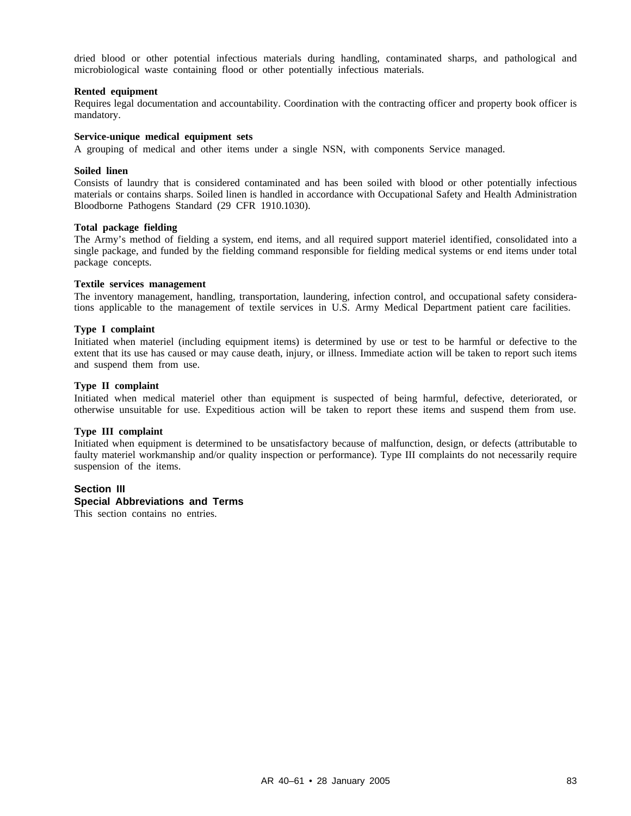dried blood or other potential infectious materials during handling, contaminated sharps, and pathological and microbiological waste containing flood or other potentially infectious materials.

#### **Rented equipment**

Requires legal documentation and accountability. Coordination with the contracting officer and property book officer is mandatory.

## **Service-unique medical equipment sets**

A grouping of medical and other items under a single NSN, with components Service managed.

#### **Soiled linen**

Consists of laundry that is considered contaminated and has been soiled with blood or other potentially infectious materials or contains sharps. Soiled linen is handled in accordance with Occupational Safety and Health Administration Bloodborne Pathogens Standard (29 CFR 1910.1030).

#### **Total package fielding**

The Army's method of fielding a system, end items, and all required support materiel identified, consolidated into a single package, and funded by the fielding command responsible for fielding medical systems or end items under total package concepts.

#### **Textile services management**

The inventory management, handling, transportation, laundering, infection control, and occupational safety considerations applicable to the management of textile services in U.S. Army Medical Department patient care facilities.

#### **Type I complaint**

Initiated when materiel (including equipment items) is determined by use or test to be harmful or defective to the extent that its use has caused or may cause death, injury, or illness. Immediate action will be taken to report such items and suspend them from use.

#### **Type II complaint**

Initiated when medical materiel other than equipment is suspected of being harmful, defective, deteriorated, or otherwise unsuitable for use. Expeditious action will be taken to report these items and suspend them from use.

## **Type III complaint**

Initiated when equipment is determined to be unsatisfactory because of malfunction, design, or defects (attributable to faulty materiel workmanship and/or quality inspection or performance). Type III complaints do not necessarily require suspension of the items.

## **Section III Special Abbreviations and Terms**

This section contains no entries.